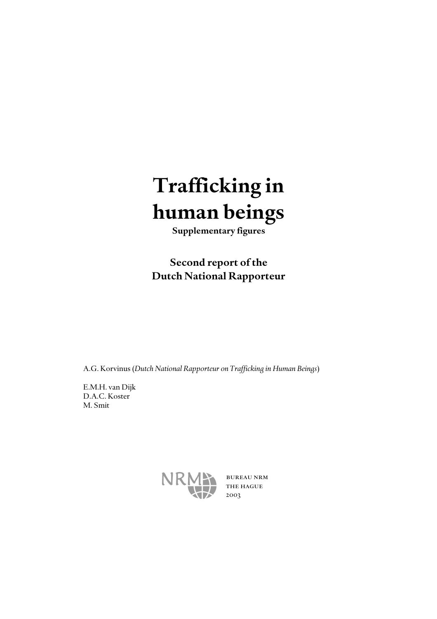# *Trafficking in human beings*

*Supplementary figures*

*Second report of the Dutch National Rapporteur*

A.G. Korvinus (*Dutch National Rapporteur on Trafficking in Human Beings*)

E.M.H. van Dijk D.A.C. Koster M. Smit



 bureau nrm the hague 2003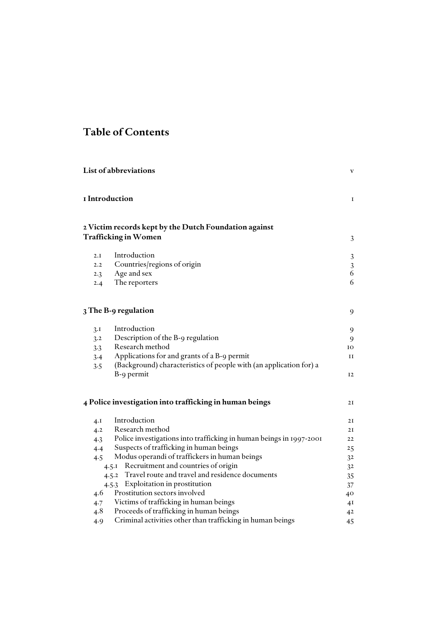## *Table of Contents*

|     | List of abbreviations                                                                                 | V              |
|-----|-------------------------------------------------------------------------------------------------------|----------------|
|     | I Introduction                                                                                        | 1              |
|     | 2 Victim records kept by the Dutch Foundation against                                                 |                |
|     | <b>Trafficking in Women</b>                                                                           | 3              |
| 2.I | Introduction                                                                                          | 3              |
| 2.2 | Countries/regions of origin                                                                           | $\sqrt{3}$     |
| 2.3 | Age and sex                                                                                           | 6              |
| 2.4 | The reporters                                                                                         | 6              |
|     | 3 The B-9 regulation                                                                                  | 9              |
| 3.1 | Introduction                                                                                          | 9              |
| 3.2 | Description of the B-9 regulation                                                                     | 9              |
| 3.3 | Research method                                                                                       | 10             |
| 3.4 | Applications for and grants of a B-9 permit                                                           | и              |
| 3.5 | (Background) characteristics of people with (an application for) a                                    |                |
|     | B-9 permit                                                                                            | 12             |
|     | 4 Police investigation into trafficking in human beings                                               | 2I             |
| 4.I | Introduction                                                                                          | 2I             |
| 4.2 | Research method                                                                                       | 2I             |
| 4.3 | Police investigations into trafficking in human beings in 1997-2001                                   | 22             |
| 4.4 | Suspects of trafficking in human beings                                                               | 25             |
| 4.5 | Modus operandi of traffickers in human beings                                                         | 3 <sup>2</sup> |
|     | Recruitment and countries of origin<br>4.5.1                                                          | 32             |
|     | 4.5.2 Travel route and travel and residence documents                                                 | 35             |
|     | 4.5.3 Exploitation in prostitution                                                                    | 37             |
| 4.6 | Prostitution sectors involved                                                                         | 40             |
| 4.7 | Victims of trafficking in human beings                                                                | 41             |
| 4.8 | Proceeds of trafficking in human beings<br>Criminal activities other than trafficking in human beings | 42             |
| 4.9 |                                                                                                       | 45             |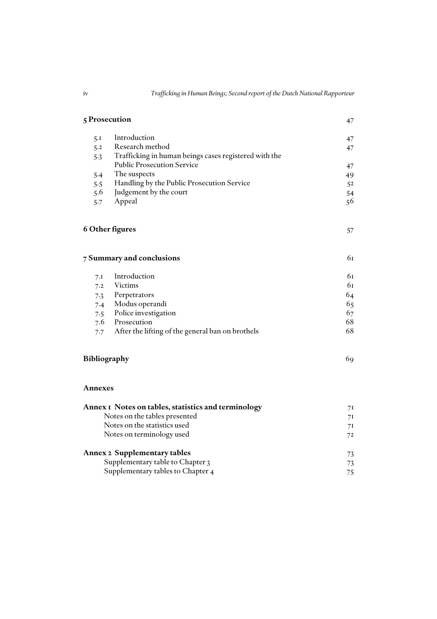|                                   | 5 Prosecution                                         |    |  |  |  |  |
|-----------------------------------|-------------------------------------------------------|----|--|--|--|--|
| 5.1                               | Introduction                                          | 47 |  |  |  |  |
| 5.2                               | Research method                                       | 47 |  |  |  |  |
| 5.3                               | Trafficking in human beings cases registered with the |    |  |  |  |  |
|                                   | <b>Public Prosecution Service</b>                     | 47 |  |  |  |  |
| 5.4                               | The suspects                                          | 49 |  |  |  |  |
| 5.5                               | Handling by the Public Prosecution Service            | 52 |  |  |  |  |
| 5.6                               | Judgement by the court                                | 54 |  |  |  |  |
| 5.7                               | Appeal                                                | 56 |  |  |  |  |
|                                   | 6 Other figures                                       | 57 |  |  |  |  |
|                                   | 7 Summary and conclusions                             | 61 |  |  |  |  |
| 7.1                               | Introduction                                          | 61 |  |  |  |  |
| 7.2                               | <b>Victims</b>                                        | 61 |  |  |  |  |
| 7.3                               | Perpetrators                                          | 64 |  |  |  |  |
| 7.4                               | Modus operandi                                        | 65 |  |  |  |  |
| 7.5                               | Police investigation                                  | 67 |  |  |  |  |
| 7.6                               | Prosecution                                           | 68 |  |  |  |  |
| 7.7                               | After the lifting of the general ban on brothels      | 68 |  |  |  |  |
| Bibliography                      |                                                       | 69 |  |  |  |  |
| Annexes                           |                                                       |    |  |  |  |  |
|                                   | Annex I Notes on tables, statistics and terminology   | 71 |  |  |  |  |
|                                   | Notes on the tables presented                         | 7I |  |  |  |  |
|                                   | Notes on the statistics used                          | 71 |  |  |  |  |
|                                   | Notes on terminology used                             | 72 |  |  |  |  |
|                                   | <b>Annex 2 Supplementary tables</b>                   | 73 |  |  |  |  |
|                                   | Supplementary table to Chapter 3                      | 73 |  |  |  |  |
| Supplementary tables to Chapter 4 |                                                       |    |  |  |  |  |

| × |
|---|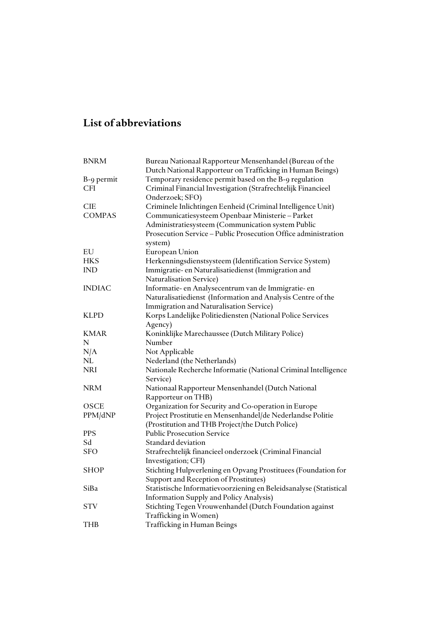# *List of abbreviations*

| <b>BNRM</b>   | Bureau Nationaal Rapporteur Mensenhandel (Bureau of the           |
|---------------|-------------------------------------------------------------------|
|               | Dutch National Rapporteur on Trafficking in Human Beings)         |
| B-9 permit    | Temporary residence permit based on the B-9 regulation            |
| <b>CFI</b>    | Criminal Financial Investigation (Strafrechtelijk Financieel      |
|               | Onderzoek; SFO)                                                   |
| <b>CIE</b>    | Criminele Inlichtingen Eenheid (Criminal Intelligence Unit)       |
| <b>COMPAS</b> | Communicatiesysteem Openbaar Ministerie - Parket                  |
|               | Administratiesysteem (Communication system Public                 |
|               | Prosecution Service - Public Prosecution Office administration    |
|               | system)                                                           |
| ${\rm EU}$    | European Union                                                    |
| <b>HKS</b>    | Herkenningsdienstsysteem (Identification Service System)          |
| <b>IND</b>    | Immigratie- en Naturalisatiedienst (Immigration and               |
|               | <b>Naturalisation Service)</b>                                    |
| <b>INDIAC</b> | Informatie- en Analysecentrum van de Immigratie- en               |
|               | Naturalisatiedienst (Information and Analysis Centre of the       |
|               | Immigration and Naturalisation Service)                           |
| <b>KLPD</b>   | Korps Landelijke Politiediensten (National Police Services        |
|               | Agency)                                                           |
| KMAR          | Koninklijke Marechaussee (Dutch Military Police)                  |
| N             | Number                                                            |
| N/A           | Not Applicable                                                    |
| NL            | Nederland (the Netherlands)                                       |
| <b>NRI</b>    | Nationale Recherche Informatie (National Criminal Intelligence    |
|               | Service)                                                          |
| <b>NRM</b>    | Nationaal Rapporteur Mensenhandel (Dutch National                 |
|               | Rapporteur on THB)                                                |
| OSCE          | Organization for Security and Co-operation in Europe              |
| PPM/dNP       | Project Prostitutie en Mensenhandel/de Nederlandse Politie        |
|               | (Prostitution and THB Project/the Dutch Police)                   |
| <b>PPS</b>    | <b>Public Prosecution Service</b>                                 |
| Sd            | Standard deviation                                                |
| <b>SFO</b>    | Strafrechtelijk financieel onderzoek (Criminal Financial          |
|               | Investigation; CFI)                                               |
| <b>SHOP</b>   | Stichting Hulpverlening en Opvang Prostituees (Foundation for     |
|               | Support and Reception of Prostitutes)                             |
| SiBa          | Statistische Informatievoorziening en Beleidsanalyse (Statistical |
|               | Information Supply and Policy Analysis)                           |
| <b>STV</b>    | Stichting Tegen Vrouwenhandel (Dutch Foundation against           |
|               | Trafficking in Women)                                             |
| <b>THB</b>    | Trafficking in Human Beings                                       |
|               |                                                                   |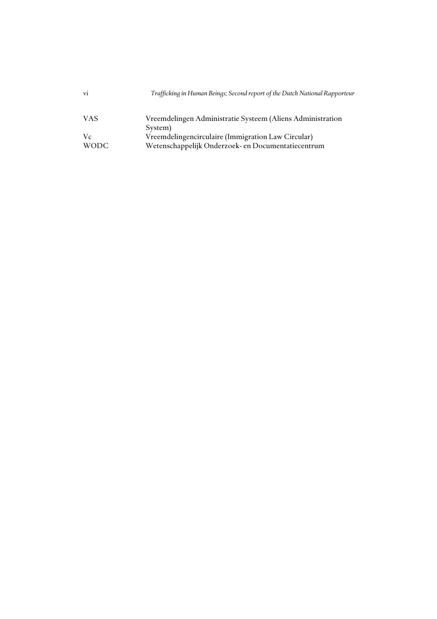| vi    | Trafficking in Human Beings; Second report of the Dutch National Rapporteur |
|-------|-----------------------------------------------------------------------------|
| VAS   | Vreemdelingen Administratie Systeem (Aliens Administration                  |
|       | System)                                                                     |
| Vc    | Vreemdelingencirculaire (Immigration Law Circular)                          |
| WODC. | Wetenschappelijk Onderzoek- en Documentatiecentrum                          |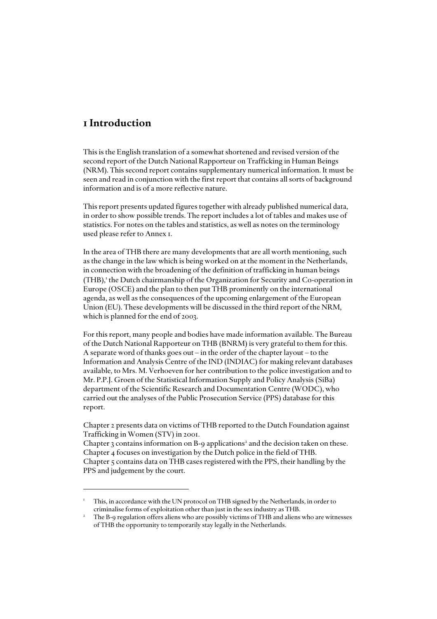### *1 Introduction*

This is the English translation of a somewhat shortened and revised version of the second report of the Dutch National Rapporteur on Trafficking in Human Beings (NRM). This second report contains supplementary numerical information. It must be seen and read in conjunction with the first report that contains all sorts of background information and is of a more reflective nature.

This report presents updated figures together with already published numerical data, in order to show possible trends. The report includes a lot of tables and makes use of statistics. For notes on the tables and statistics, as well as notes on the terminology used please refer to Annex 1.

In the area of THB there are many developments that are all worth mentioning, such as the change in the law which is being worked on at the moment in the Netherlands, in connection with the broadening of the definition of trafficking in human beings  $(THB)$ ,<sup>1</sup> the Dutch chairmanship of the Organization for Security and Co-operation in Europe (OSCE) and the plan to then put THB prominently on the international agenda, as well as the consequences of the upcoming enlargement of the European Union (EU). These developments will be discussed in the third report of the NRM, which is planned for the end of 2003.

For this report, many people and bodies have made information available. The Bureau of the Dutch National Rapporteur on THB (BNRM) is very grateful to them for this. A separate word of thanks goes out – in the order of the chapter layout – to the Information and Analysis Centre of the IND (INDIAC) for making relevant databases available, to Mrs. M. Verhoeven for her contribution to the police investigation and to Mr. P.P.J. Groen of the Statistical Information Supply and Policy Analysis (SiBa) department of the Scientific Research and Documentation Centre (WODC), who carried out the analyses of the Public Prosecution Service (PPS) database for this report.

Chapter 2 presents data on victims of THB reported to the Dutch Foundation against Trafficking in Women (STV) in 2001.

Chapter 3 contains information on B-9 applications<sup>2</sup> and the decision taken on these. Chapter 4 focuses on investigation by the Dutch police in the field of THB. Chapter 5 contains data on THB cases registered with the PPS, their handling by the PPS and judgement by the court.

<sup>1</sup> This, in accordance with the UN protocol on THB signed by the Netherlands, in order to criminalise forms of exploitation other than just in the sex industry as THB.

<sup>2</sup> The B-9 regulation offers aliens who are possibly victims of THB and aliens who are witnesses of THB the opportunity to temporarily stay legally in the Netherlands.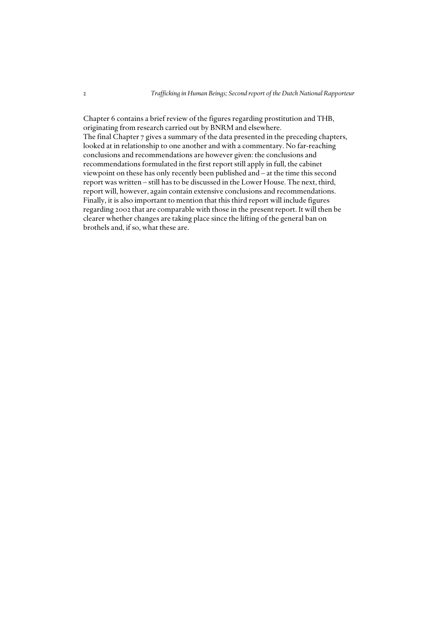Chapter 6 contains a brief review of the figures regarding prostitution and THB, originating from research carried out by BNRM and elsewhere. The final Chapter 7 gives a summary of the data presented in the preceding chapters, looked at in relationship to one another and with a commentary. No far-reaching conclusions and recommendations are however given: the conclusions and recommendations formulated in the first report still apply in full, the cabinet viewpoint on these has only recently been published and – at the time this second report was written – still has to be discussed in the Lower House. The next, third, report will, however, again contain extensive conclusions and recommendations. Finally, it is also important to mention that this third report will include figures regarding 2002 that are comparable with those in the present report. It will then be clearer whether changes are taking place since the lifting of the general ban on brothels and, if so, what these are.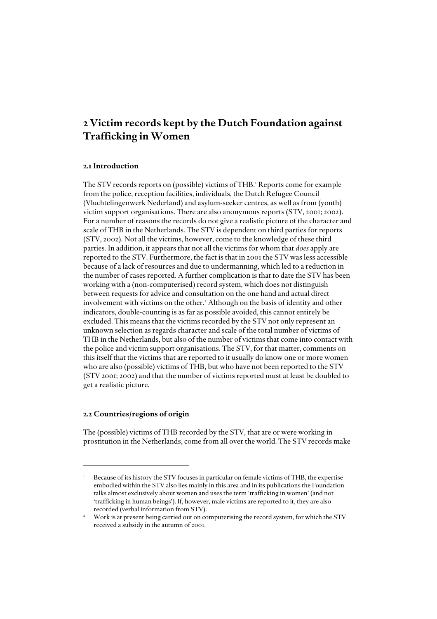### *2 Victim records kept by the Dutch Foundation against Trafficking in Women*

### *2.1 Introduction*

The STV records reports on (possible) victims of THB.<sup>1</sup> Reports come for example from the police, reception facilities, individuals, the Dutch Refugee Council (Vluchtelingenwerk Nederland) and asylum-seeker centres, as well as from (youth) victim support organisations. There are also anonymous reports (STV, 2001; 2002). For a number of reasons the records do not give a realistic picture of the character and scale of THB in the Netherlands. The STV is dependent on third parties for reports (STV, 2002). Not all the victims, however, come to the knowledge of these third parties. In addition, it appears that not all the victims for whom that *does* apply are reported to the STV. Furthermore, the fact is that in 2001 the STV was less accessible because of a lack of resources and due to undermanning, which led to a reduction in the number of cases reported. A further complication is that to date the STV has been working with a (non-computerised) record system, which does not distinguish between requests for advice and consultation on the one hand and actual direct involvement with victims on the other.<sup>2</sup> Although on the basis of identity and other indicators, double-counting is as far as possible avoided, this cannot entirely be excluded. This means that the victims recorded by the STV not only represent an unknown selection as regards character and scale of the total number of victims of THB in the Netherlands, but also of the number of victims that come into contact with the police and victim support organisations. The STV, for that matter, comments on this itself that the victims that are reported to it usually do know one or more women who are also (possible) victims of THB, but who have not been reported to the STV (STV 2001; 2002) and that the number of victims reported must at least be doubled to get a realistic picture.

### *2.2 Countries/regions of origin*

The (possible) victims of THB recorded by the STV, that are or were working in prostitution in the Netherlands, come from all over the world. The STV records make

<sup>1</sup> Because of its history the STV focuses in particular on female victims of THB, the expertise embodied within the STV also lies mainly in this area and in its publications the Foundation talks almost exclusively about women and uses the term 'trafficking in women' (and not 'trafficking in human beings'). If, however, male victims are reported to it, they are also recorded (verbal information from STV).

<sup>2</sup> Work is at present being carried out on computerising the record system, for which the STV received a subsidy in the autumn of 2001.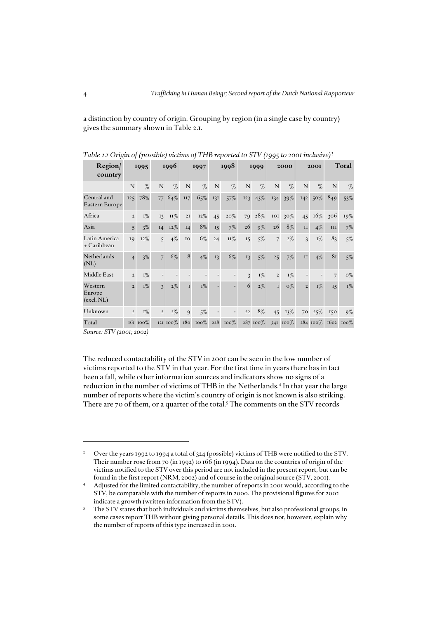a distinction by country of origin. Grouping by region (in a single case by country) gives the summary shown in Table 2.1.

|                                 |                | $\cdots$ $\cdots$ $\cdots$ $\cdots$ |                |          |              | $\sim$ $\prime$<br>----- |               |         |                |          | キンプフ           |          |                |              |     |           |
|---------------------------------|----------------|-------------------------------------|----------------|----------|--------------|--------------------------|---------------|---------|----------------|----------|----------------|----------|----------------|--------------|-----|-----------|
| Region/<br>country              |                | 1995                                |                | 1996     |              | 1997                     |               | 1998    |                | 1999     |                | 2000     |                | <b>2001</b>  |     | Total     |
|                                 | $\mathbf N$    | $\%$                                | $\mathbf N$    | $\%$     | $\mathbf N$  | $\%$                     | $\mathbf N$   | $\%$    | N              | $\%$     | N              | $\%$     | N              | $\%$         | N   | $\%$      |
| Central and<br>Eastern Europe   | 125            | 78%                                 | 77             | 64%      | II7          | 65%                      | 131           | 57%     | 123            | 43%      | 134            | 39%      | 142            | 50%          | 849 | 53%       |
| Africa                          | $\overline{2}$ | $I\%$                               | 13             | $II\%$   | 2I           | 12%                      | 45            | $20\%$  | 79             | 28%      | $_{\rm IOI}$   | 30%      | 45             | 16%          | 306 | 19%       |
| Asia                            | $\overline{5}$ | 3%                                  | I4             | 12%      | I4           | 8%                       | <sup>15</sup> | $7\%$   | 26             | $9\%$    | 26             | 8%       | II             | $4\%$        | III | $7\%$     |
| Latin America<br>+ Caribbean    | 19             | $12\%$                              | $\overline{5}$ | $4\%$    | IO           | 6%                       | 24            | 11%     | 15             | 5%       | $\overline{7}$ | $2\%$    | $\mathbf{3}$   | $I\%$        | 83  | $5\%$     |
| Netherlands<br>(NL)             | $\overline{4}$ | $3\%$                               | $\overline{7}$ | 6%       | 8            | $4\%$                    | 13            | 6%      | 13             | $5\%$    | 25             | $7\%$    | II             | $4\%$        | 81  | $5\%$     |
| Middle East                     | $\overline{2}$ | $I\%$                               |                |          |              |                          |               |         | $\overline{3}$ | $I\%$    | $\mathbf{2}$   | $I\%$    |                |              | 7   | $O\%$     |
| Western<br>Europe<br>(excl. NL) | $\overline{2}$ | $I\%$                               | $\overline{3}$ | $2\%$    | $\mathbf I$  | $I\%$                    |               |         | 6              | $2\%$    | $\mathbf I$    | $O\%$    | $\overline{2}$ | $I\%$        | 15  | $I\%$     |
| Unknown                         | $\overline{2}$ | $I\%$                               | $\overline{2}$ | $2\%$    | $\mathbf{Q}$ | 5%                       |               |         | 22             | 8%       | 45             | $13\%$   | 70             | 25%          | 150 | $9\%$     |
| Total                           |                | 161 100%                            |                | 121 100% | 180          | $100\%$                  | 228           | $100\%$ |                | 287 100% |                | 341 100% |                | $284\ 100\%$ |     | 1602 100% |

*Table 2.1 Origin of (possible) victims of THB reported to STV (1995 to 2001 inclusive)*<sup>3</sup>

*Source: STV (2001; 2002)*

The reduced contactability of the STV in 2001 can be seen in the low number of victims reported to the STV in that year. For the first time in years there has in fact been a fall, while other information sources and indicators show no signs of a reduction in the number of victims of THB in the Netherlands.<sup>4</sup> In that year the large number of reports where the victim's country of origin is not known is also striking. There are 70 of them, or a quarter of the total.<sup>5</sup> The comments on the STV records

<sup>3</sup> Over the years 1992 to 1994 a total of 324 (possible) victims of THB were notified to the STV. Their number rose from 70 (in 1992) to 166 (in 1994). Data on the countries of origin of the victims notified to the STV over this period are not included in the present report, but can be found in the first report (NRM, 2002) and of course in the original source (STV, 2001).

<sup>4</sup> Adjusted for the limited contactability, the number of reports in 2001 would, according to the STV, be comparable with the number of reports in 2000. The provisional figures for 2002 indicate a growth (written information from the STV). 5

The STV states that both individuals and victims themselves, but also professional groups, in some cases report THB without giving personal details. This does not, however, explain why the number of reports of this type increased in 2001.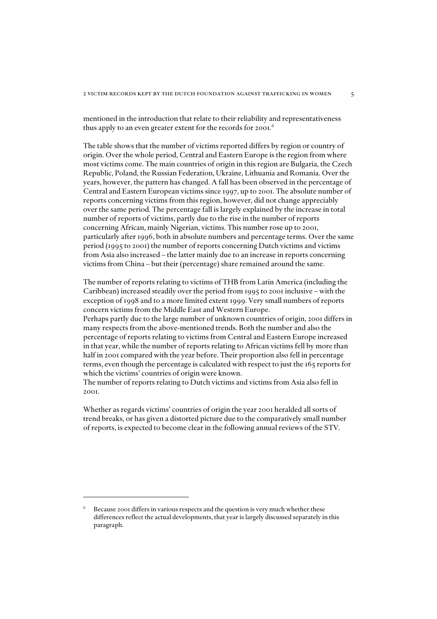mentioned in the introduction that relate to their reliability and representativeness thus apply to an even greater extent for the records for 2001.<sup>6</sup>

The table shows that the number of victims reported differs by region or country of origin. Over the whole period, Central and Eastern Europe is the region from where most victims come. The main countries of origin in this region are Bulgaria, the Czech Republic, Poland, the Russian Federation, Ukraine, Lithuania and Romania. Over the years, however, the pattern has changed. A fall has been observed in the percentage of Central and Eastern European victims since 1997, up to 2001. The absolute number of reports concerning victims from this region, however, did not change appreciably over the same period. The percentage fall is largely explained by the increase in total number of reports of victims, partly due to the rise in the number of reports concerning African, mainly Nigerian, victims. This number rose up to 2001, particularly after 1996, both in absolute numbers and percentage terms. Over the same period (1995 to 2001) the number of reports concerning Dutch victims and victims from Asia also increased – the latter mainly due to an increase in reports concerning victims from China – but their (percentage) share remained around the same.

The number of reports relating to victims of THB from Latin America (including the Caribbean) increased steadily over the period from 1995 to 2001 inclusive – with the exception of 1998 and to a more limited extent 1999. Very small numbers of reports concern victims from the Middle East and Western Europe.

Perhaps partly due to the large number of unknown countries of origin, 2001 differs in many respects from the above-mentioned trends. Both the number and also the percentage of reports relating to victims from Central and Eastern Europe increased in that year, while the number of reports relating to African victims fell by more than half in 2001 compared with the year before. Their proportion also fell in percentage terms, even though the percentage is calculated with respect to just the 165 reports for which the victims' countries of origin were known.

The number of reports relating to Dutch victims and victims from Asia also fell in 2001.

Whether as regards victims' countries of origin the year 2001 heralded all sorts of trend breaks, or has given a distorted picture due to the comparatively small number of reports, is expected to become clear in the following annual reviews of the STV.

<sup>6</sup> Because 2001 differs in various respects and the question is very much whether these differences reflect the actual developments, that year is largely discussed separately in this paragraph.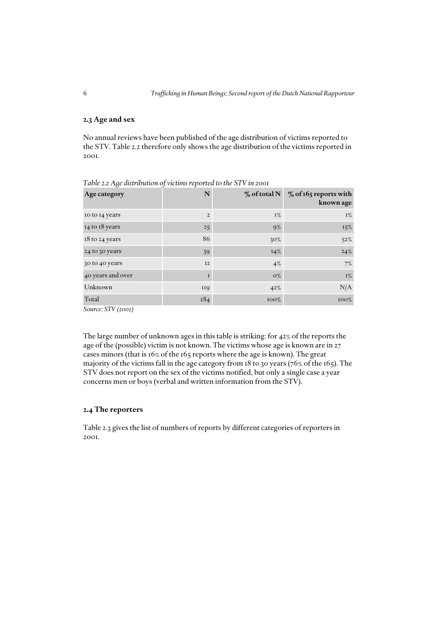### *2.3 Age and sex*

No annual reviews have been published of the age distribution of victims reported to the STV. Table 2.2 therefore only shows the age distribution of the victims reported in 2001.

| Age category      | N              | $\%$ of total N | % of 165 reports with<br>known age |
|-------------------|----------------|-----------------|------------------------------------|
| to to 14 years    | $\overline{2}$ | $I\%$           | $I\%$                              |
| 14 to 18 years    | 25             | $9\%$           | $15\%$                             |
| 18 to 24 years    | 86             | $30\%$          | $52\%$                             |
| 24 to 30 years    | 39             | $14\%$          | $24\%$                             |
| 30 to 40 years    | I2             | $4\%$           | 7%                                 |
| 40 years and over | I              | $O\%$           | $1\%$                              |
| Unknown           | <b>II9</b>     | 42%             | N/A                                |
| Total             | 284            | $100\%$         | 100%                               |

*Table 2.2 Age distribution of victims reported to the STV in 2001* 

*Source: STV (2002)*

The large number of unknown ages in this table is striking: for 42% of the reports the age of the (possible) victim is not known. The victims whose age is known are in 27 cases minors (that is 16% of the 165 reports where the age is known). The great majority of the victims fall in the age category from 18 to 30 years (76% of the 165). The STV does not report on the sex of the victims notified, but only a single case a year concerns men or boys (verbal and written information from the STV).

### *2.4 The reporters*

Table 2.3 gives the list of numbers of reports by different categories of reporters in 2001.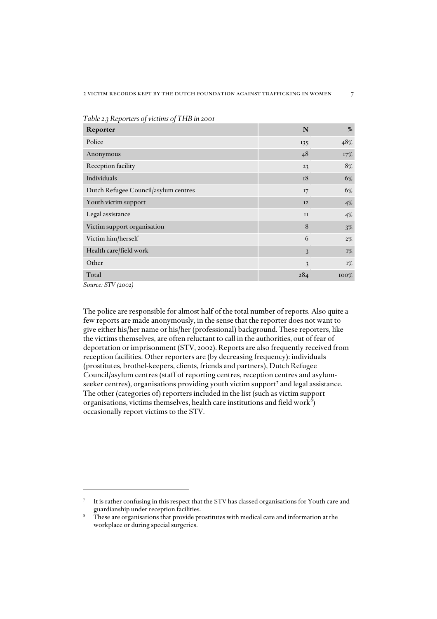| Reporter                             | N   | $\%$  |
|--------------------------------------|-----|-------|
| Police                               | 135 | 48%   |
| Anonymous                            | 48  | 17%   |
| Reception facility                   | 23  | $8\%$ |
| Individuals                          | 18  | 6%    |
| Dutch Refugee Council/asylum centres | 17  | 6%    |
| Youth victim support                 | I2  | 4%    |
| Legal assistance                     | II  | $4\%$ |
| Victim support organisation          | 8   | $3\%$ |
| Victim him/herself                   | 6   | $2\%$ |
| Health care/field work               | 3   | $I\%$ |
| Other                                | 3   | $I\%$ |
| Total                                | 284 | 100%  |

*Table 2.3 Reporters of victims of THB in 2001*

*Source: STV (2002)* 

The police are responsible for almost half of the total number of reports. Also quite a few reports are made anonymously, in the sense that the reporter does not want to give either his/her name or his/her (professional) background. These reporters, like the victims themselves, are often reluctant to call in the authorities, out of fear of deportation or imprisonment (STV, 2002). Reports are also frequently received from reception facilities. Other reporters are (by decreasing frequency): individuals (prostitutes, brothel-keepers, clients, friends and partners), Dutch Refugee Council/asylum centres (staff of reporting centres, reception centres and asylumseeker centres), organisations providing youth victim support<sup>7</sup> and legal assistance. The other (categories of) reporters included in the list (such as victim support organisations, victims themselves, health care institutions and field work $^8)$ occasionally report victims to the STV.

<sup>7</sup> It is rather confusing in this respect that the STV has classed organisations for Youth care and

These are organisations that provide prostitutes with medical care and information at the workplace or during special surgeries.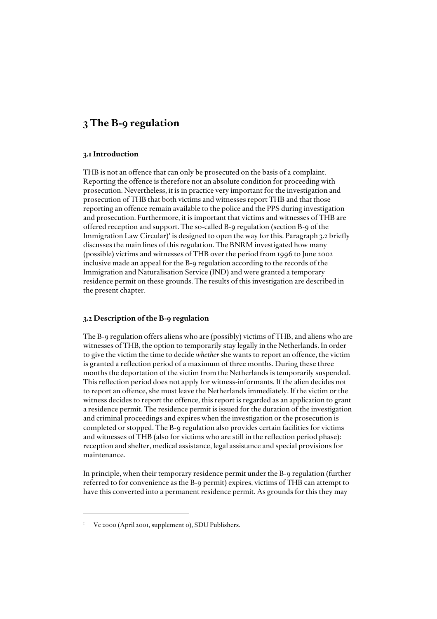### *3 The B-9 regulation*

### *3.1 Introduction*

THB is not an offence that can only be prosecuted on the basis of a complaint. Reporting the offence is therefore not an absolute condition for proceeding with prosecution. Nevertheless, it is in practice very important for the investigation and prosecution of THB that both victims and witnesses report THB and that those reporting an offence remain available to the police and the PPS during investigation and prosecution. Furthermore, it is important that victims and witnesses of THB are offered reception and support. The so-called B-9 regulation (section B-9 of the Immigration Law Circular)<sup>1</sup> is designed to open the way for this. Paragraph 3.2 briefly discusses the main lines of this regulation. The BNRM investigated how many (possible) victims and witnesses of THB over the period from 1996 to June 2002 inclusive made an appeal for the B-9 regulation according to the records of the Immigration and Naturalisation Service (IND) and were granted a temporary residence permit on these grounds. The results of this investigation are described in the present chapter.

### *3.2 Description of the B-9 regulation*

The B-9 regulation offers aliens who are (possibly) victims of THB, and aliens who are witnesses of THB, the option to temporarily stay legally in the Netherlands. In order to give the victim the time to decide *whether* she wants to report an offence, the victim is granted a reflection period of a maximum of three months. During these three months the deportation of the victim from the Netherlands is temporarily suspended. This reflection period does not apply for witness-informants. If the alien decides not to report an offence, she must leave the Netherlands immediately. If the victim or the witness decides to report the offence, this report is regarded as an application to grant a residence permit. The residence permit is issued for the duration of the investigation and criminal proceedings and expires when the investigation or the prosecution is completed or stopped. The B-9 regulation also provides certain facilities for victims and witnesses of THB (also for victims who are still in the reflection period phase): reception and shelter, medical assistance, legal assistance and special provisions for maintenance.

In principle, when their temporary residence permit under the B-9 regulation (further referred to for convenience as the B-9 permit) expires, victims of THB can attempt to have this converted into a permanent residence permit. As grounds for this they may

Vc 2000 (April 2001, supplement 0), SDU Publishers.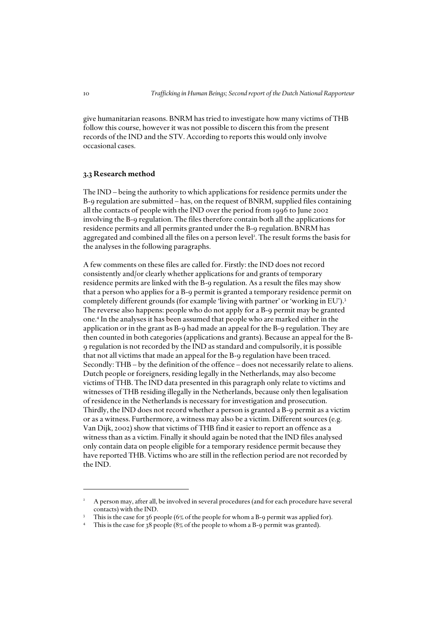give humanitarian reasons. BNRM has tried to investigate how many victims of THB follow this course, however it was not possible to discern this from the present records of the IND and the STV. According to reports this would only involve occasional cases.

### *3.3 Research method*

The IND – being the authority to which applications for residence permits under the B-9 regulation are submitted – has, on the request of BNRM, supplied files containing all the contacts of people with the IND over the period from 1996 to June 2002 involving the B-9 regulation. The files therefore contain both all the applications for residence permits and all permits granted under the B-9 regulation. BNRM has aggregated and combined all the files on a person level<sup>2</sup>. The result forms the basis for the analyses in the following paragraphs.

A few comments on these files are called for. Firstly: the IND does not record consistently and/or clearly whether applications for and grants of temporary residence permits are linked with the B-9 regulation. As a result the files may show that a person who applies for a B-9 permit is granted a temporary residence permit on completely different grounds (for example 'living with partner' or 'working in EU').<sup>3</sup> The reverse also happens: people who do not apply for a B-9 permit may be granted one.4 In the analyses it has been assumed that people who are marked either in the application or in the grant as B-9 had made an appeal for the B-9 regulation. They are then counted in both categories (applications and grants). Because an appeal for the B-9 regulation is not recorded by the IND as standard and compulsorily, it is possible that not all victims that made an appeal for the B-9 regulation have been traced. Secondly: THB – by the definition of the offence – does not necessarily relate to aliens. Dutch people or foreigners, residing legally in the Netherlands, may also become victims of THB. The IND data presented in this paragraph only relate to victims and witnesses of THB residing illegally in the Netherlands, because only then legalisation of residence in the Netherlands is necessary for investigation and prosecution. Thirdly, the IND does not record whether a person is granted a B-9 permit as a victim or as a witness. Furthermore, a witness may also be a victim. Different sources (e.g. Van Dijk, 2002) show that victims of THB find it easier to report an offence as a witness than as a victim. Finally it should again be noted that the IND files analysed only contain data on people eligible for a temporary residence permit because they have reported THB. Victims who are still in the reflection period are not recorded by the IND.

<sup>2</sup> A person may, after all, be involved in several procedures (and for each procedure have several contacts) with the IND.

<sup>3</sup> This is the case for 36 people (6% of the people for whom a B-9 permit was applied for).

<sup>4</sup> This is the case for 38 people (8% of the people to whom a B-9 permit was granted).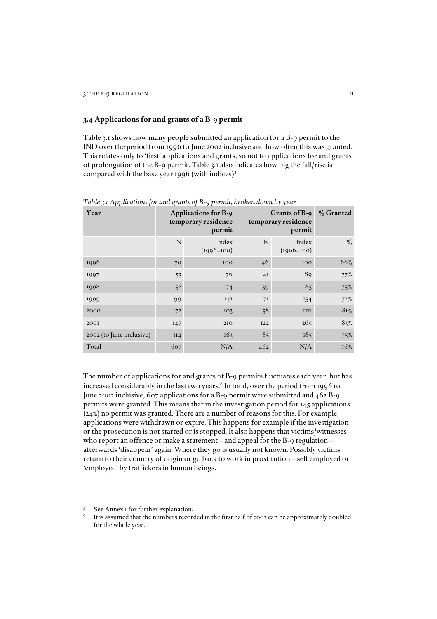### *3.4 Applications for and grants of a B-9 permit*

Table 3.1 shows how many people submitted an application for a B-9 permit to the IND over the period from 1996 to June 2002 inclusive and how often this was granted. This relates only to 'first' applications and grants, so not to applications for and grants of prolongation of the B-9 permit. Table 3.1 also indicates how big the fall/rise is compared with the base year 1996 (with indices) $5$ .

| Year                     |             | <b>Applications for B-9</b><br>temporary residence<br>permit | Grants of B-9<br>temporary residence | % Granted             |      |
|--------------------------|-------------|--------------------------------------------------------------|--------------------------------------|-----------------------|------|
|                          | $\mathbf N$ | Index<br>$(1996=100)$                                        | N                                    | Index<br>$(1996=100)$ | $\%$ |
| 1996                     | 70          | 100                                                          | 46                                   | 100                   | 66%  |
| 1997                     | 53          | 76                                                           | 4I                                   | 89                    | 77%  |
| 1998                     | 52          | 74                                                           | 39                                   | 85                    | 75%  |
| 1999                     | 99          | I4I                                                          | 7 <sub>I</sub>                       | 154                   | 72%  |
| 2000                     | 72          | I <sub>0</sub>                                               | 58                                   | 126                   | 81%  |
| 2001                     | 147         | 210                                                          | <b>I22</b>                           | 265                   | 83%  |
| 2002 (to June inclusive) | II4         | 163                                                          | 85                                   | 185                   | 75%  |
| Total                    | 607         | N/A                                                          | 462                                  | N/A                   | 76%  |

*Table 3.1 Applications for and grants of B-9 permit, broken down by year*

The number of applications for and grants of B-9 permits fluctuates each year, but has increased considerably in the last two years.<sup>6</sup> In total, over the period from 1996 to June 2002 inclusive, 607 applications for a B-9 permit were submitted and 462 B-9 permits were granted. This means that in the investigation period for 145 applications (24%) no permit was granted. There are a number of reasons for this. For example, applications were withdrawn or expire. This happens for example if the investigation or the prosecution is not started or is stopped. It also happens that victims/witnesses who report an offence or make a statement – and appeal for the B-9 regulation – afterwards 'disappear' again. Where they go is usually not known. Possibly victims return to their country of origin or go back to work in prostitution – self employed or 'employed' by traffickers in human beings.

<sup>5</sup> See Annex I for further explanation.

<sup>6</sup> It is assumed that the numbers recorded in the first half of 2002 can be approximately doubled for the whole year.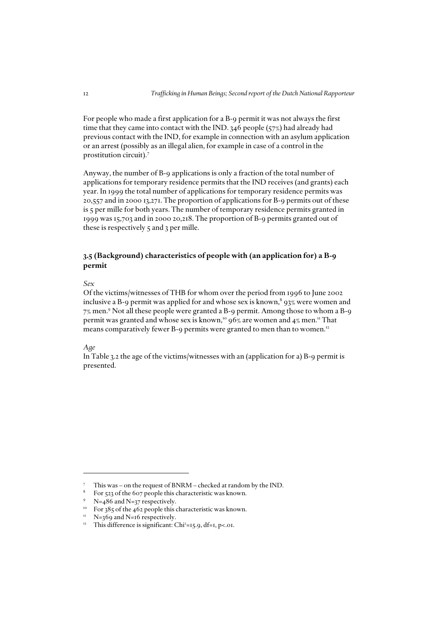For people who made a first application for a B-9 permit it was not always the first time that they came into contact with the IND. 346 people (57%) had already had previous contact with the IND, for example in connection with an asylum application or an arrest (possibly as an illegal alien, for example in case of a control in the prostitution circuit).<sup>7</sup>

Anyway, the number of B-9 applications is only a fraction of the total number of applications for temporary residence permits that the IND receives (and grants) each year. In 1999 the total number of applications for temporary residence permits was 20,557 and in 2000 13,271. The proportion of applications for B-9 permits out of these is 5 per mille for both years. The number of temporary residence permits granted in 1999 was 15,703 and in 2000 20,218. The proportion of B-9 permits granted out of these is respectively 5 and 3 per mille.

### *3.5 (Background) characteristics of people with (an application for) a B-9 permit*

### *Sex*

Of the victims/witnesses of THB for whom over the period from 1996 to June 2002 inclusive a B-9 permit was applied for and whose sex is known, $^8$  93% were women and 7% men.9 Not all these people were granted a B-9 permit. Among those to whom a B-9 permit was granted and whose sex is known,<sup>10</sup>  $96\%$  are women and  $4\%$  men.<sup>11</sup> That means comparatively fewer B-9 permits were granted to men than to women.<sup>12</sup>

### *Age*

In Table 3.2 the age of the victims/witnesses with an (application for a) B-9 permit is presented.

<sup>7</sup> This was – on the request of BNRM – checked at random by the IND.

<sup>&</sup>lt;sup>8</sup> For 523 of the 607 people this characteristic was known.

<sup>&</sup>lt;sup>9</sup> N=486 and N=37 respectively.

<sup>&</sup>lt;sup>10</sup> For 385 of the 462 people this characteristic was known.

 $N=369$  and N=16 respectively.

<sup>&</sup>lt;sup>12</sup> This difference is significant: Chi<sup>2</sup>=15.9, df=1, p<.01.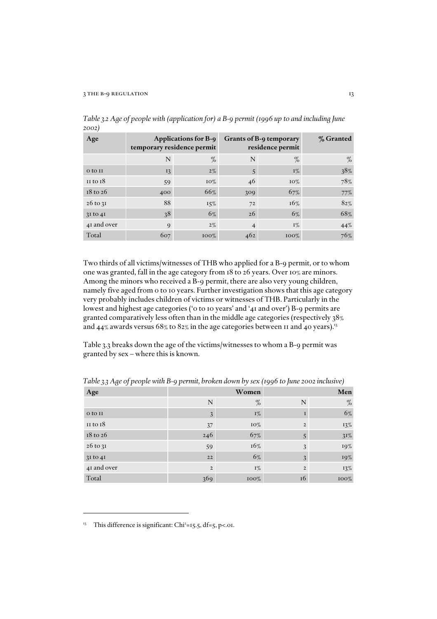| Age                 |             | <b>Applications for B-9</b><br>temporary residence permit | Grants of B-9 temporary<br>residence permit | % Granted |      |
|---------------------|-------------|-----------------------------------------------------------|---------------------------------------------|-----------|------|
|                     | N           | $\%$                                                      | N                                           | $\%$      | $\%$ |
| o to $II$           | 13          | $2\%$                                                     | 5                                           | $I\%$     | 38%  |
| $II$ to $I8$        | 59          | $10\%$                                                    | 46                                          | $10\%$    | 78%  |
| $18 \text{ to } 26$ | 400         | 66%                                                       | 309                                         | 67%       | 77%  |
| $26$ to $3I$        | 88          | 15%                                                       | 72                                          | 16%       | 82%  |
| $3I$ to $4I$        | 38          | $6\%$                                                     | 26                                          | $6\%$     | 68%  |
| 41 and over         | $\mathbf Q$ | $2\%$                                                     |                                             | $I\%$     | 44%  |
| Total               | 607         | $100\%$                                                   | 462                                         | $100\%$   | 76%  |

*Table 3.2 Age of people with (application for) a B-9 permit (1996 up to and including June 2002)*

Two thirds of all victims/witnesses of THB who applied for a B-9 permit, or to whom one was granted, fall in the age category from 18 to 26 years. Over 10% are minors. Among the minors who received a B-9 permit, there are also very young children, namely five aged from 0 to 10 years. Further investigation shows that this age category very probably includes children of victims or witnesses of THB. Particularly in the lowest and highest age categories ('0 to 10 years' and '41 and over') B-9 permits are granted comparatively less often than in the middle age categories (respectively 38% and 44% awards versus  $68\%$  to  $82\%$  in the age categories between 11 and 40 years).<sup>13</sup>

Table 3.3 breaks down the age of the victims/witnesses to whom a B-9 permit was granted by sex – where this is known.

| Age          |                | Women |               | Men    |
|--------------|----------------|-------|---------------|--------|
|              | N              | %     | N             | $\%$   |
| o to II      | 3              | $I\%$ |               | 6%     |
| $II$ to $I8$ | 37             | 10%   | $\mathcal{P}$ | $13\%$ |
| $18$ to $26$ | 246            | 67%   | 5             | $31\%$ |
| 26 to 31     | 59             | 16%   | 3             | 19%    |
| $3I$ to $4I$ | 22             | 6%    | 3             | 19%    |
| 41 and over  | $\overline{2}$ | $I\%$ | $\mathcal{P}$ | $13\%$ |
| Total        | 369            | 100%  | 16            | 100%   |

*Table 3.3 Age of people with B-9 permit, broken down by sex (1996 to June 2002 inclusive)*

<sup>&</sup>lt;sup>13</sup> This difference is significant: Chi<sup>2</sup>=15.5, df=5, p<.01.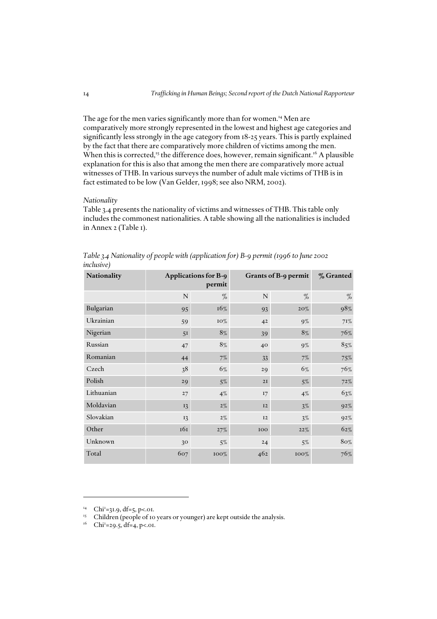The age for the men varies significantly more than for women.<sup>14</sup> Men are comparatively more strongly represented in the lowest and highest age categories and significantly less strongly in the age category from 18-25 years. This is partly explained by the fact that there are comparatively more children of victims among the men. When this is corrected,<sup>15</sup> the difference does, however, remain significant.<sup>16</sup> A plausible explanation for this is also that among the men there are comparatively more actual witnesses of THB. In various surveys the number of adult male victims of THB is in fact estimated to be low (Van Gelder, 1998; see also NRM, 2002).

### *Nationality*

Table 3.4 presents the nationality of victims and witnesses of THB. This table only includes the commonest nationalities. A table showing all the nationalities is included in Annex 2 (Table 1).

| Table 3.4 Nationality of people with (application for) B-9 permit (1996 to June 2002 |  |  |  |
|--------------------------------------------------------------------------------------|--|--|--|
| inclusive)                                                                           |  |  |  |
|                                                                                      |  |  |  |

| Nationality | <b>Applications for B-9</b><br>permit |       | Grants of B-9 permit | % Granted |        |
|-------------|---------------------------------------|-------|----------------------|-----------|--------|
|             | ${\bf N}$                             | $\%$  | ${\bf N}$            | %         | $\%$   |
| Bulgarian   | 95                                    | 16%   | 93                   | $20\%$    | 98%    |
| Ukrainian   | 59                                    | 10%   | 4 <sup>2</sup>       | $9\%$     | 71%    |
| Nigerian    | 5 <sup>I</sup>                        | 8%    | 39                   | 8%        | 76%    |
| Russian     | 47                                    | 8%    | 40                   | $9\%$     | $85\%$ |
| Romanian    | 44                                    | $7\%$ | 33                   | $7\%$     | 75%    |
| Czech       | 38                                    | 6%    | 29                   | 6%        | 76%    |
| Polish      | 29                                    | $5\%$ | $2I$                 | $5\%$     | 72%    |
| Lithuanian  | 27                                    | 4%    | 17                   | $4\%$     | 63%    |
| Moldavian   | 13                                    | $2\%$ | I2                   | $3\%$     | $92\%$ |
| Slovakian   | 13                                    | $2\%$ | I2                   | $3\%$     | $92\%$ |
| Other       | 161                                   | 27%   | 100                  | 22%       | 62%    |
| Unknown     | 30                                    | $5\%$ | 24                   | $5\%$     | 80%    |
| Total       | 607                                   | 100%  | 462                  | 100%      | 76%    |

<sup>&</sup>lt;sup>14</sup> Chi<sup>2</sup>=31.9, df=5, p<.01.

<sup>&</sup>lt;sup>15</sup> Children (people of 10 years or younger) are kept outside the analysis.

 $^{16}$  Chi<sup>2</sup>=29.5, df=4, p<.01.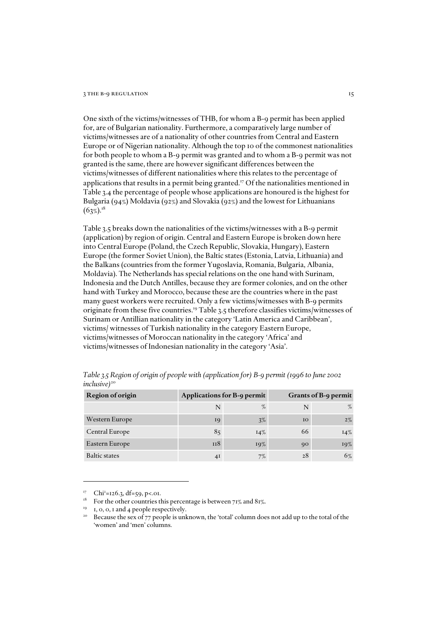#### 3 THE B-9 REGULATION 15

One sixth of the victims/witnesses of THB, for whom a B-9 permit has been applied for, are of Bulgarian nationality. Furthermore, a comparatively large number of victims/witnesses are of a nationality of other countries from Central and Eastern Europe or of Nigerian nationality. Although the top 10 of the commonest nationalities for both people to whom a B-9 permit was granted and to whom a B-9 permit was not granted is the same, there are however significant differences between the victims/witnesses of different nationalities where this relates to the percentage of applications that results in a permit being granted.<sup>17</sup> Of the nationalities mentioned in Table 3.4 the percentage of people whose applications are honoured is the highest for Bulgaria (94%) Moldavia (92%) and Slovakia (92%) and the lowest for Lithuanians  $(63\%)$ <sup>18</sup>

Table 3.5 breaks down the nationalities of the victims/witnesses with a B-9 permit (application) by region of origin. Central and Eastern Europe is broken down here into Central Europe (Poland, the Czech Republic, Slovakia, Hungary), Eastern Europe (the former Soviet Union), the Baltic states (Estonia, Latvia, Lithuania) and the Balkans (countries from the former Yugoslavia, Romania, Bulgaria, Albania, Moldavia). The Netherlands has special relations on the one hand with Surinam, Indonesia and the Dutch Antilles, because they are former colonies, and on the other hand with Turkey and Morocco, because these are the countries where in the past many guest workers were recruited. Only a few victims/witnesses with B-9 permits originate from these five countries.19 Table 3.5 therefore classifies victims/witnesses of Surinam or Antillian nationality in the category 'Latin America and Caribbean', victims/ witnesses of Turkish nationality in the category Eastern Europe, victims/witnesses of Moroccan nationality in the category 'Africa' and victims/witnesses of Indonesian nationality in the category 'Asia'.

| Region of origin     |     | Applications for B-9 permit | Grants of B-9 permit |        |  |
|----------------------|-----|-----------------------------|----------------------|--------|--|
|                      |     | $\%$                        |                      | $\%$   |  |
| Western Europe       | 19  | $3\%$                       | 10 <sup>°</sup>      | $2\%$  |  |
| Central Europe       | 85  | $14\%$                      | 66                   | $14\%$ |  |
| Eastern Europe       | 118 | 19%                         | 90                   | 19%    |  |
| <b>Baltic states</b> | 41  | 7%                          | 28                   | 6%     |  |

*Table 3.5 Region of origin of people with (application for) B-9 permit (1996 to June 2002 inclusive*)<sup>20</sup>

<sup>&</sup>lt;sup>17</sup> Chi<sup>2</sup>=126.3, df=59, p<.01.

 $18$  For the other countries this percentage is between 71% and 81%.

 $19$  1, 0, 0, 1 and 4 people respectively.

<sup>&</sup>lt;sup>20</sup> Because the sex of 77 people is unknown, the 'total' column does not add up to the total of the 'women' and 'men' columns.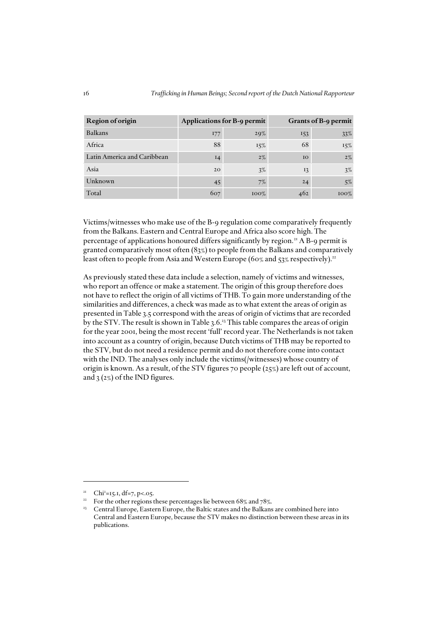| Region of origin            |           | Applications for B-9 permit | Grants of B-9 permit |         |  |
|-----------------------------|-----------|-----------------------------|----------------------|---------|--|
| <b>Balkans</b>              | 177       | 29%                         | 153                  | 33%     |  |
| Africa                      | 88        | 15%                         | 68                   | 15%     |  |
| Latin America and Caribbean | $I_4$     | $2\%$                       | IO                   | $2\%$   |  |
| Asia                        | <b>20</b> | 3%                          | 13                   | $3\%$   |  |
| Unknown                     | 45        | 7%                          | 24                   | 5%      |  |
| Total                       | 607       | $100\%$                     | 462                  | $100\%$ |  |

Victims/witnesses who make use of the B-9 regulation come comparatively frequently from the Balkans. Eastern and Central Europe and Africa also score high. The percentage of applications honoured differs significantly by region.<sup>21</sup> A B-9 permit is granted comparatively most often (83%) to people from the Balkans and comparatively least often to people from Asia and Western Europe (60% and 53% respectively).<sup>22</sup>

As previously stated these data include a selection, namely of victims and witnesses, who report an offence or make a statement. The origin of this group therefore does not have to reflect the origin of all victims of THB. To gain more understanding of the similarities and differences, a check was made as to what extent the areas of origin as presented in Table 3.5 correspond with the areas of origin of victims that are recorded by the STV. The result is shown in Table 3.6.<sup>23</sup> This table compares the areas of origin for the year 2001, being the most recent 'full' record year. The Netherlands is not taken into account as a country of origin, because Dutch victims of THB may be reported to the STV, but do not need a residence permit and do not therefore come into contact with the IND. The analyses only include the victims(/witnesses) whose country of origin is known. As a result, of the STV figures 70 people (25%) are left out of account, and  $3(2\%)$  of the IND figures.

<sup>21</sup> Chi2 =15.1, df=7, p<.05.

<sup>&</sup>lt;sup>22</sup> For the other regions these percentages lie between 68% and 78%.

Central Europe, Eastern Europe, the Baltic states and the Balkans are combined here into Central and Eastern Europe, because the STV makes no distinction between these areas in its publications.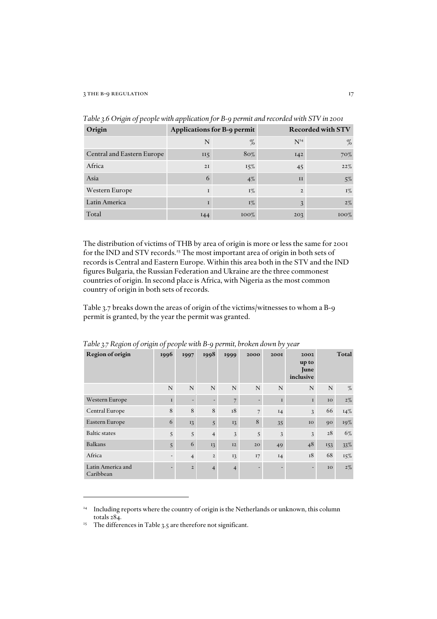| Origin                     |                 | Applications for B-9 permit | <b>Recorded with STV</b> |         |  |
|----------------------------|-----------------|-----------------------------|--------------------------|---------|--|
|                            | N               | %                           | $N^{24}$                 | $\%$    |  |
| Central and Eastern Europe | II <sub>5</sub> | 80%                         | I42                      | 70%     |  |
| Africa                     | 2I              | 15%                         | 45                       | 22%     |  |
| Asia                       | 6               | $4\%$                       | II                       | $5\%$   |  |
| Western Europe             | 1               | $I\%$                       | $\overline{2}$           | $I\%$   |  |
| Latin America              | 1               | $I\%$                       | 3                        | $2\%$   |  |
| Total                      | 144             | $100\%$                     | 203                      | $100\%$ |  |

*Table 3.6 Origin of people with application for B-9 permit and recorded with STV in 2001*

The distribution of victims of THB by area of origin is more or less the same for 2001 for the IND and STV records.<sup>25</sup> The most important area of origin in both sets of records is Central and Eastern Europe. Within this area both in the STV and the IND figures Bulgaria, the Russian Federation and Ukraine are the three commonest countries of origin. In second place is Africa, with Nigeria as the most common country of origin in both sets of records.

Table 3.7 breaks down the areas of origin of the victims/witnesses to whom a B-9 permit is granted, by the year the permit was granted.

| $\check{ }$<br>Region of origin | ັ້<br>1996               | 1997           | 1998           | 1999           | 2000                     | - -<br>2001 | 2002<br>up to<br>June<br>inclusive |     | Total  |
|---------------------------------|--------------------------|----------------|----------------|----------------|--------------------------|-------------|------------------------------------|-----|--------|
|                                 | N                        | $\mathbf N$    | N              | N              | $\mathbf N$              | N           | N                                  | N   | %      |
| Western Europe                  | $\mathbf{I}$             |                |                | $\overline{7}$ | $\overline{\phantom{a}}$ | $\mathbf I$ | $\mathbf I$                        | IO  | $2\%$  |
| Central Europe                  | 8                        | 8              | 8              | 18             | $\overline{7}$           | I4          | $\overline{3}$                     | 66  | $14\%$ |
| Eastern Europe                  | 6                        | 13             | 5              | 13             | 8                        | 35          | IO                                 | 90  | 19%    |
| <b>Baltic</b> states            | 5                        | 5              | $\overline{4}$ | 3              | 5                        | 3           | 3                                  | 28  | 6%     |
| <b>Balkans</b>                  | 5                        | 6              | 13             | 12             | 20                       | 49          | 48                                 | 153 | 33%    |
| Africa                          | $\overline{\phantom{0}}$ | $\overline{4}$ | $\overline{2}$ | 13             | 17                       | I4          | 18                                 | 68  | $15\%$ |
| Latin America and<br>Caribbean  |                          | $\overline{2}$ | $\overline{4}$ | $\overline{4}$ |                          |             |                                    | 10  | $2\%$  |

*Table 3.7 Region of origin of people with B-9 permit, broken down by year*

<sup>&</sup>lt;sup>24</sup> Including reports where the country of origin is the Netherlands or unknown, this column totals 284.

<sup>&</sup>lt;sup>25</sup> The differences in Table 3.5 are therefore not significant.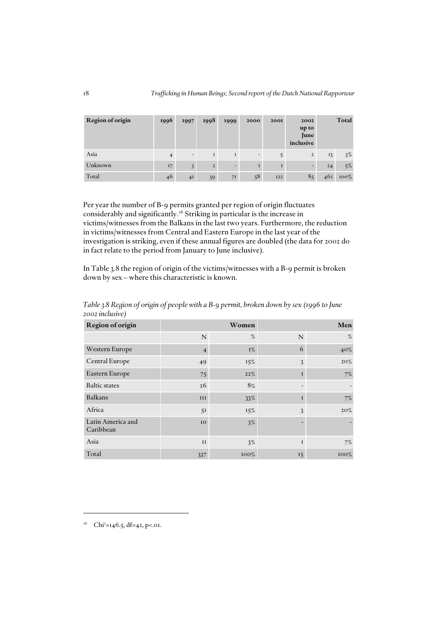| Region of origin | 1996 | 1997           | 1998           | 1999 | 2000                     | <b>200I</b> | 2002<br>up to<br>June<br>inclusive |         | Total   |
|------------------|------|----------------|----------------|------|--------------------------|-------------|------------------------------------|---------|---------|
| Asia             |      | -              | $\mathbf I$    |      | $\overline{\phantom{a}}$ |             | $\overline{2}$                     | $_{13}$ | $3\%$   |
| Unknown          | I7   | $\overline{3}$ | $\overline{2}$ |      | $\mathbf{I}$             |             | -                                  | 24      | $5\%$   |
| Total            | 46   | 4I             | 39             | 71   | 58                       | <b>I22</b>  | 85                                 | 462     | $100\%$ |

Per year the number of B-9 permits granted per region of origin fluctuates considerably and significantly.26 Striking in particular is the increase in victims/witnesses from the Balkans in the last two years. Furthermore, the reduction in victims/witnesses from Central and Eastern Europe in the last year of the investigation is striking, even if these annual figures are doubled (the data for 2002 do in fact relate to the period from January to June inclusive).

In Table 3.8 the region of origin of the victims/witnesses with a B-9 permit is broken down by sex – where this characteristic is known.

| Region of origin               |         | Women   | Men         |         |  |
|--------------------------------|---------|---------|-------------|---------|--|
|                                | N       | %       | N           | %       |  |
| Western Europe                 | 4       | $I\%$   | 6           | 40%     |  |
| Central Europe                 | 49      | $15\%$  | 3           | $20\%$  |  |
| Eastern Europe                 | 75      | 22%     | $\mathbf I$ | 7%      |  |
| <b>Baltic states</b>           | 26      | $8\%$   |             |         |  |
| <b>Balkans</b>                 | III     | 33%     | I           | $7\%$   |  |
| Africa                         | 51      | $15\%$  | 3           | $20\%$  |  |
| Latin America and<br>Caribbean | IO      | $3\%$   |             |         |  |
| Asia                           | $_{II}$ | $3\%$   | $\mathbf I$ | 7%      |  |
| Total                          | 337     | $100\%$ | 15          | $100\%$ |  |

*Table 3.8 Region of origin of people with a B-9 permit, broken down by sex (1996 to June 2002 inclusive)*

<sup>26</sup> Chi<sup>2</sup>=146.5, df=42, p<.01.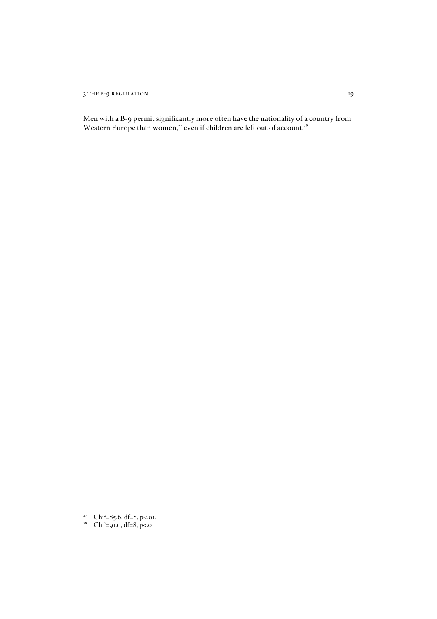3 THE B-9 REGULATION 19

Men with a B-9 permit significantly more often have the nationality of a country from Western Europe than women, $^{27}$  even if children are left out of account. $^{28}$ 

 $27$  Chi<sup>2</sup>=85.6, df=8, p<.01.

<sup>&</sup>lt;sup>28</sup> Chi<sup>2</sup>=91.0, df=8, p<.01.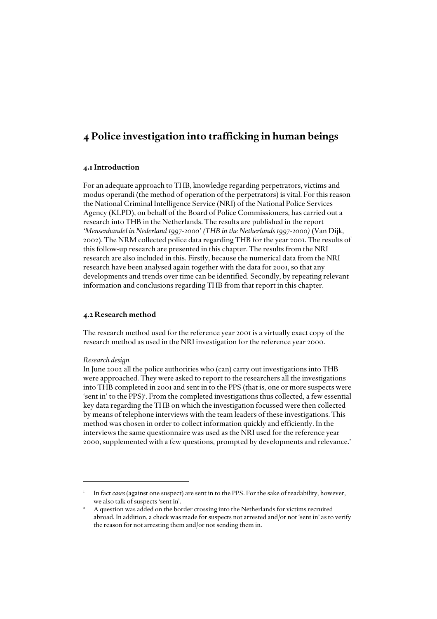### *4 Police investigation into trafficking in human beings*

### *4.1 Introduction*

For an adequate approach to THB, knowledge regarding perpetrators, victims and modus operandi (the method of operation of the perpetrators) is vital. For this reason the National Criminal Intelligence Service (NRI) of the National Police Services Agency (KLPD), on behalf of the Board of Police Commissioners, has carried out a research into THB in the Netherlands. The results are published in the report *'Mensenhandel in Nederland 1997-2000' (THB in the Netherlands 1997-2000)* (Van Dijk, 2002). The NRM collected police data regarding THB for the year 2001. The results of this follow-up research are presented in this chapter. The results from the NRI research are also included in this. Firstly, because the numerical data from the NRI research have been analysed again together with the data for 2001, so that any developments and trends over time can be identified. Secondly, by repeating relevant information and conclusions regarding THB from that report in this chapter.

### *4.2 Research method*

The research method used for the reference year 2001 is a virtually exact copy of the research method as used in the NRI investigation for the reference year 2000.

### *Research design*

In June 2002 all the police authorities who (can) carry out investigations into THB were approached. They were asked to report to the researchers all the investigations into THB completed in 2001 and sent in to the PPS (that is, one or more suspects were 'sent in' to the PPS)<sup>1</sup>. From the completed investigations thus collected, a few essential key data regarding the THB on which the investigation focussed were then collected by means of telephone interviews with the team leaders of these investigations. This method was chosen in order to collect information quickly and efficiently. In the interviews the same questionnaire was used as the NRI used for the reference year 2000, supplemented with a few questions, prompted by developments and relevance.<sup>2</sup>

<sup>1</sup> In fact *cases* (against one suspect) are sent in to the PPS. For the sake of readability, however, we also talk of suspects 'sent in'.

<sup>2</sup> A question was added on the border crossing into the Netherlands for victims recruited abroad. In addition, a check was made for suspects not arrested and/or not 'sent in' as to verify the reason for not arresting them and/or not sending them in.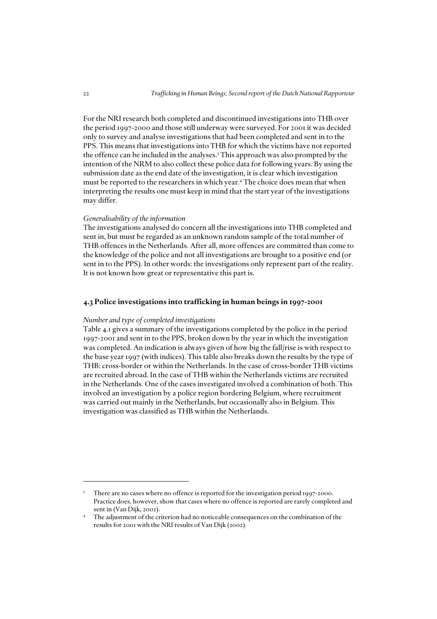For the NRI research both completed and discontinued investigations into THB over the period 1997-2000 and those still underway were surveyed. For 2001 it was decided only to survey and analyse investigations that had been completed and sent in to the PPS. This means that investigations into THB for which the victims have not reported the offence can be included in the analyses.3 This approach was also prompted by the intention of the NRM to also collect these police data for following years. By using the submission date as the end date of the investigation, it is clear which investigation must be reported to the researchers in which year.4 The choice does mean that when interpreting the results one must keep in mind that the start year of the investigations may differ.

### *Generalisability of the information*

The investigations analysed do concern all the investigations into THB completed and sent in, but must be regarded as an unknown random sample of the total number of THB offences in the Netherlands. After all, more offences are committed than come to the knowledge of the police and not all investigations are brought to a positive end (or sent in to the PPS). In other words: the investigations only represent part of the reality. It is not known how great or representative this part is.

### *4.3 Police investigations into trafficking in human beings in 1997-2001*

### *Number and type of completed investigations*

Table 4.1 gives a summary of the investigations completed by the police in the period 1997-2001 and sent in to the PPS, broken down by the year in which the investigation was completed. An indication is always given of how big the fall/rise is with respect to the base year 1997 (with indices). This table also breaks down the results by the type of THB: cross-border or within the Netherlands. In the case of cross-border THB victims are recruited abroad. In the case of THB within the Netherlands victims are recruited in the Netherlands. One of the cases investigated involved a combination of both. This involved an investigation by a police region bordering Belgium, where recruitment was carried out mainly in the Netherlands, but occasionally also in Belgium. This investigation was classified as THB within the Netherlands.

There are no cases where no offence is reported for the investigation period 1997-2000. Practice does, however, show that cases where no offence is reported are rarely completed and sent in (Van Dijk, 2002).

The adjustment of the criterion had no noticeable consequences on the combination of the results for 2001 with the NRI results of Van Dijk (2002).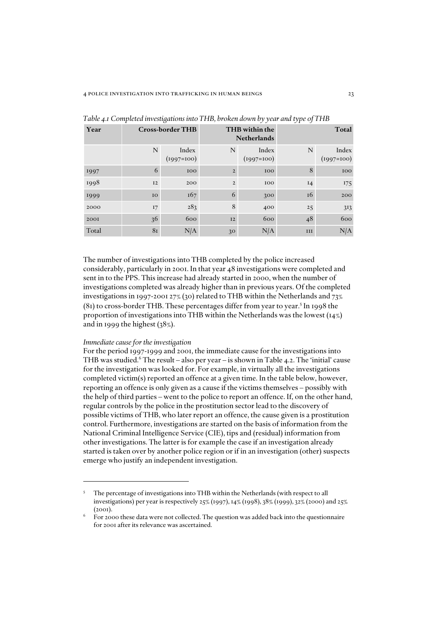| Year  | <b>Cross-border THB</b> |                       |                | THB within the<br><b>Netherlands</b> | Total |                       |  |
|-------|-------------------------|-----------------------|----------------|--------------------------------------|-------|-----------------------|--|
|       | N                       | Index<br>$(1997=100)$ | N              | Index<br>$(1997=100)$                | N     | Index<br>$(1997=100)$ |  |
| 1997  | 6                       | 100                   | $\overline{2}$ | 100                                  | 8     | 100                   |  |
| 1998  | 12                      | 200                   | $\overline{2}$ | 100                                  | $I_4$ | 175                   |  |
| 1999  | IO                      | 167                   | 6              | 300                                  | 16    | 200                   |  |
| 2000  | 17                      | 283                   | 8              | 400                                  | 25    | 3 <sub>13</sub>       |  |
| 2001  | 36                      | 600                   | I2             | 600                                  | 48    | 600                   |  |
| Total | 8 <sub>I</sub>          | N/A                   | 3 <sup>o</sup> | N/A                                  | III   | N/A                   |  |

*Table 4.1 Completed investigations into THB, broken down by year and type of THB*

The number of investigations into THB completed by the police increased considerably, particularly in 2001. In that year 48 investigations were completed and sent in to the PPS. This increase had already started in 2000, when the number of investigations completed was already higher than in previous years. Of the completed investigations in 1997-2001 27% (30) related to THB within the Netherlands and 73%  $(8I)$  to cross-border THB. These percentages differ from year to year.<sup>5</sup> In 1998 the proportion of investigations into THB within the Netherlands was the lowest (14%) and in 1999 the highest (38%).

### *Immediate cause for the investigation*

For the period 1997-1999 and 2001, the immediate cause for the investigations into THB was studied.<sup>6</sup> The result – also per year – is shown in Table 4.2. The 'initial' cause for the investigation was looked for. For example, in virtually all the investigations completed victim(s) reported an offence at a given time. In the table below, however, reporting an offence is only given as a cause if the victims themselves – possibly with the help of third parties – went to the police to report an offence. If, on the other hand, regular controls by the police in the prostitution sector lead to the discovery of possible victims of THB, who later report an offence, the cause given is a prostitution control. Furthermore, investigations are started on the basis of information from the National Criminal Intelligence Service (CIE), tips and (residual) information from other investigations. The latter is for example the case if an investigation already started is taken over by another police region or if in an investigation (other) suspects emerge who justify an independent investigation.

<sup>5</sup> The percentage of investigations into THB within the Netherlands (with respect to all investigations) per year is respectively 25% (1997), 14% (1998), 38% (1999), 32% (2000) and 25%  $(2001)$ .

<sup>6</sup> For 2000 these data were not collected. The question was added back into the questionnaire for 2001 after its relevance was ascertained.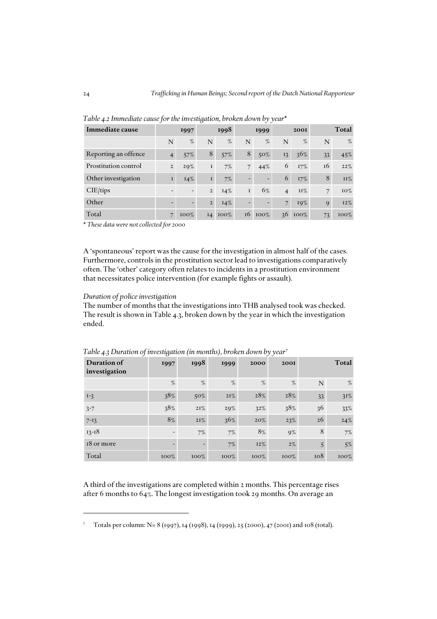| Immediate cause      |                          | 1997                     |                | 1998    |                          | 1999                     |                | <b>2001</b> |    | Total   |
|----------------------|--------------------------|--------------------------|----------------|---------|--------------------------|--------------------------|----------------|-------------|----|---------|
|                      | N                        | $\%$                     | N              | $\%$    | N                        | $\%$                     | N              | $\%$        | N  | $\%$    |
| Reporting an offence | $\overline{4}$           | 57%                      | 8              | 57%     | 8                        | $50\%$                   | 13             | 36%         | 33 | 45%     |
| Prostitution control | $\overline{2}$           | 29%                      | $\bf I$        | 7%      | $\overline{7}$           | 44%                      | 6              | 17%         | 16 | 22%     |
| Other investigation  | $\bf I$                  | $14\%$                   | $\mathbf I$    | $7\%$   | $\overline{\phantom{0}}$ | $\overline{\phantom{0}}$ | 6              | $17\%$      | 8  | $II\%$  |
| CIE/tips             | $\overline{\phantom{0}}$ | $\overline{\phantom{0}}$ | $\overline{2}$ | 14%     | I                        | 6%                       | $\overline{4}$ | $II\%$      | 7  | 10%     |
| Other                | $\overline{\phantom{0}}$ | $\overline{\phantom{a}}$ | $\overline{2}$ | $I4\%$  |                          | $\overline{\phantom{0}}$ | $\overline{7}$ | 19%         | 9  | 12%     |
| Total                | 7                        | $100\%$                  | I4             | $100\%$ | 16                       | $100\%$                  | 36             | $100\%$     | 73 | $100\%$ |

*Table 4.2 Immediate cause for the investigation, broken down by year\**

\* *These data were not collected for 2000* 

A 'spontaneous' report was the cause for the investigation in almost half of the cases. Furthermore, controls in the prostitution sector lead to investigations comparatively often. The 'other' category often relates to incidents in a prostitution environment that necessitates police intervention (for example fights or assault).

### *Duration of police investigation*

The number of months that the investigations into THB analysed took was checked. The result is shown in Table 4.3, broken down by the year in which the investigation ended.

| Duration of<br>investigation | 1997    | 1998                     | 1999    | 2000    | <b>200I</b> |     | <b>Total</b> |
|------------------------------|---------|--------------------------|---------|---------|-------------|-----|--------------|
|                              | %       | %                        | %       | %       | %           | N   | $\%$         |
| $I-3$                        | 38%     | $50\%$                   | 2I%     | 28%     | 28%         | 33  | $31\%$       |
| $3 - 7$                      | 38%     | 2I%                      | 29%     | 32%     | 38%         | 36  | 33%          |
| $7 - 13$                     | 8%      | 2I%                      | 36%     | $20\%$  | 23%         | 26  | 24%          |
| $13 - 18$                    |         | 7%                       | 7%      | 8%      | $9\%$       | 8   | 7%           |
| 18 or more                   |         | $\overline{\phantom{0}}$ | $7\%$   | $12\%$  | $2\%$       | 5   | $5\%$        |
| Total                        | $100\%$ | $100\%$                  | $100\%$ | $100\%$ | $100\%$     | 108 | 100%         |

*Table 4.3 Duration of investigation (in months), broken down by year*<sup>7</sup>

A third of the investigations are completed within 2 months. This percentage rises after 6 months to 64%. The longest investigation took 29 months. On average an

<sup>7</sup> Totals per column: N= 8 (1997), 14 (1998), 14 (1999), 25 (2000), 47 (2001) and 108 (total).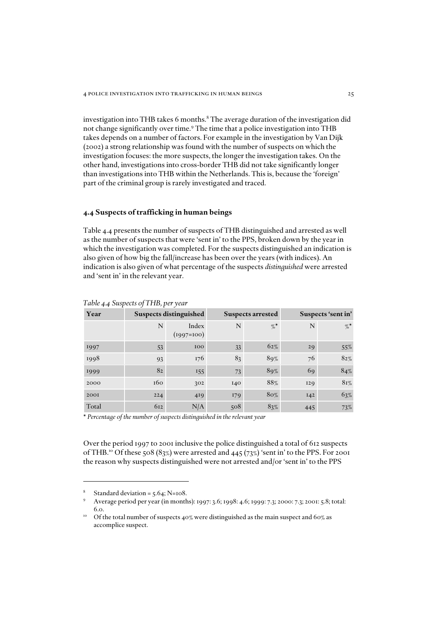investigation into THB takes 6 months.<sup>8</sup> The average duration of the investigation did not change significantly over time.<sup>9</sup> The time that a police investigation into THB takes depends on a number of factors. For example in the investigation by Van Dijk (2002) a strong relationship was found with the number of suspects on which the investigation focuses: the more suspects, the longer the investigation takes. On the other hand, investigations into cross-border THB did not take significantly longer than investigations into THB within the Netherlands. This is, because the 'foreign' part of the criminal group is rarely investigated and traced.

### *4.4 Suspects of trafficking in human beings*

Table 4.4 presents the number of suspects of THB distinguished and arrested as well as the number of suspects that were 'sent in' to the PPS, broken down by the year in which the investigation was completed. For the suspects distinguished an indication is also given of how big the fall/increase has been over the years (with indices). An indication is also given of what percentage of the suspects *distinguished* were arrested and 'sent in' in the relevant year.

| Year  |     | <b>Suspects distinguished</b> |     | <b>Suspects arrested</b> | Suspects 'sent in' |      |
|-------|-----|-------------------------------|-----|--------------------------|--------------------|------|
|       | N   | Index<br>$(1997=100)$         | N   | $\%$                     | N                  | $\%$ |
| 1997  | 53  | 100                           | 33  | $62\%$                   | 29                 | 55%  |
| 1998  | 93  | 176                           | 83  | 89%                      | 76                 | 82%  |
| 1999  | 82  | 155                           | 73  | 89%                      | 69                 | 84%  |
| 2000  | 160 | 302                           | 140 | 88%                      | <b>129</b>         | 8r%  |
| 2001  | 224 | 419                           | 179 | 80%                      | I42                | 63%  |
| Total | 612 | N/A                           | 508 | 83%                      | 445                | 73%  |

*Table 4.4 Suspects of THB, per year*

\* *Percentage of the number of suspects distinguished in the relevant year*

Over the period 1997 to 2001 inclusive the police distinguished a total of 612 suspects of THB.<sup>10</sup> Of these 508 (83%) were arrested and 445 (73%) 'sent in' to the PPS. For 2001 the reason why suspects distinguished were not arrested and/or 'sent in' to the PPS

<sup>8</sup> Standard deviation = 5.64; N=108.

<sup>9</sup> Average period per year (in months): 1997: 3.6; 1998: 4.6; 1999: 7.3; 2000: 7.3; 2001: 5.8; total: 6.0.

 $^{10}$  Of the total number of suspects 40% were distinguished as the main suspect and 60% as accomplice suspect.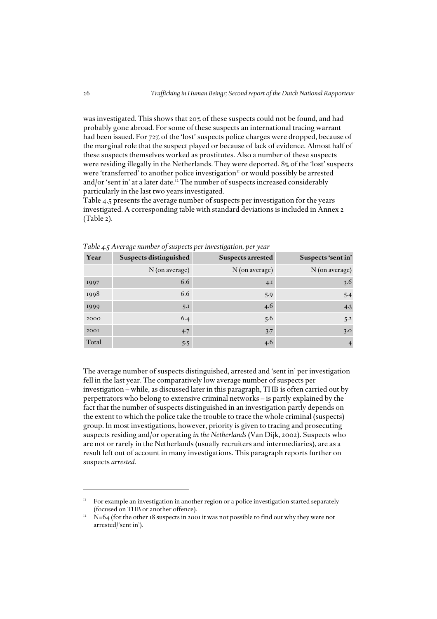was investigated. This shows that 20% of these suspects could not be found, and had probably gone abroad. For some of these suspects an international tracing warrant had been issued. For 72% of the 'lost' suspects police charges were dropped, because of the marginal role that the suspect played or because of lack of evidence. Almost half of these suspects themselves worked as prostitutes. Also a number of these suspects were residing illegally in the Netherlands. They were deported. 8% of the 'lost' suspects were 'transferred' to another police investigation" or would possibly be arrested and/or 'sent in' at a later date.<sup>12</sup> The number of suspects increased considerably particularly in the last two years investigated.

Table 4.5 presents the average number of suspects per investigation for the years investigated. A corresponding table with standard deviations is included in Annex 2 (Table 2).

| Year  | <b>Suspects distinguished</b> | <b>Suspects arrested</b> | Suspects 'sent in' |
|-------|-------------------------------|--------------------------|--------------------|
|       | N (on average)                | N (on average)           | N (on average)     |
| 1997  | 6.6                           | 4.1                      | 3.6                |
| 1998  | 6.6                           | 5.9                      | 5.4                |
| 1999  | 5.1                           | 4.6                      | 4.3                |
| 2000  | 6.4                           | 5.6                      | 5.2                |
| 2001  | 4.7                           | 3.7                      | 3.0                |
| Total | 5.5                           | 4.6                      |                    |

*Table 4.5 Average number of suspects per investigation, per year*

The average number of suspects distinguished, arrested and 'sent in' per investigation fell in the last year. The comparatively low average number of suspects per investigation – while, as discussed later in this paragraph, THB is often carried out by perpetrators who belong to extensive criminal networks – is partly explained by the fact that the number of suspects distinguished in an investigation partly depends on the extent to which the police take the trouble to trace the whole criminal (suspects) group. In most investigations, however, priority is given to tracing and prosecuting suspects residing and/or operating *in the Netherlands* (Van Dijk, 2002). Suspects who are not or rarely in the Netherlands (usually recruiters and intermediaries), are as a result left out of account in many investigations. This paragraph reports further on suspects *arrested*.

For example an investigation in another region or a police investigation started separately (focused on THB or another offence).

 $12$  N=64 (for the other 18 suspects in 2001 it was not possible to find out why they were not arrested/'sent in').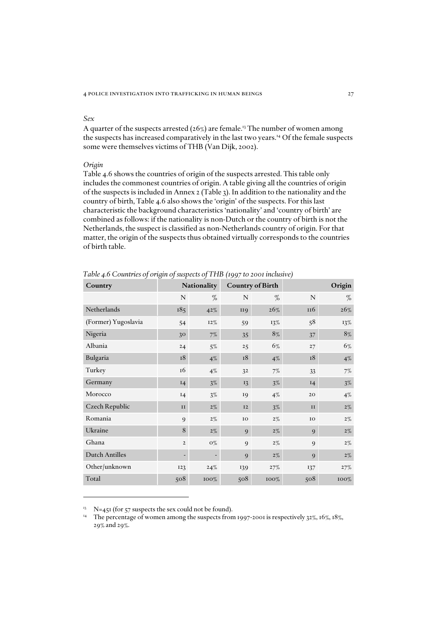### *Sex*

A quarter of the suspects arrested ( $26\%$ ) are female.<sup>13</sup> The number of women among the suspects has increased comparatively in the last two years.14 Of the female suspects some were themselves victims of THB (Van Dijk, 2002).

### *Origin*

Table 4.6 shows the countries of origin of the suspects arrested. This table only includes the commonest countries of origin. A table giving all the countries of origin of the suspects is included in Annex 2 (Table 3). In addition to the nationality and the country of birth, Table 4.6 also shows the 'origin' of the suspects. For this last characteristic the background characteristics 'nationality' and 'country of birth' are combined as follows: if the nationality is non-Dutch or the country of birth is not the Netherlands, the suspect is classified as non-Netherlands country of origin. For that matter, the origin of the suspects thus obtained virtually corresponds to the countries of birth table.

| Country               |                          | <b>Nationality</b> |                 | <b>Country of Birth</b> | Origin      |       |  |  |
|-----------------------|--------------------------|--------------------|-----------------|-------------------------|-------------|-------|--|--|
|                       | $\mathbf N$              | %                  | $\mathbb N$     | %                       | ${\bf N}$   | %     |  |  |
| Netherlands           | 185                      | 42%                | II <sub>9</sub> | 26%                     | 116         | 26%   |  |  |
| (Former) Yugoslavia   | 54                       | 12%                | 59              | 13%                     | 58          | 13%   |  |  |
| Nigeria               | 30 <sup>°</sup>          | 7%                 | 35              | 8%                      | 37          | $8\%$ |  |  |
| Albania               | 24                       | $5\%$              | 25              | 6%                      | 27          | 6%    |  |  |
| Bulgaria              | $^{\rm I8}$              | $4\%$              | $^{\rm I8}$     | $4\%$                   | $^{\rm I8}$ | 4%    |  |  |
| Turkey                | 16                       | $4\%$              | 3 <sup>2</sup>  | 7%                      | 33          | $7\%$ |  |  |
| Germany               | 14                       | $3\%$              | 13              | $3\%$                   | I4          | $3\%$ |  |  |
| Morocco               | 14                       | $3\%$              | 19              | $4\%$                   | 20          | $4\%$ |  |  |
| Czech Republic        | II                       | $2\%$              | 12              | $3\%$                   | II          | $2\%$ |  |  |
| Romania               | $\mathbf{Q}$             | $2\%$              | ${\bf IO}$      | $2\%$                   | IO          | $2\%$ |  |  |
| Ukraine               | 8                        | $2\%$              | 9               | $2\%$                   | 9           | $2\%$ |  |  |
| Ghana                 | $\overline{2}$           | $O\%$              | 9               | $2\%$                   | 9           | $2\%$ |  |  |
| <b>Dutch Antilles</b> | $\overline{\phantom{0}}$ |                    | 9               | $2\%$                   | 9           | $2\%$ |  |  |
| Other/unknown         | 123                      | 24%                | 139             | 27%                     | 137         | 27%   |  |  |
| Total                 | 508                      | 100%               | 508             | 100%                    | 508         | 100%  |  |  |

*Table 4.6 Countries of origin of suspects of THB (1997 to 2001 inclusive)*

 $13$  N=451 (for 57 suspects the sex could not be found).

<sup>&</sup>lt;sup>14</sup> The percentage of women among the suspects from 1997-2001 is respectively 32%, 16%, 18%, 29% and 29%.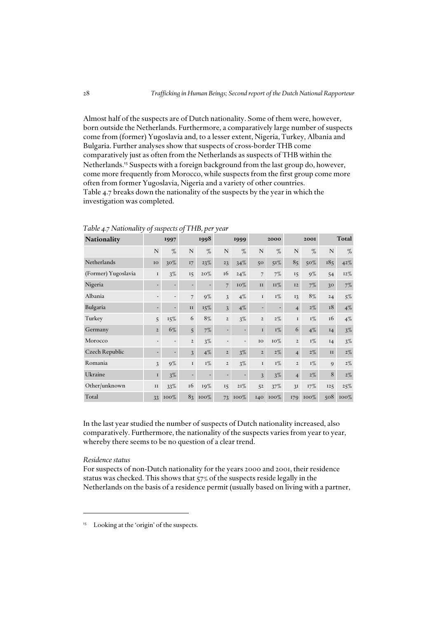Almost half of the suspects are of Dutch nationality. Some of them were, however, born outside the Netherlands. Furthermore, a comparatively large number of suspects come from (former) Yugoslavia and, to a lesser extent, Nigeria, Turkey, Albania and Bulgaria. Further analyses show that suspects of cross-border THB come comparatively just as often from the Netherlands as suspects of THB within the Netherlands.<sup>15</sup> Suspects with a foreign background from the last group do, however, come more frequently from Morocco, while suspects from the first group come more often from former Yugoslavia, Nigeria and a variety of other countries. Table 4.7 breaks down the nationality of the suspects by the year in which the investigation was completed.

| Nationality         | 1997           |                          | 1998           |         | 1999                     |                          | 2000           |            | 2001           |       | Total           |       |
|---------------------|----------------|--------------------------|----------------|---------|--------------------------|--------------------------|----------------|------------|----------------|-------|-----------------|-------|
|                     | N              | $\%$                     | $\mathbf N$    | $\%$    | $\mathbf N$              | %                        | $\mathbf N$    | $\%$       | N              | $\%$  | $\mathbf N$     | $\%$  |
| Netherlands         | IO             | 30%                      | 17             | 23%     | 23                       | 34%                      | 50             | $51\%$     | 85             | 50%   | 185             | 42%   |
| (Former) Yugoslavia | $\bf I$        | 3%                       | 15             | 20%     | 16                       | 24%                      | $\overline{7}$ | $7\%$      | 15             | $9\%$ | 54              | 12%   |
| Nigeria             | ٠              |                          | ٠              |         | $\overline{7}$           | 10%                      | II             | <b>11%</b> | <b>I2</b>      | $7\%$ | 30 <sup>°</sup> | 7%    |
| Albania             | $\overline{a}$ | $\overline{\phantom{0}}$ | $\overline{7}$ | $9\%$   | $\overline{3}$           | $4\%$                    | $\bf I$        | $I\%$      | 13             | 8%    | 24              | $5\%$ |
| Bulgaria            | ۰              | ٠                        | II             | $15\%$  | $\mathcal{E}$            | $4\%$                    |                | ٠          | $\overline{4}$ | $2\%$ | 18              | $4\%$ |
| Turkey              | 5              | 15%                      | 6              | 8%      | $\overline{2}$           | $3\%$                    | $\mathbf 2$    | $2\%$      | $\mathbf I$    | $I\%$ | 16              | $4\%$ |
| Germany             | $\overline{2}$ | 6%                       | 5              | $7\%$   |                          |                          | $\bf I$        | $I\%$      | 6              | $4\%$ | I4              | $3\%$ |
| Morocco             | $\overline{a}$ | $\overline{\phantom{0}}$ | $\overline{2}$ | $3\%$   | $\overline{\phantom{0}}$ | $\overline{\phantom{a}}$ | IO             | 10%        | $\overline{2}$ | $I\%$ | 14              | $3\%$ |
| Czech Republic      | ۰              |                          | $\overline{3}$ | $4\%$   | $\overline{2}$           | $3\%$                    | $\overline{2}$ | $2\%$      | $\overline{4}$ | $2\%$ | II              | $2\%$ |
| Romania             | 3              | $9\%$                    | $\bf I$        | $I\%$   | $\overline{2}$           | $3\%$                    | $\bf I$        | $I\%$      | $\overline{2}$ | $I\%$ | 9               | $2\%$ |
| Ukraine             | $\bf I$        | $3\%$                    | ÷,             |         | -                        |                          | $\overline{3}$ | $3\%$      | $\overline{4}$ | $2\%$ | 8               | $2\%$ |
| Other/unknown       | II             | 33%                      | 16             | 19%     | 15                       | 2I%                      | 52             | 37%        | 3I             | 17%   | 125             | 25%   |
| Total               | 33             | $100\%$                  | 83             | $100\%$ | 73                       | $100\%$                  | 140            | $100\%$    | 179            | 100%  | 508             | 100%  |

*Table 4.7 Nationality of suspects of THB, per year*

In the last year studied the number of suspects of Dutch nationality increased, also comparatively. Furthermore, the nationality of the suspects varies from year to year, whereby there seems to be no question of a clear trend.

### *Residence status*

For suspects of non-Dutch nationality for the years 2000 and 2001, their residence status was checked. This shows that 57% of the suspects reside legally in the Netherlands on the basis of a residence permit (usually based on living with a partner,

<sup>&</sup>lt;sup>15</sup> Looking at the 'origin' of the suspects.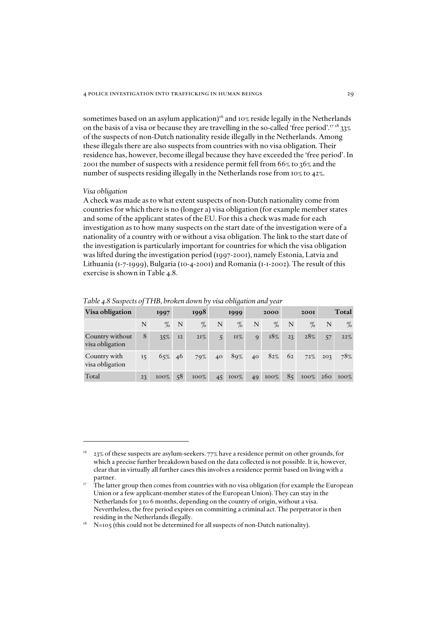sometimes based on an asylum application)<sup>16</sup> and 10% reside legally in the Netherlands on the basis of a visa or because they are travelling in the so-called 'free period'.<sup>17 18</sup> 33% of the suspects of non-Dutch nationality reside illegally in the Netherlands. Among these illegals there are also suspects from countries with no visa obligation. Their residence has, however, become illegal because they have exceeded the 'free period'. In 2001 the number of suspects with a residence permit fell from 66% to 36% and the number of suspects residing illegally in the Netherlands rose from 10% to 42%.

#### *Visa obligation*

A check was made as to what extent suspects of non-Dutch nationality come from countries for which there is no (longer a) visa obligation (for example member states and some of the applicant states of the EU. For this a check was made for each investigation as to how many suspects on the start date of the investigation were of a nationality of a country with or without a visa obligation. The link to the start date of the investigation is particularly important for countries for which the visa obligation was lifted during the investigation period (1997-2001), namely Estonia, Latvia and Lithuania (1-7-1999), Bulgaria (10-4-2001) and Romania (1-1-2002). The result of this exercise is shown in Table 4.8.

| Visa obligation                    | 1997 |         | 1998 |         | 1999 |         | 2000        |         | <b>2001</b> |         | Total           |         |
|------------------------------------|------|---------|------|---------|------|---------|-------------|---------|-------------|---------|-----------------|---------|
|                                    | N    | $\%$    | N    | $\%$    | N    | %       | N           | $\%$    | N           | $\%$    | N               | $\%$    |
| Country without<br>visa obligation | 8    | 35%     | I2   | $2I\%$  | 5    | $II\%$  | $\mathbf Q$ | 18%     | 23          | 28%     | 57              | 22%     |
| Country with<br>visa obligation    | 15   | 65% 46  |      | 79%     | 40   | 89%     | 40          | $82\%$  | 62          | 72%     | 203             | 78%     |
| Total                              | 23   | $100\%$ | 58   | $100\%$ | 45   | $100\%$ | 49          | $100\%$ | 85          | $100\%$ | 26 <sub>0</sub> | $100\%$ |

*Table 4.8 Suspects of THB, broken down by visa obligation and year*

<sup>16 23%</sup> of these suspects are asylum-seekers. 77% have a residence permit on other grounds, for which a precise further breakdown based on the data collected is not possible. It is, however, clear that in virtually all further cases this involves a residence permit based on living with a

partner.<br><sup>17</sup> The latter group then comes from countries with no visa obligation (for example the European Union or a few applicant-member states of the European Union). They can stay in the Netherlands for 3 to 6 months, depending on the country of origin, without a visa. Nevertheless, the free period expires on committing a criminal act. The perpetrator is then residing in the Netherlands illegally.

 $N=105$  (this could not be determined for all suspects of non-Dutch nationality).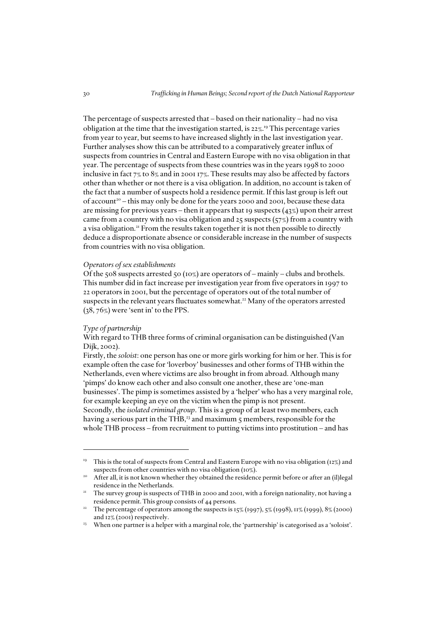The percentage of suspects arrested that – based on their nationality – had no visa obligation at the time that the investigation started, is 22%. <sup>19</sup> This percentage varies from year to year, but seems to have increased slightly in the last investigation year. Further analyses show this can be attributed to a comparatively greater influx of suspects from countries in Central and Eastern Europe with no visa obligation in that year. The percentage of suspects from these countries was in the years 1998 to 2000 inclusive in fact 7% to 8% and in 2001 17%. These results may also be affected by factors other than whether or not there is a visa obligation. In addition, no account is taken of the fact that a number of suspects hold a residence permit. If this last group is left out of account<sup>20</sup> – this may only be done for the years 2000 and 2001, because these data are missing for previous years – then it appears that 19 suspects  $(43\%)$  upon their arrest came from a country with no visa obligation and  $25$  suspects ( $57\%$ ) from a country with a visa obligation.<sup>21</sup> From the results taken together it is not then possible to directly deduce a disproportionate absence or considerable increase in the number of suspects from countries with no visa obligation.

### *Operators of sex establishments*

Of the 508 suspects arrested 50 ( $10\%$ ) are operators of – mainly – clubs and brothels. This number did in fact increase per investigation year from five operators in 1997 to 22 operators in 2001, but the percentage of operators out of the total number of suspects in the relevant years fluctuates somewhat.<sup>22</sup> Many of the operators arrested (38, 76%) were 'sent in' to the PPS.

### *Type of partnership*

With regard to THB three forms of criminal organisation can be distinguished (Van Dijk, 2002).

Firstly, the *soloist*: one person has one or more girls working for him or her. This is for example often the case for 'loverboy' businesses and other forms of THB within the Netherlands, even where victims are also brought in from abroad. Although many 'pimps' do know each other and also consult one another, these are 'one-man businesses'. The pimp is sometimes assisted by a 'helper' who has a very marginal role, for example keeping an eye on the victim when the pimp is not present. Secondly, the *isolated criminal group*. This is a group of at least two members, each having a serious part in the THB,<sup>23</sup> and maximum 5 members, responsible for the

whole THB process – from recruitment to putting victims into prostitution – and has

<sup>19</sup> This is the total of suspects from Central and Eastern Europe with no visa obligation (12%) and suspects from other countries with no visa obligation (10%).

<sup>&</sup>lt;sup>20</sup> After all, it is not known whether they obtained the residence permit before or after an (il)legal residence in the Netherlands. 21 The survey group is suspects of THB in 2000 and 2001, with a foreign nationality, not having a

residence permit. This group consists of 44 persons.

<sup>&</sup>lt;sup>22</sup> The percentage of operators among the suspects is 15% (1997), 5% (1998),  $\pi$ % (1999), 8% (2000) and 12% (2001) respectively.

<sup>&</sup>lt;sup>23</sup> When one partner is a helper with a marginal role, the 'partnership' is categorised as a 'soloist'.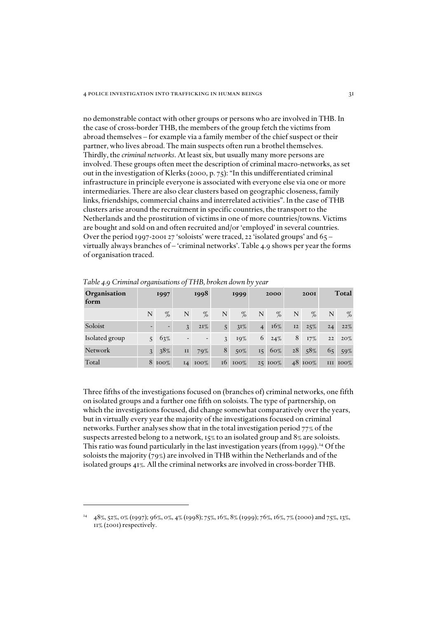no demonstrable contact with other groups or persons who are involved in THB. In the case of cross-border THB, the members of the group fetch the victims from abroad themselves – for example via a family member of the chief suspect or their partner, who lives abroad. The main suspects often run a brothel themselves. Thirdly, the *criminal networks*. At least six, but usually many more persons are involved. These groups often meet the description of criminal macro-networks, as set out in the investigation of Klerks (2000, p. 75): "In this undifferentiated criminal infrastructure in principle everyone is associated with everyone else via one or more intermediaries. There are also clear clusters based on geographic closeness, family links, friendships, commercial chains and interrelated activities". In the case of THB clusters arise around the recruitment in specific countries, the transport to the Netherlands and the prostitution of victims in one of more countries/towns. Victims are bought and sold on and often recruited and/or 'employed' in several countries. Over the period 1997-2001 27 'soloists' were traced, 22 'isolated groups' and 65 – virtually always branches of – 'criminal networks'. Table 4.9 shows per year the forms of organisation traced.

| Organisation<br>form | 1997           |        | 1998           |                          |   | 1999           |                | 2000    |    | <b>2001</b> |    | Total    |
|----------------------|----------------|--------|----------------|--------------------------|---|----------------|----------------|---------|----|-------------|----|----------|
|                      | N              | $\%$   | N              | %                        | N | $\%$           | N              | %       | N  | $\%$        | N  | $\%$     |
| Soloist              |                |        | $\overline{3}$ | $2I\%$                   | 5 | $3I\%$         | $\overline{4}$ | 16%     | 12 | 25%         | 24 | 22%      |
| Isolated group       | 5 <sup>1</sup> | 63%    |                | $\overline{\phantom{0}}$ | 3 | 19%            | 6              | 24%     | 8  | 17%         | 22 | $20\%$   |
| Network              | $\mathcal{Z}$  | 38%    | II             | 79%                      | 8 | $50\%$         | 15             | 60%     | 28 | 58%         |    | 65 59%   |
| Total                |                | 8 100% | $I_4$          | $100\%$                  |   | $16\quad100\%$ |                | 25 100% |    | 48 100%     |    | III IOO% |

*Table 4.9 Criminal organisations of THB, broken down by year*

Three fifths of the investigations focused on (branches of) criminal networks, one fifth on isolated groups and a further one fifth on soloists. The type of partnership, on which the investigations focused, did change somewhat comparatively over the years, but in virtually every year the majority of the investigations focused on criminal networks. Further analyses show that in the total investigation period 77% of the suspects arrested belong to a network, 15% to an isolated group and 8% are soloists. This ratio was found particularly in the last investigation years (from 1999).<sup>24</sup> Of the soloists the majority (79%) are involved in THB within the Netherlands and of the isolated groups 41%. All the criminal networks are involved in cross-border THB.

<sup>&</sup>lt;sup>24</sup> 48%, 52%, 0% (1997); 96%, 0%, 4% (1998); 75%, 16%, 8% (1999); 76%, 16%, 7% (2000) and 75%, 13%, 11% (2001) respectively.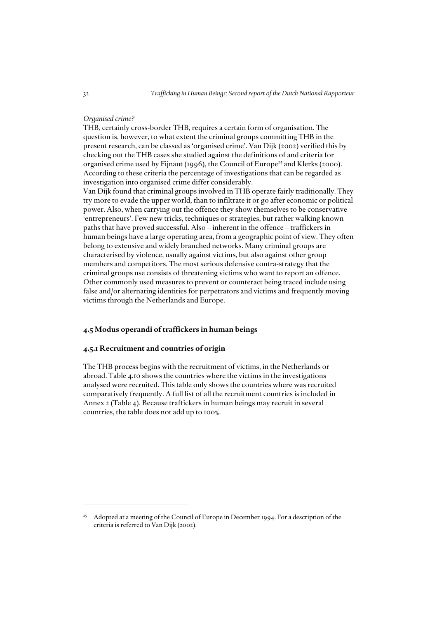### *Organised crime?*

THB, certainly cross-border THB, requires a certain form of organisation. The question is, however, to what extent the criminal groups committing THB in the present research, can be classed as 'organised crime'. Van Dijk (2002) verified this by checking out the THB cases she studied against the definitions of and criteria for organised crime used by Fijnaut (1996), the Council of Europe<sup>25</sup> and Klerks (2000). According to these criteria the percentage of investigations that can be regarded as investigation into organised crime differ considerably.

Van Dijk found that criminal groups involved in THB operate fairly traditionally. They try more to evade the upper world, than to infiltrate it or go after economic or political power. Also, when carrying out the offence they show themselves to be conservative 'entrepreneurs'. Few new tricks, techniques or strategies, but rather walking known paths that have proved successful. Also – inherent in the offence – traffickers in human beings have a large operating area, from a geographic point of view. They often belong to extensive and widely branched networks. Many criminal groups are characterised by violence, usually against victims, but also against other group members and competitors. The most serious defensive contra-strategy that the criminal groups use consists of threatening victims who want to report an offence. Other commonly used measures to prevent or counteract being traced include using false and/or alternating identities for perpetrators and victims and frequently moving victims through the Netherlands and Europe.

### *4.5 Modus operandi of traffickers in human beings*

### *4.5.1 Recruitment and countries of origin*

The THB process begins with the recruitment of victims, in the Netherlands or abroad. Table 4.10 shows the countries where the victims in the investigations analysed were recruited. This table only shows the countries where was recruited comparatively frequently. A full list of all the recruitment countries is included in Annex 2 (Table 4). Because traffickers in human beings may recruit in several countries, the table does not add up to 100%.

<sup>&</sup>lt;sup>25</sup> Adopted at a meeting of the Council of Europe in December 1994. For a description of the criteria is referred to Van Dijk (2002).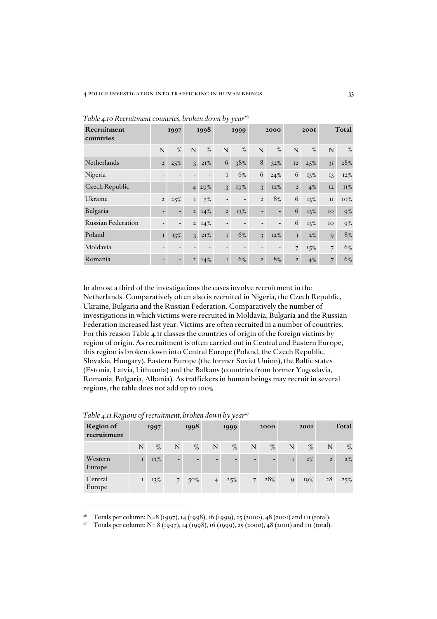| Recruitment<br>countries  | 1997           |                          | 1998           |        | 1999           |                              | 2000                     |                          |                | <b>2001</b> |                | Total      |
|---------------------------|----------------|--------------------------|----------------|--------|----------------|------------------------------|--------------------------|--------------------------|----------------|-------------|----------------|------------|
|                           | N              | $\%$                     | N              | %      | N              | %                            | N                        | %                        | N              | %           | $\mathbf N$    | $\%$       |
| Netherlands               | $\overline{2}$ | 25%                      | 3              | 2I%    | 6              | 38%                          | 8                        | 32%                      | 12             | 25%         | 3I             | 28%        |
| Nigeria                   |                |                          |                |        | I              | 6%                           | 6                        | 24%                      | 6              | 13%         | 13             | 12%        |
| Czech Republic            |                | $\overline{\phantom{a}}$ | $\overline{4}$ | 29%    | 3              | 19%                          | $\overline{3}$           | $12\%$                   | $\overline{2}$ | $4\%$       | <b>I2</b>      | <b>II%</b> |
| Ukraine                   | $\mathbf 2$    | 25%                      | $\mathbf I$    | 7%     |                | $\overline{a}$               | $\overline{2}$           | 8%                       | 6              | 13%         | $_{II}$        | 10%        |
| Bulgaria                  | -              | $\overline{\phantom{a}}$ | $\overline{2}$ | $14\%$ | $\overline{2}$ | 13%                          | $\overline{\phantom{0}}$ | $\overline{\phantom{0}}$ | 6              | 13%         | IO             | $9\%$      |
| <b>Russian Federation</b> |                | $\overline{\phantom{a}}$ | $\overline{2}$ | 14%    |                | $\qquad \qquad \blacksquare$ |                          | $\overline{\phantom{a}}$ | 6              | 13%         | IO             | $9\%$      |
| Poland                    | $\mathbf{I}$   | 13%                      | 3              | 2I%    | $\bf I$        | 6%                           | $\overline{3}$           | $12\%$                   | $\mathbf{I}$   | $2\%$       | 9              | $8\%$      |
| Moldavia                  |                |                          |                |        |                | ٠                            |                          | $\overline{\phantom{a}}$ | $\overline{7}$ | 15%         | $\overline{7}$ | 6%         |
| Romania                   | -              | $\overline{\phantom{a}}$ | $\overline{2}$ | $14\%$ | $\bf I$        | 6%                           | $\overline{2}$           | 8%                       | $\overline{2}$ | $4\%$       | $\overline{7}$ | 6%         |

Table 4.10 Recruitment countries, broken down by year<sup>26</sup>

In almost a third of the investigations the cases involve recruitment in the Netherlands. Comparatively often also is recruited in Nigeria, the Czech Republic, Ukraine, Bulgaria and the Russian Federation. Comparatively the number of investigations in which victims were recruited in Moldavia, Bulgaria and the Russian Federation increased last year. Victims are often recruited in a number of countries. For this reason Table 4.11 classes the countries of origin of the foreign victims by region of origin. As recruitment is often carried out in Central and Eastern Europe, this region is broken down into Central Europe (Poland, the Czech Republic, Slovakia, Hungary), Eastern Europe (the former Soviet Union), the Baltic states (Estonia, Latvia, Lithuania) and the Balkans (countries from former Yugoslavia, Romania, Bulgaria, Albania). As traffickers in human beings may recruit in several regions, the table does not add up to 100%.

| Region of<br>recruitment | 1997         |      | 1998        |        | 1999           |      | 2000           |      |              | <b>200I</b> |                | Total |
|--------------------------|--------------|------|-------------|--------|----------------|------|----------------|------|--------------|-------------|----------------|-------|
|                          | N            | $\%$ | N           | $\%$   | $\mathbf N$    | $\%$ | N              | $\%$ | N            | $\%$        | N              | $\%$  |
| Western<br>Europe        | $\mathbf{I}$ | 13%  |             |        | -              |      |                |      | $\mathbf{I}$ | $2\%$       | $\overline{2}$ | $2\%$ |
| Central<br>Europe        | I            | 13%  | $7^{\circ}$ | $50\%$ | $\overline{4}$ | 25%  | 7 <sup>1</sup> | 28%  | 9            | 19%         | 28             | 25%   |

*Table 4.11 Regions of recruitment, broken down by year<sup>27</sup>* 

<sup>&</sup>lt;sup>26</sup> Totals per column: N=8 (1997), 14 (1998), 16 (1999), 25 (2000), 48 (2001) and 111 (total).

<sup>&</sup>lt;sup>27</sup> Totals per column: N= 8 (1997), 14 (1998), 16 (1999), 25 (2000), 48 (2001) and 111 (total).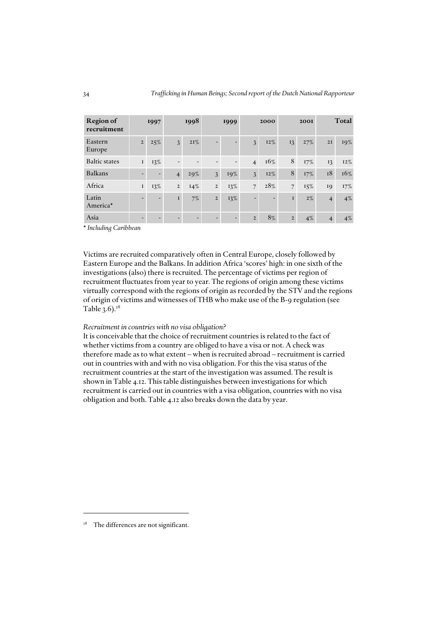| <b>Region of</b><br>recruitment |                          | 1997                     |                          | 1998                     |                | 1999                     |                          | 2000                     |                | <b>200I</b> |                | Total  |
|---------------------------------|--------------------------|--------------------------|--------------------------|--------------------------|----------------|--------------------------|--------------------------|--------------------------|----------------|-------------|----------------|--------|
| Eastern<br>Europe               | $\overline{2}$           | 25%                      | $\overline{3}$           | 2I%                      |                |                          | $\mathfrak{Z}$           | 12%                      | 13             | 27%         | 2I             | 19%    |
| <b>Baltic states</b>            | $\mathbf I$              | 13%                      | $\overline{\phantom{a}}$ | -                        |                | $\overline{\phantom{a}}$ | $\overline{4}$           | 16%                      | 8              | 17%         | 13             | $12\%$ |
| <b>Balkans</b>                  |                          |                          | $\overline{4}$           | 29%                      | 3              | 19%                      | $\mathfrak{Z}$           | 12%                      | 8              | 17%         | 18             | 16%    |
| Africa                          | I                        | 13%                      | $\overline{2}$           | 14%                      | $\overline{2}$ | 13%                      | $\overline{7}$           | 28%                      | $\overline{7}$ | 15%         | 19             | 17%    |
| Latin<br>America*               | $\overline{\phantom{0}}$ | $\overline{\phantom{0}}$ | $\mathbf{I}$             | 7%                       | $\overline{2}$ | 13%                      | $\overline{\phantom{0}}$ | $\overline{\phantom{a}}$ | $\mathbf{I}$   | $2\%$       | $\overline{4}$ | $4\%$  |
| Asia                            |                          |                          |                          | $\overline{\phantom{0}}$ |                |                          | $\overline{2}$           | 8%                       | $\overline{2}$ | $4\%$       | $\overline{4}$ | $4\%$  |

\* *Including Caribbean*

Victims are recruited comparatively often in Central Europe, closely followed by Eastern Europe and the Balkans. In addition Africa 'scores' high: in one sixth of the investigations (also) there is recruited. The percentage of victims per region of recruitment fluctuates from year to year. The regions of origin among these victims virtually correspond with the regions of origin as recorded by the STV and the regions of origin of victims and witnesses of THB who make use of the B-9 regulation (see Table  $3.6$ .<sup>28</sup>

### *Recruitment in countries with no visa obligation?*

It is conceivable that the choice of recruitment countries is related to the fact of whether victims from a country are obliged to have a visa or not. A check was therefore made as to what extent – when is recruited abroad – recruitment is carried out in countries with and with no visa obligation. For this the visa status of the recruitment countries at the start of the investigation was assumed. The result is shown in Table 4.12. This table distinguishes between investigations for which recruitment is carried out in countries with a visa obligation, countries with no visa obligation and both. Table 4.12 also breaks down the data by year.

<sup>&</sup>lt;sup>28</sup> The differences are not significant.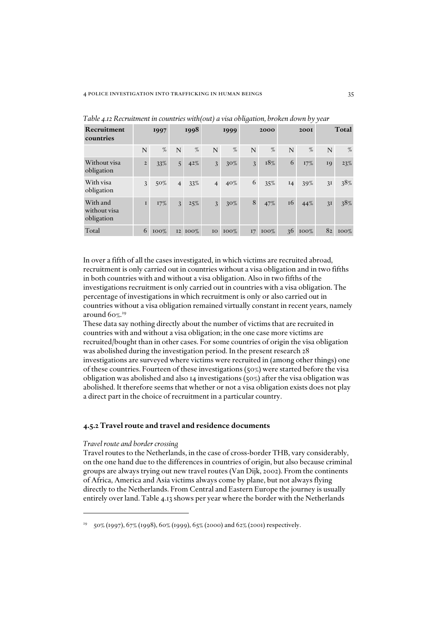| Recruitment<br>countries               |                | 1997   |                | 1998    |                | 1999    |    | 2000    |    | <b>2001</b> | Total |         |
|----------------------------------------|----------------|--------|----------------|---------|----------------|---------|----|---------|----|-------------|-------|---------|
|                                        | N              | %      | N              | $\%$    | N              | $\%$    | N  | $\%$    | N  | %           | N     | %       |
| Without visa<br>obligation             | $\overline{2}$ | 33%    | 5 <sup>1</sup> | 42%     | $\mathfrak{Z}$ | $30\%$  | 3  | 18%     | 6  | 17%         | 19    | 23%     |
| With visa<br>obligation                | 3              | $50\%$ | $\overline{4}$ | 33%     | $\overline{4}$ | $40\%$  | 6  | 35%     | I4 | 39%         | 3I    | 38%     |
| With and<br>without visa<br>obligation | $\mathbf{I}$   | $17\%$ | $\mathcal{E}$  | 25%     | $\mathfrak{Z}$ | $30\%$  | 8  | 47%     | 16 | 44%         | 3I    | 38%     |
| Total                                  | 6              | 100%   |                | I2 IOO% | IO             | $100\%$ | 17 | $100\%$ | 36 | $100\%$     | 82    | $100\%$ |

*Table 4.12 Recruitment in countries with(out) a visa obligation, broken down by year*

In over a fifth of all the cases investigated, in which victims are recruited abroad, recruitment is only carried out in countries without a visa obligation and in two fifths in both countries with and without a visa obligation. Also in two fifths of the investigations recruitment is only carried out in countries with a visa obligation. The percentage of investigations in which recruitment is only or also carried out in countries without a visa obligation remained virtually constant in recent years, namely around 60%. 29

These data say nothing directly about the number of victims that are recruited in countries with and without a visa obligation; in the one case more victims are recruited/bought than in other cases. For some countries of origin the visa obligation was abolished during the investigation period. In the present research 28 investigations are surveyed where victims were recruited in (among other things) one of these countries. Fourteen of these investigations (50%) were started before the visa obligation was abolished and also 14 investigations (50%) after the visa obligation was abolished. It therefore seems that whether or not a visa obligation exists does not play a direct part in the choice of recruitment in a particular country.

# *4.5.2 Travel route and travel and residence documents*

### *Travel route and border crossing*

Travel routes to the Netherlands, in the case of cross-border THB, vary considerably, on the one hand due to the differences in countries of origin, but also because criminal groups are always trying out new travel routes (Van Dijk, 2002). From the continents of Africa, America and Asia victims always come by plane, but not always flying directly to the Netherlands. From Central and Eastern Europe the journey is usually entirely over land. Table 4.13 shows per year where the border with the Netherlands

 $29$  50% (1997), 67% (1998), 60% (1999), 65% (2000) and 62% (2001) respectively.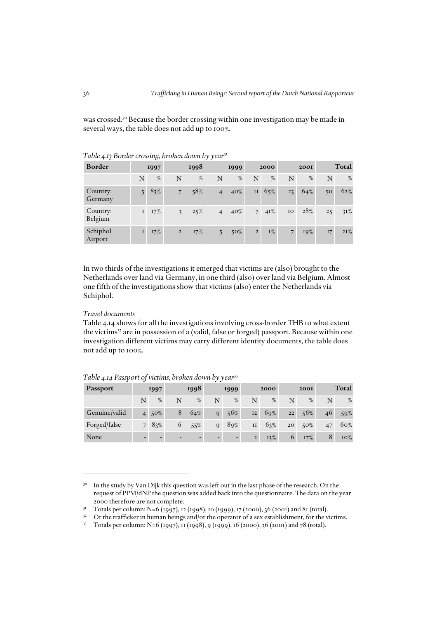was crossed.<sup>30</sup> Because the border crossing within one investigation may be made in several ways, the table does not add up to 100%.

| Border              | 1997         |        | 1998           |        | 1999           |        | 2000           |       |    | <b>2001</b> |    | Total  |
|---------------------|--------------|--------|----------------|--------|----------------|--------|----------------|-------|----|-------------|----|--------|
|                     | N            | %      | N              | $\%$   | N              | $\%$   | N              | $\%$  | N  | $\%$        | N  | $\%$   |
| Country:<br>Germany |              | 83%    | $\overline{7}$ | 58%    | $\overline{4}$ | 40%    | $\rm II$       | 65%   | 23 | 64%         | 50 | 62%    |
| Country:<br>Belgium | $\mathbf{I}$ | 17%    | 3              | 25%    | $\overline{4}$ | $40\%$ | 7 <sup>1</sup> | 4I%   | IO | 28%         | 25 | $31\%$ |
| Schiphol<br>Airport | $\mathbf{I}$ | $17\%$ | $\mathbf 2$    | $17\%$ | $\overline{5}$ | $50\%$ | $\overline{2}$ | $I\%$ | 7  | 19%         | 17 | 21%    |

*Table 4.13 Border crossing, broken down by year*<sup>31</sup>

In two thirds of the investigations it emerged that victims are (also) brought to the Netherlands over land via Germany, in one third (also) over land via Belgium. Almost one fifth of the investigations show that victims (also) enter the Netherlands via Schiphol.

# *Travel documents*

Table 4.14 shows for all the investigations involving cross-border THB to what extent the victims $32$  are in possession of a (valid, false or forged) passport. Because within one investigation different victims may carry different identity documents, the table does not add up to 100%.

| <b>Passport</b> | 1997           |                          | 1998                     |        | 1999                     |                          | 2000        |        |    | <b>2001</b> |    | Total  |
|-----------------|----------------|--------------------------|--------------------------|--------|--------------------------|--------------------------|-------------|--------|----|-------------|----|--------|
|                 | N              | %                        | N                        | $\%$   | N                        | %                        | N           | %      | N  | $\%$        | N  | $\%$   |
| Genuine/valid   | $\overline{4}$ | $50\%$                   | 8                        | $64\%$ | $\overline{Q}$           | 56%                      | 12          | $69\%$ | 22 | 56%         | 46 | 59%    |
| Forged/false    |                | 83%                      | 6                        | 55%    | $\mathbf{Q}$             | 89%                      | II          | 63%    | 20 | $50\%$      | 47 | $60\%$ |
| None            |                | $\overline{\phantom{0}}$ | $\overline{\phantom{0}}$ | -      | $\overline{\phantom{0}}$ | $\overline{\phantom{a}}$ | $2^{\circ}$ | $13\%$ | 6  | $17\%$      | 8  | 10%    |

*Table 4.14 Passport of victims, broken down by year*<sup>33</sup>

<sup>&</sup>lt;sup>30</sup> In the study by Van Dijk this question was left out in the last phase of the research. On the request of PPM/dNP the question was added back into the questionnaire. The data on the year 2000 therefore are not complete.

<sup>&</sup>lt;sup>31</sup> Totals per column: N=6 (1997), 12 (1998), 10 (1999), 17 (2000), 36 (2001) and 81 (total).

 $32$  Or the trafficker in human beings and/or the operator of a sex establishment, for the victims.

<sup>33</sup> Totals per column: N=6 (1997), 11 (1998), 9 (1999), 16 (2000), 36 (2001) and 78 (total).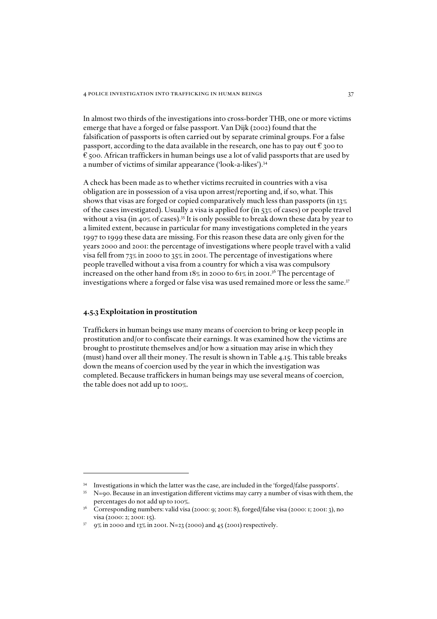In almost two thirds of the investigations into cross-border THB, one or more victims emerge that have a forged or false passport. Van Dijk (2002) found that the falsification of passports is often carried out by separate criminal groups. For a false passport, according to the data available in the research, one has to pay out  $\epsilon$  300 to  $\epsilon$  500. African traffickers in human beings use a lot of valid passports that are used by a number of victims of similar appearance ('look-a-likes').<sup>34</sup>

A check has been made as to whether victims recruited in countries with a visa obligation are in possession of a visa upon arrest/reporting and, if so, what. This shows that visas are forged or copied comparatively much less than passports (in 13% of the cases investigated). Usually a visa is applied for (in 53% of cases) or people travel without a visa (in 40% of cases).<sup>35</sup> It is only possible to break down these data by year to a limited extent, because in particular for many investigations completed in the years 1997 to 1999 these data are missing. For this reason these data are only given for the years 2000 and 2001: the percentage of investigations where people travel with a valid visa fell from 73% in 2000 to 35% in 2001. The percentage of investigations where people travelled without a visa from a country for which a visa was compulsory increased on the other hand from 18% in 2000 to 61% in 2001.36 The percentage of investigations where a forged or false visa was used remained more or less the same.<sup>37</sup>

### *4.5.3 Exploitation in prostitution*

Traffickers in human beings use many means of coercion to bring or keep people in prostitution and/or to confiscate their earnings. It was examined how the victims are brought to prostitute themselves and/or how a situation may arise in which they (must) hand over all their money. The result is shown in Table 4.15. This table breaks down the means of coercion used by the year in which the investigation was completed. Because traffickers in human beings may use several means of coercion, the table does not add up to 100%.

<sup>34</sup> Investigations in which the latter was the case, are included in the 'forged/false passports'.

<sup>&</sup>lt;sup>35</sup> N=90. Because in an investigation different victims may carry a number of visas with them, the percentages do not add up to 100%.

Corresponding numbers: valid visa (2000: 9; 2001: 8), forged/false visa (2000: 1; 2001: 3), no visa (2000: 2; 2001: 15).

 $37$  9% in 2000 and 13% in 2001. N=23 (2000) and 45 (2001) respectively.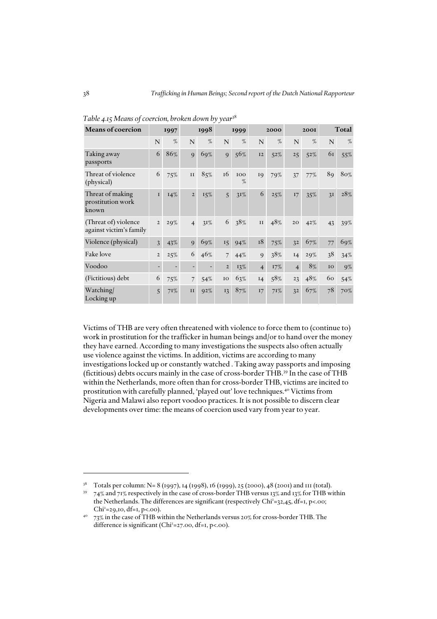| <b>Means of coercion</b>                        |                | 1998<br>1997 |                | 1999   |                | 2000     | <b>200I</b>    |     | Total          |        |    |       |
|-------------------------------------------------|----------------|--------------|----------------|--------|----------------|----------|----------------|-----|----------------|--------|----|-------|
|                                                 | N              | %            | N              | %      | $\mathbf N$    | %        | N              | %   | N              | %      | N  | $\%$  |
| Taking away<br>passports                        | 6              | 86%          | 9              | $69\%$ | $\overline{Q}$ | 56%      | 12             | 52% | 25             | 52%    | 61 | 55%   |
| Threat of violence<br>(physical)                | 6              | 75%          | $\mathbf{I}$   | 85%    | 16             | 100<br>% | 19             | 79% | 37             | 77%    | 89 | 80%   |
| Threat of making<br>prostitution work<br>known  | $\mathbf{I}$   | 14%          | $\overline{2}$ | $15\%$ | $\overline{5}$ | 3I%      | 6              | 25% | 17             | 35%    | 3I | 28%   |
| (Threat of) violence<br>against victim's family | $\overline{2}$ | 29%          | $\overline{4}$ | 31%    | 6              | 38%      | II             | 48% | 20             | 42%    | 43 | 39%   |
| Violence (physical)                             | $\overline{3}$ | 43%          | 9              | 69%    | 15             | 94%      | 18             | 75% | 32             | 67%    | 77 | 69%   |
| <b>Fake</b> love                                | $\overline{2}$ | 25%          | 6              | 46%    | $\overline{7}$ | 44%      | 9              | 38% | I4             | 29%    | 38 | 34%   |
| Voodoo                                          |                |              |                |        | $\overline{2}$ | 13%      | $\overline{4}$ | 17% | $\overline{4}$ | $8\%$  | IO | $9\%$ |
| (Fictitious) debt                               | 6              | 75%          | $\overline{7}$ | 54%    | $IO$           | 63%      | I4             | 58% | 23             | 48%    | 60 | 54%   |
| Watching/<br>Locking up                         | 5              | 71%          | II             | $92\%$ | 13             | 87%      | 17             | 71% | 32             | $67\%$ | 78 | 70%   |

*Table 4.15 Means of coercion, broken down by year*<sup>38</sup>

Victims of THB are very often threatened with violence to force them to (continue to) work in prostitution for the trafficker in human beings and/or to hand over the money they have earned. According to many investigations the suspects also often actually use violence against the victims. In addition, victims are according to many investigations locked up or constantly watched . Taking away passports and imposing (fictitious) debts occurs mainly in the case of cross-border THB.39 In the case of THB within the Netherlands, more often than for cross-border THB, victims are incited to prostitution with carefully planned, 'played out' love techniques.40 Victims from Nigeria and Malawi also report voodoo practices. It is not possible to discern clear developments over time: the means of coercion used vary from year to year.

<sup>&</sup>lt;sup>38</sup> Totals per column: N= 8 (1997), 14 (1998), 16 (1999), 25 (2000), 48 (2001) and 111 (total).<br><sup>39</sup>  $-74\%$  and  $71\%$  respectively in the case of cross-border THB versus 12% and 12% for THB wi

<sup>39 74%</sup> and 71% respectively in the case of cross-border THB versus 13% and 13% for THB within the Netherlands. The differences are significant (respectively Chi<sup>2</sup>=32,45, df=1, p<.00; Chi<sup>2</sup>=29,10, df=1, p<.00).

 $^{40}$  73% in the case of THB within the Netherlands versus 20% for cross-border THB. The difference is significant (Chi<sup>2</sup>=27.00, df=1, p<.00).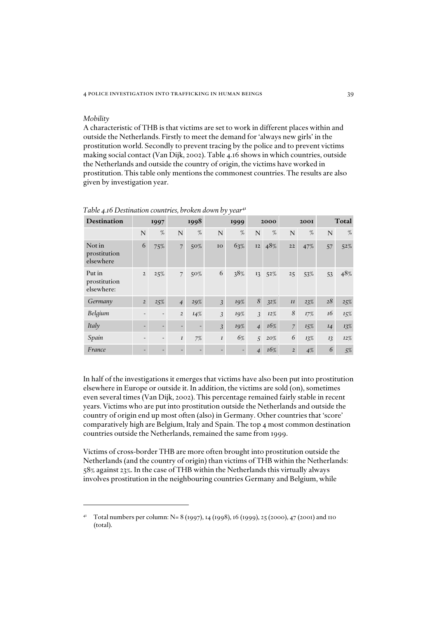#### *Mobility*

A characteristic of THB is that victims are set to work in different places within and outside the Netherlands. Firstly to meet the demand for 'always new girls' in the prostitution world. Secondly to prevent tracing by the police and to prevent victims making social contact (Van Dijk, 2002). Table 4.16 shows in which countries, outside the Netherlands and outside the country of origin, the victims have worked in prostitution. This table only mentions the commonest countries. The results are also given by investigation year.

| <b>Destination</b>                   |                | 1997 |                          | 1998                     |                  | 1999 |                | 2000 |                | <b>2001</b> |    | Total  |
|--------------------------------------|----------------|------|--------------------------|--------------------------|------------------|------|----------------|------|----------------|-------------|----|--------|
|                                      | N              | %    | N                        | %                        | N                | %    | N              | %    | N              | %           | N  | %      |
| Not in<br>prostitution<br>elsewhere  | 6              | 75%  | $\overline{7}$           | 50%                      | IO               | 63%  | <b>I2</b>      | 48%  | 22             | 47%         | 57 | $52\%$ |
| Put in<br>prostitution<br>elsewhere: | $\overline{2}$ | 25%  | $\overline{7}$           | 50%                      | 6                | 38%  | 13             | 52%  | 25             | 53%         | 53 | 48%    |
| Germany                              | $\overline{2}$ | 25%  | $\overline{4}$           | 29%                      | $\mathfrak{Z}$   | 19%  | 8              | 32%  | II             | 23%         | 28 | 25%    |
| Belgium                              |                |      | $\overline{2}$           | 14%                      | 3                | 19%  | 3              | 12%  | 8              | 17%         | 16 | $15\%$ |
| Italy                                |                |      | $\overline{\phantom{a}}$ | $\overline{\phantom{a}}$ | $\overline{3}$   | 19%  | $\overline{4}$ | 16%  | $\overline{7}$ | 15%         | I4 | $13\%$ |
| Spain                                |                |      | $\boldsymbol{I}$         | 7%                       | $\boldsymbol{I}$ | 6%   | 5              | 20%  | 6              | 13%         | 13 | 12%    |
| France                               |                |      |                          |                          |                  | -    | $\overline{4}$ | 16%  | $\overline{2}$ | 4%          | 6  | 5%     |

### *Table 4.16 Destination countries, broken down by year*<sup>41</sup>

In half of the investigations it emerges that victims have also been put into prostitution elsewhere in Europe or outside it. In addition, the victims are sold (on), sometimes even several times (Van Dijk, 2002). This percentage remained fairly stable in recent years. Victims who are put into prostitution outside the Netherlands and outside the country of origin end up most often (also) in Germany. Other countries that 'score' comparatively high are Belgium, Italy and Spain. The top 4 most common destination countries outside the Netherlands, remained the same from 1999.

Victims of cross-border THB are more often brought into prostitution outside the Netherlands (and the country of origin) than victims of THB within the Netherlands: 58% against 23%. In the case of THB within the Netherlands this virtually always involves prostitution in the neighbouring countries Germany and Belgium, while

<sup>&</sup>lt;sup>41</sup> Total numbers per column: N= 8 (1997), 14 (1998), 16 (1999), 25 (2000), 47 (2001) and 110 (total).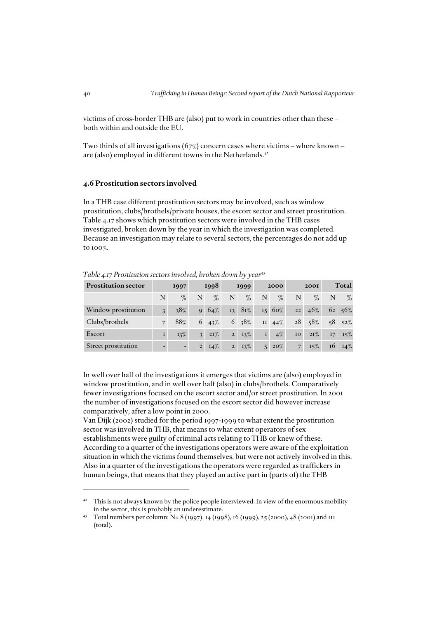victims of cross-border THB are (also) put to work in countries other than these – both within and outside the EU.

Two thirds of all investigations  $(67%)$  concern cases where victims – where known – are (also) employed in different towns in the Netherlands.<sup>42</sup>

### *4.6 Prostitution sectors involved*

In a THB case different prostitution sectors may be involved, such as window prostitution, clubs/brothels/private houses, the escort sector and street prostitution. Table 4.17 shows which prostitution sectors were involved in the THB cases investigated, broken down by the year in which the investigation was completed. Because an investigation may relate to several sectors, the percentages do not add up to 100%.

*Table 4.17 Prostitution sectors involved, broken down by year*<sup>43</sup>

| <b>Prostitution sector</b> | 1997           |      | 1998           |        | 1999           |        | 2000             |        |                | <b>2001</b> |    | Total  |
|----------------------------|----------------|------|----------------|--------|----------------|--------|------------------|--------|----------------|-------------|----|--------|
|                            | N              | $\%$ | N              | $\%$   | N              | $\%$   | N                | $\%$   | N              | $\%$        | N  | $\%$   |
| Window prostitution        | $\overline{3}$ | 38%  | $\mathbf Q$    | 64%    | 13             | 81%    | 15 <sub>15</sub> | $60\%$ | 22             | 46%         |    | 62 56% |
| Clubs/brothels             |                | 88%  | 6              | 43%    | 6              | 38%    | $\rm II$         | 44%    | 28             | 58%         | 58 | 52%    |
| Escort                     |                | 13%  | 3              | $2I\%$ | $2^{\circ}$    | 13%    | I                | $4\%$  | IO             | $21\%$      | 17 | 15%    |
| Street prostitution        |                | -    | $\overline{2}$ | $14\%$ | $\overline{2}$ | $13\%$ | 5                | $20\%$ | $\overline{7}$ | $15\%$      | 16 | $14\%$ |

In well over half of the investigations it emerges that victims are (also) employed in window prostitution, and in well over half (also) in clubs/brothels. Comparatively fewer investigations focused on the escort sector and/or street prostitution. In 2001 the number of investigations focused on the escort sector did however increase comparatively, after a low point in 2000.

Van Dijk (2002) studied for the period 1997-1999 to what extent the prostitution sector was involved in THB, that means to what extent operators of sex establishments were guilty of criminal acts relating to THB or knew of these. According to a quarter of the investigations operators were aware of the exploitation situation in which the victims found themselves, but were not actively involved in this. Also in a quarter of the investigations the operators were regarded as traffickers in human beings, that means that they played an active part in (parts of) the THB

<sup>&</sup>lt;sup>42</sup> This is not always known by the police people interviewed. In view of the enormous mobility in the sector, this is probably an underestimate.

<sup>43</sup> Total numbers per column: N= 8 (1997), 14 (1998), 16 (1999), 25 (2000), 48 (2001) and 111 (total).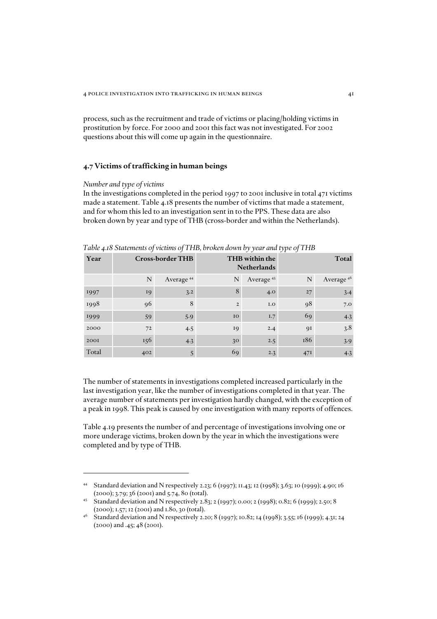process, such as the recruitment and trade of victims or placing/holding victims in prostitution by force. For 2000 and 2001 this fact was not investigated. For 2002 questions about this will come up again in the questionnaire.

# *4.7 Victims of trafficking in human beings*

#### *Number and type of victims*

In the investigations completed in the period 1997 to 2001 inclusive in total 471 victims made a statement. Table 4.18 presents the number of victims that made a statement, and for whom this led to an investigation sent in to the PPS. These data are also broken down by year and type of THB (cross-border and within the Netherlands).

| Year  |     | <b>Cross-border THB</b> |                | _<br>_<br>THB within the<br><b>Netherlands</b> | ╯<br>$\overline{ }$ | Total                 |
|-------|-----|-------------------------|----------------|------------------------------------------------|---------------------|-----------------------|
|       | N   | Average <sup>44</sup>   | N              | Average <sup>45</sup>                          | N                   | Average <sup>46</sup> |
| 1997  | 19  | 3.2                     | 8              | 4.0                                            | 27                  | 3.4                   |
| 1998  | 96  | 8                       | $\overline{2}$ | I.O                                            | 98                  | 7.0                   |
| 1999  | 59  | 5.9                     | IO             | 1.7                                            | 69                  | 4.3                   |
| 2000  | 72  | 4.5                     | 19             | 2.4                                            | 91                  | 3.8                   |
| 2001  | 156 | 4.3                     | 3 <sup>o</sup> | 2.5                                            | 186                 | 3.9                   |
| Total | 402 | 5                       | 69             | 2.3                                            | 47I                 | 4.3                   |

*Table 4.18 Statements of victims of THB, broken down by year and type of THB*

The number of statements in investigations completed increased particularly in the last investigation year, like the number of investigations completed in that year. The average number of statements per investigation hardly changed, with the exception of a peak in 1998. This peak is caused by one investigation with many reports of offences.

Table 4.19 presents the number of and percentage of investigations involving one or more underage victims, broken down by the year in which the investigations were completed and by type of THB.

<sup>44</sup> Standard deviation and N respectively 2.23; 6 (1997); 11.43; 12 (1998); 3.63; 10 (1999); 4.90; 16 (2000); 3.79; 36 (2001) and 5.74, 80 (total).

<sup>45</sup> Standard deviation and N respectively 2.83; 2 (1997); 0.00; 2 (1998); 0.82; 6 (1999); 2.50; 8 (2000); 1.57; 12 (2001) and 1.80, 30 (total).

<sup>46</sup> Standard deviation and N respectively 2.20; 8 (1997); 10.82; 14 (1998); 3.55; 16 (1999); 4.31; 24 (2000) and .45; 48 (2001).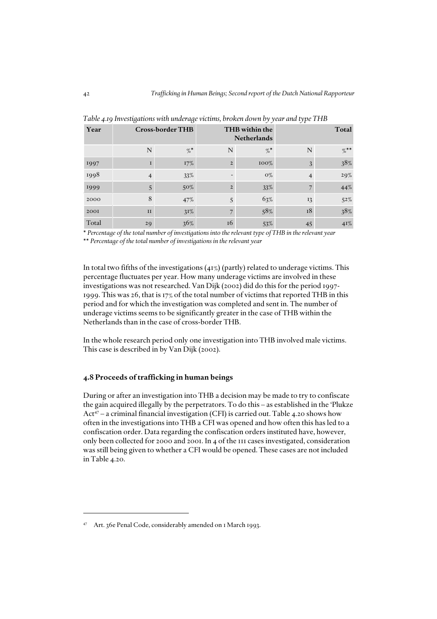| Year  |    | <b>Cross-border THB</b> |                | THB within the<br><b>Netherlands</b> | Total |         |  |  |
|-------|----|-------------------------|----------------|--------------------------------------|-------|---------|--|--|
|       | N  | $\%$                    | N              | $\%$ *                               | N     | $\%$ ** |  |  |
| 1997  |    | $17\%$                  | $\overline{2}$ | $100\%$                              | 3     | $38\%$  |  |  |
| 1998  | 4  | 33%                     |                | $O\%$                                | 4     | 29%     |  |  |
| 1999  | 5  | $50\%$                  | $\overline{2}$ | 33%                                  |       | 44%     |  |  |
| 2000  | 8  | 47%                     | 5              | 63%                                  | 13    | $52\%$  |  |  |
| 2001  | II | $31\%$                  |                | 58%                                  | 18    | $38\%$  |  |  |
| Total | 29 | 36%                     | 16             | 53%                                  | 45    | 4I%     |  |  |

*Table 4.19 Investigations with underage victims, broken down by year and type THB*

\* *Percentage of the total number of investigations into the relevant type of THB in the relevant year* \*\* *Percentage of the total number of investigations in the relevant year*

In total two fifths of the investigations  $(41\%)$  (partly) related to underage victims. This percentage fluctuates per year. How many underage victims are involved in these investigations was not researched. Van Dijk (2002) did do this for the period 1997- 1999. This was 26, that is 17% of the total number of victims that reported THB in this period and for which the investigation was completed and sent in. The number of underage victims seems to be significantly greater in the case of THB within the Netherlands than in the case of cross-border THB.

In the whole research period only one investigation into THB involved male victims. This case is described in by Van Dijk (2002).

### *4.8 Proceeds of trafficking in human beings*

During or after an investigation into THB a decision may be made to try to confiscate the gain acquired illegally by the perpetrators. To do this – as established in the 'Plukze Act<sup>47</sup> – a criminal financial investigation (CFI) is carried out. Table 4.20 shows how often in the investigations into THB a CFI was opened and how often this has led to a confiscation order. Data regarding the confiscation orders instituted have, however, only been collected for 2000 and 2001. In 4 of the 111 cases investigated, consideration was still being given to whether a CFI would be opened. These cases are not included in Table 4.20.

<sup>47</sup> Art. 36e Penal Code, considerably amended on 1 March 1993.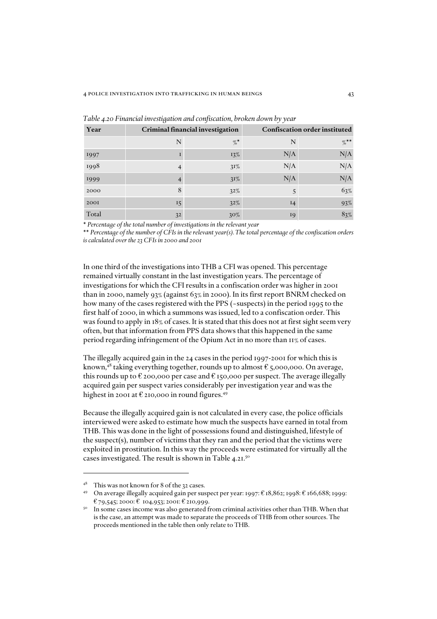| Year  |                | Criminal financial investigation |                | <b>Confiscation order instituted</b> |
|-------|----------------|----------------------------------|----------------|--------------------------------------|
|       | N              | $\%$                             | N              | $\%$ **                              |
| 1997  |                | 13%                              | N/A            | N/A                                  |
| 1998  | $\overline{4}$ | $31\%$                           | N/A            | N/A                                  |
| 1999  |                | $31\%$                           | N/A            | N/A                                  |
| 2000  | 8              | $32\%$                           | 5              | 63%                                  |
| 2001  | 15             | 32%                              | I <sub>4</sub> | 93%                                  |
| Total | 32             | $30\%$                           | 19             | 83%                                  |

*Table 4.20 Financial investigation and confiscation, broken down by year*

\* *Percentage of the total number of investigations in the relevant year*

\*\* *Percentage of the number of CFIs in the relevant year(s). The total percentage of the confiscation orders is calculated over the 23 CFIs in 2000 and 2001*

In one third of the investigations into THB a CFI was opened. This percentage remained virtually constant in the last investigation years. The percentage of investigations for which the CFI results in a confiscation order was higher in 2001 than in 2000, namely 93% (against 63% in 2000). In its first report BNRM checked on how many of the cases registered with the PPS (~suspects) in the period 1995 to the first half of 2000, in which a summons was issued, led to a confiscation order. This was found to apply in 18% of cases. It is stated that this does not at first sight seem very often, but that information from PPS data shows that this happened in the same period regarding infringement of the Opium Act in no more than 11% of cases.

The illegally acquired gain in the 24 cases in the period 1997-2001 for which this is known,<sup>48</sup> taking everything together, rounds up to almost  $\epsilon$  5,000,000. On average, this rounds up to  $\epsilon$  200,000 per case and  $\epsilon$  150,000 per suspect. The average illegally acquired gain per suspect varies considerably per investigation year and was the highest in 2001 at  $E$  210,000 in round figures.<sup>49</sup>

Because the illegally acquired gain is not calculated in every case, the police officials interviewed were asked to estimate how much the suspects have earned in total from THB. This was done in the light of possessions found and distinguished, lifestyle of the suspect(s), number of victims that they ran and the period that the victims were exploited in prostitution. In this way the proceeds were estimated for virtually all the cases investigated. The result is shown in Table 4.21.50

<sup>48</sup> This was not known for 8 of the 32 cases.

<sup>49</sup> On average illegally acquired gain per suspect per year: 1997: € 18,862; 1998: € 166,688; 1999: € 79,545; 2000: € 104,953; 2001: € 210,999.

<sup>&</sup>lt;sup>50</sup> In some cases income was also generated from criminal activities other than THB. When that is the case, an attempt was made to separate the proceeds of THB from other sources. The proceeds mentioned in the table then only relate to THB.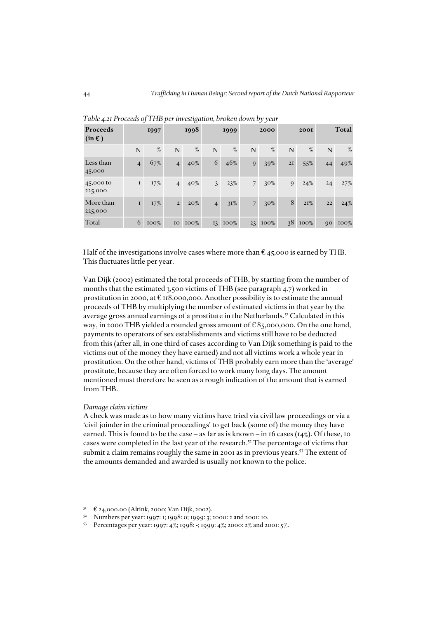| Proceeds<br>$(in \mathbf{\ell})$ |                | 1997   |                | 1998    |                | 1999          |                | 2000    |    | <b>2001</b> |    | Total   |
|----------------------------------|----------------|--------|----------------|---------|----------------|---------------|----------------|---------|----|-------------|----|---------|
|                                  | N              | %      | N              | %       | N              | %             | N              | %       | N  | $\%$        | N  | $\%$    |
| Less than<br>45,000              | $\overline{4}$ | 67%    | $\overline{4}$ | 40%     | 6              | 46%           | 9              | 39%     | 2I | 55%         | 44 | 49%     |
| 45,000 to<br>225,000             | $\mathbf I$    | 17%    | $\overline{4}$ | $40\%$  | $\mathfrak{Z}$ | 23%           | $\overline{7}$ | $30\%$  | 9  | 24%         | 24 | 27%     |
| More than<br>225,000             | $\mathbf I$    | $17\%$ | $\overline{2}$ | $20\%$  | $\overline{4}$ | $31\%$        | 7 <sup>1</sup> | $30\%$  | 8  | 2I%         | 22 | 24%     |
| Total                            | 6              | 100%   | IO             | $100\%$ |                | $13 \, 100\%$ |                | 23 100% |    | $38\ 100\%$ | 90 | $100\%$ |

*Table 4.21 Proceeds of THB per investigation, broken down by year*

Half of the investigations involve cases where more than  $\mathfrak{C}$  45,000 is earned by THB. This fluctuates little per year.

Van Dijk (2002) estimated the total proceeds of THB, by starting from the number of months that the estimated 3,500 victims of THB (see paragraph 4.7) worked in prostitution in 2000, at € 118,000,000. Another possibility is to estimate the annual proceeds of THB by multiplying the number of estimated victims in that year by the average gross annual earnings of a prostitute in the Netherlands.51 Calculated in this way, in 2000 THB yielded a rounded gross amount of € 85,000,000. On the one hand, payments to operators of sex establishments and victims still have to be deducted from this (after all, in one third of cases according to Van Dijk something is paid to the victims out of the money they have earned) and not all victims work a whole year in prostitution. On the other hand, victims of THB probably earn more than the 'average' prostitute, because they are often forced to work many long days. The amount mentioned must therefore be seen as a rough indication of the amount that is earned from THB.

### *Damage claim victims*

A check was made as to how many victims have tried via civil law proceedings or via a 'civil joinder in the criminal proceedings' to get back (some of) the money they have earned. This is found to be the case – as far as is known – in 16 cases  $(14\%)$ . Of these, 10 cases were completed in the last year of the research.<sup>52</sup> The percentage of victims that submit a claim remains roughly the same in 2001 as in previous years.<sup>53</sup> The extent of the amounts demanded and awarded is usually not known to the police.

<sup>51</sup> € 24,000.00 (Altink, 2000; Van Dijk, 2002).

<sup>52</sup> Numbers per year: 1997: 1; 1998: 0; 1999: 3; 2000: 2 and 2001: 10.

<sup>53</sup> Percentages per year: 1997: 4%; 1998: -; 1999: 4%; 2000: 2% and 2001: 5%.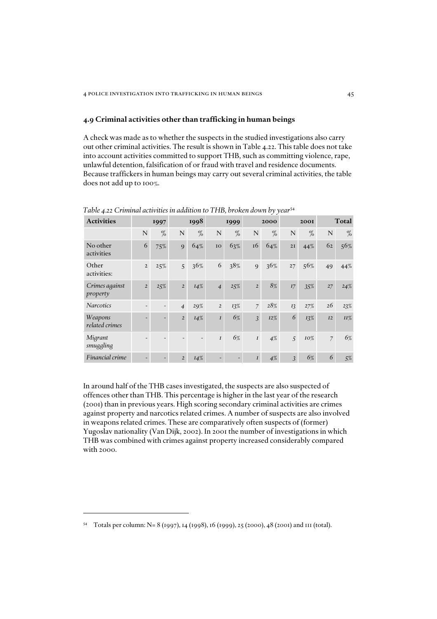### *4.9 Criminal activities other than trafficking in human beings*

A check was made as to whether the suspects in the studied investigations also carry out other criminal activities. The result is shown in Table 4.22. This table does not take into account activities committed to support THB, such as committing violence, rape, unlawful detention, falsification of or fraud with travel and residence documents. Because traffickers in human beings may carry out several criminal activities, the table does not add up to 100%.

| <b>Activities</b>          |                | 1997 |                | 1998 |                          | 1999                         |                  | 2000   |                | <b>200I</b> |                | <b>Total</b> |
|----------------------------|----------------|------|----------------|------|--------------------------|------------------------------|------------------|--------|----------------|-------------|----------------|--------------|
|                            | N              | $\%$ | N              | %    | N                        | %                            | N                | %      | N              | $\%$        | N              | %            |
| No other<br>activities     | 6              | 75%  | 9              | 64%  | IO                       | 63%                          | 16               | 64%    | 2I             | 44%         | 62             | 56%          |
| Other<br>activities:       | $\overline{2}$ | 25%  | 5              | 36%  | 6                        | 38%                          | 9                | 36%    | 27             | 56%         | 49             | 44%          |
| Crimes against<br>property | $\overline{2}$ | 25%  | $\overline{2}$ | 14%  | $\overline{4}$           | 25%                          | $\overline{2}$   | 8%     | I7             | 35%         | 27             | 24%          |
| <b>Narcotics</b>           | ۰              | -    | $\overline{4}$ | 29%  | $\overline{2}$           | 13%                          | $\overline{7}$   | 28%    | $I_3^2$        | 27%         | 26             | 23%          |
| Weapons<br>related crimes  |                | -    | $\overline{2}$ | I4%  | I                        | 6%                           | 3                | $I2\%$ | 6              | 13%         | I2             | II%          |
| Migrant<br>smuggling       |                |      |                |      | $\boldsymbol{I}$         | 6%                           | $\boldsymbol{I}$ | 4%     | 5              | 10%         | $\overline{7}$ | 6%           |
| Financial crime            |                | -    | $\overline{2}$ | I4%  | $\overline{\phantom{0}}$ | $\qquad \qquad \blacksquare$ | $\boldsymbol{I}$ | 4%     | $\overline{3}$ | 6%          | 6              | 5%           |

*Table 4.22 Criminal activities in addition to THB, broken down by year*<sup>54</sup>

In around half of the THB cases investigated, the suspects are also suspected of offences other than THB. This percentage is higher in the last year of the research (2001) than in previous years. High scoring secondary criminal activities are crimes against property and narcotics related crimes. A number of suspects are also involved in weapons related crimes. These are comparatively often suspects of (former) Yugoslav nationality (Van Dijk, 2002). In 2001 the number of investigations in which THB was combined with crimes against property increased considerably compared with 2000.

<sup>54</sup> Totals per column: N= 8 (1997), 14 (1998), 16 (1999), 25 (2000), 48 (2001) and 111 (total).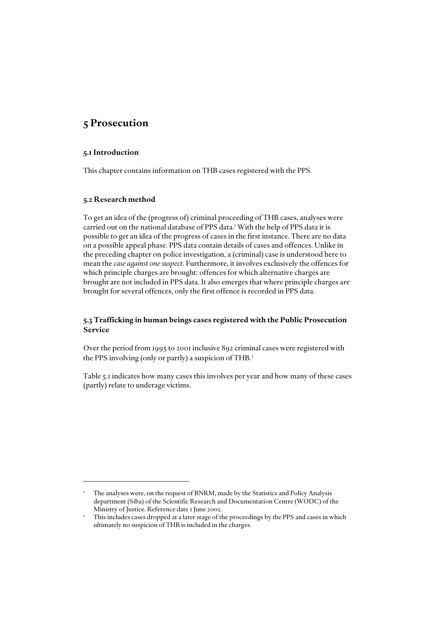# *5 Prosecution*

# *5.1 Introduction*

This chapter contains information on THB cases registered with the PPS.

# *5.2 Research method*

To get an idea of the (progress of) criminal proceeding of THB cases, analyses were carried out on the national database of PPS data.<sup>1</sup> With the help of PPS data it is possible to get an idea of the progress of cases in the first instance. There are no data on a possible appeal phase. PPS data contain details of cases and offences. Unlike in the preceding chapter on police investigation, a (criminal) case is understood here to mean the *case against one suspect*. Furthermore, it involves exclusively the offences for which principle charges are brought: offences for which alternative charges are brought are not included in PPS data. It also emerges that where principle charges are brought for several offences, only the first offence is recorded in PPS data.

# *5.3 Trafficking in human beings cases registered with the Public Prosecution Service*

Over the period from 1995 to 2001 inclusive 892 criminal cases were registered with the PPS involving (only or partly) a suspicion of THB.<sup>2</sup>

Table 5.1 indicates how many cases this involves per year and how many of these cases (partly) relate to underage victims.

<sup>1</sup> The analyses were, on the request of BNRM, made by the Statistics and Policy Analysis department (Siba) of the Scientific Research and Documentation Centre (WODC) of the Ministry of Justice. Reference date 1 June 2002.

This includes cases dropped at a later stage of the proceedings by the PPS and cases in which ultimately no suspicion of THB is included in the charges.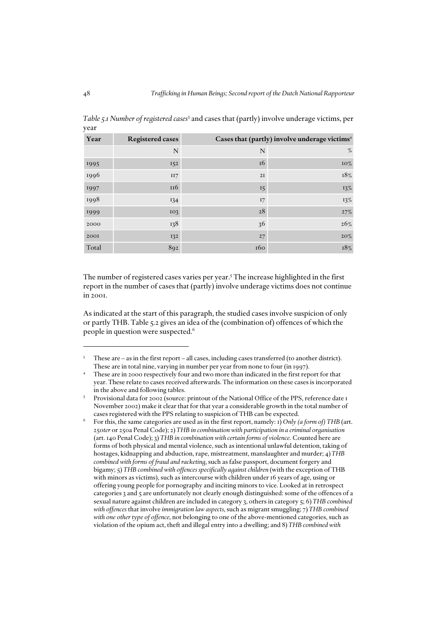| Year  | <b>Registered cases</b> |     | Cases that (partly) involve underage victims <sup>4</sup> |
|-------|-------------------------|-----|-----------------------------------------------------------|
|       | N                       | N   | $\%$                                                      |
| 1995  | <b>152</b>              | 16  | 10%                                                       |
| 1996  | II7                     | 2I  | 18%                                                       |
| 1997  | 116                     | 15  | 13%                                                       |
| 1998  | 134                     | 17  | $13\%$                                                    |
| 1999  | 103                     | 28  | 27%                                                       |
| 2000  | 138                     | 36  | 26%                                                       |
| 2001  | 132                     | 27  | $20\%$                                                    |
| Total | 892                     | 160 | 18%                                                       |

*Table 5.1 Number of registered cases*<sup>3</sup> and cases that (partly) involve underage victims, per year

The number of registered cases varies per year.<sup>5</sup> The increase highlighted in the first report in the number of cases that (partly) involve underage victims does not continue in 2001.

As indicated at the start of this paragraph, the studied cases involve suspicion of only or partly THB. Table 5.2 gives an idea of the (combination of) offences of which the people in question were suspected.6

These are – as in the first report – all cases, including cases transferred (to another district). These are in total nine, varying in number per year from none to four (in 1997).

These are in 2000 respectively four and two more than indicated in the first report for that year. These relate to cases received afterwards. The information on these cases is incorporated in the above and following tables.

Provisional data for 2002 (source: printout of the National Office of the PPS, reference date 1 November 2002) make it clear that for that year a considerable growth in the total number of cases registered with the PPS relating to suspicion of THB can be expected.

<sup>6</sup> For this, the same categories are used as in the first report, namely: 1) *Only (a form of) THB* (art. 250*ter* or 250a Penal Code); 2) *THB in combination with participation in a criminal organisation* (art. 140 Penal Code); 3) *THB in combination with certain forms of violence*. Counted here are forms of both physical and mental violence, such as intentional unlawful detention, taking of hostages, kidnapping and abduction, rape, mistreatment, manslaughter and murder; 4) *THB combined with forms of fraud and racketing*, such as false passport, document forgery and bigamy; 5) *THB combined with offences specifically against children* (with the exception of THB with minors as victims), such as intercourse with children under 16 years of age, using or offering young people for pornography and inciting minors to vice. Looked at in retrospect categories 3 and 5 are unfortunately not clearly enough distinguished: some of the offences of a sexual nature against children are included in category 3, others in category 5; 6) *THB combined with offences* that involve *immigration law aspects*, such as migrant smuggling; 7) *THB combined with one other type of offence*, not belonging to one of the above-mentioned categories, such as violation of the opium act, theft and illegal entry into a dwelling; and 8) *THB combined with*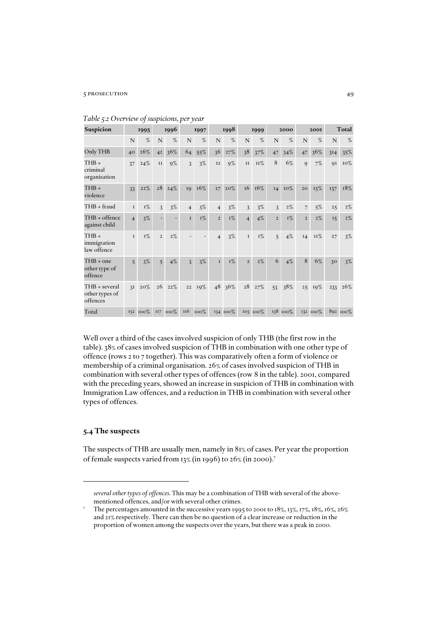### 5 prosecution 49

| Suspicion                                   |                | 1995     |                | 1996  |                 | 1997   |                | 1998     |                | 1999       |                | 2000     |                | 2001     |     | Total    |
|---------------------------------------------|----------------|----------|----------------|-------|-----------------|--------|----------------|----------|----------------|------------|----------------|----------|----------------|----------|-----|----------|
|                                             | N              | %        | N              | $\%$  | N               | %      | N              | %        | N              | %          | N              | %        | N              | $\%$     | N   | %        |
| Only THB                                    | 40             | 26%      | 4 <sup>2</sup> | 36%   | 64              | $55\%$ | 36             | 27%      | 38             | 37%        | 47             | 34%      | 47             | 36%      | 3I4 | $35\%$   |
| THB+<br>criminal<br>organisation            | 37             | 24%      | II             | $9\%$ | 3               | $3\%$  | I2             | $9\%$    | II             | <b>11%</b> | 8              | 6%       | 9              | 7%       | QI  | 10%      |
| THB+<br>violence                            | 33             | 22%      | 28             | 24%   | 19              | 16%    | 27             | $20\%$   | 16             | 16%        | I4             | 10%      | 20             | 15%      | 157 | 18%      |
| THB + fraud                                 | $\mathbf I$    | $I\%$    | 3              | 3%    | $\overline{4}$  | $3\%$  | $\overline{4}$ | $3\%$    | 3              | 3%         | 3              | $2\%$    | 7              | $5\%$    | 25  | $2\%$    |
| THB + offence<br>against child              | $\overline{4}$ | $3\%$    |                |       | $\mathbf{I}$    | $I\%$  | $\overline{2}$ | $I\%$    | $\overline{4}$ | $4\%$      | $\overline{2}$ | $I\%$    | $\overline{2}$ | $2\%$    | 15  | $2\%$    |
| THB+<br>immigration<br>law offence          | $\mathbf I$    | $I\%$    | $\overline{2}$ | $2\%$ |                 |        | $\overline{4}$ | $3\%$    | $\bf I$        | $I\%$      | 5              | 4%       | I4             | $II\%$   | 27  | $3\%$    |
| THB + one<br>other type of<br>offence       | 5              | $3\%$    | $\overline{5}$ | $4\%$ | $\mathfrak{Z}$  | $3\%$  | $\mathbf I$    | $I\%$    | $\overline{2}$ | $2\%$      | 6              | $4\%$    | 8              | 6%       | 30  | $3\%$    |
| THB + several<br>other types of<br>offences | 3I             | $20\%$   | 26             | 22%   | 22              | 19%    | 48             | 36%      | 28             | 27%        | 53             | 38%      | 25             | 19%      | 233 | 26%      |
| Total                                       |                | 152 100% | II7            | 100%  | II <sub>6</sub> | 100%   |                | 134 100% |                | 103 100%   |                | 138 100% |                | 132 100% |     | 892 100% |

|  |  | Table 5.2 Overview of suspicions, per year |  |
|--|--|--------------------------------------------|--|
|  |  |                                            |  |

Well over a third of the cases involved suspicion of only THB (the first row in the table). 38% of cases involved suspicion of THB in combination with one other type of offence (rows 2 to 7 together). This was comparatively often a form of violence or membership of a criminal organisation. 26% of cases involved suspicion of THB in combination with several other types of offences (row 8 in the table). 2001, compared with the preceding years, showed an increase in suspicion of THB in combination with Immigration Law offences, and a reduction in THB in combination with several other types of offences.

# *5.4 The suspects*

The suspects of THB are usually men, namely in 81% of cases. Per year the proportion of female suspects varied from 13% (in 1996) to 26% (in 2000).7

*several other types of offences*. This may be a combination of THB with several of the abovementioned offences, and/or with several other crimes.

<sup>7</sup> The percentages amounted in the successive years 1995 to 2001 to 18%, 13%, 17%, 18%, 16%, 26% and 21% respectively. There can then be no question of a clear increase or reduction in the proportion of women among the suspects over the years, but there was a peak in 2000.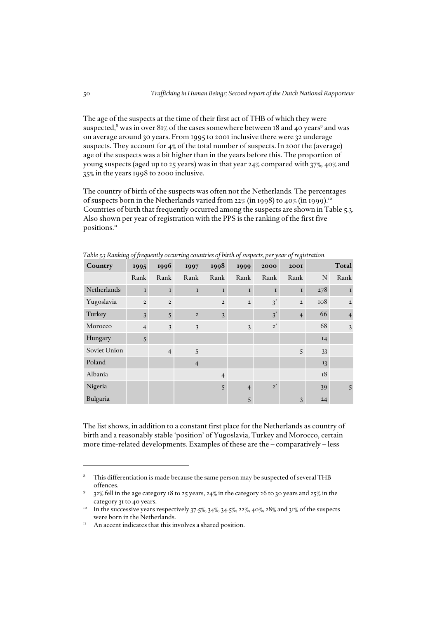The age of the suspects at the time of their first act of THB of which they were suspected, $^8$  was in over 81% of the cases somewhere between 18 and 40 years $^9$  and was on average around 30 years. From 1995 to 2001 inclusive there were 32 underage suspects. They account for 4% of the total number of suspects. In 2001 the (average) age of the suspects was a bit higher than in the years before this. The proportion of young suspects (aged up to 25 years) was in that year 24% compared with 37%, 40% and 35% in the years 1998 to 2000 inclusive.

The country of birth of the suspects was often not the Netherlands. The percentages of suspects born in the Netherlands varied from 22% (in 1998) to 40% (in 1999).10 Countries of birth that frequently occurred among the suspects are shown in Table 5.3. Also shown per year of registration with the PPS is the ranking of the first five positions.<sup>11</sup>

| JJ<br>Country | 0.55.1<br>1995 | 1996           | $\circ$<br>1997 | $\overline{J}$<br>1998 | J.<br>$\mathbf{r}$<br>1999 | 7 L T<br>2000 | ס כ<br><b>2001</b> |             | Total          |
|---------------|----------------|----------------|-----------------|------------------------|----------------------------|---------------|--------------------|-------------|----------------|
|               | Rank           | Rank           | Rank            | Rank                   | Rank                       | Rank          | Rank               | $\mathbf N$ | Rank           |
| Netherlands   | $\mathbf{I}$   | $\mathbf{I}$   | $\mathbf I$     | $\bf I$                | $\mathbf{I}$               | $\mathbf I$   | $\bf I$            | 278         | L              |
| Yugoslavia    | $\overline{2}$ | $\overline{2}$ |                 | $\mathbf 2$            | $\overline{2}$             | 3'            | $\overline{2}$     | 108         | $\overline{2}$ |
| Turkey        | $\mathfrak{Z}$ | 5              | $\overline{2}$  | 3                      |                            | 3'            | $\overline{4}$     | 66          | $\overline{4}$ |
| Morocco       | $\overline{4}$ | 3              | 3               |                        | 3                          | 2'            |                    | 68          | $\mathfrak{Z}$ |
| Hungary       | 5              |                |                 |                        |                            |               |                    | 14          |                |
| Soviet Union  |                | $\overline{4}$ | 5               |                        |                            |               | 5                  | 33          |                |
| Poland        |                |                | $\overline{4}$  |                        |                            |               |                    | 13          |                |
| Albania       |                |                |                 | $\overline{4}$         |                            |               |                    | 18          |                |
| Nigeria       |                |                |                 | 5                      | $\overline{4}$             | $2^{\prime}$  |                    | 39          | 5              |
| Bulgaria      |                |                |                 |                        | 5                          |               | 3                  | 24          |                |

*Table 5.3 Ranking of frequently occurring countries of birth of suspects, per year of registration* 

The list shows, in addition to a constant first place for the Netherlands as country of birth and a reasonably stable 'position' of Yugoslavia, Turkey and Morocco, certain more time-related developments. Examples of these are the – comparatively – less

<sup>8</sup> This differentiation is made because the same person may be suspected of several THB offences.

<sup>9</sup> 32% fell in the age category 18 to 25 years, 24% in the category 26 to 30 years and 25% in the

category 31 to 40 years.<br><sup>10</sup> In the successive years respectively 37.5%, 34%, 34.5%, 22%, 40%, 28% and 31% of the suspects were born in the Netherlands.

 $11$  An accent indicates that this involves a shared position.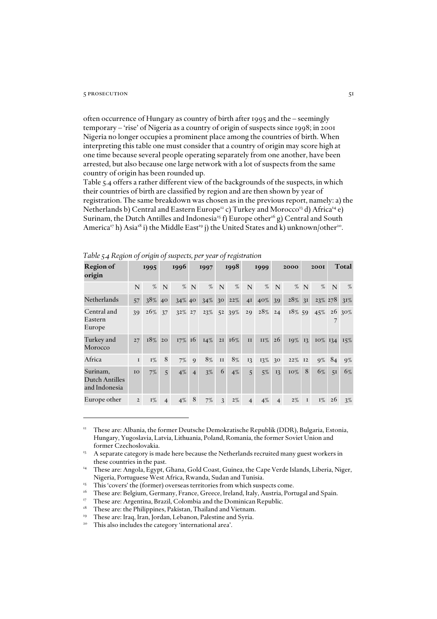#### $5$  prosecution  $51$

often occurrence of Hungary as country of birth after 1995 and the – seemingly temporary – 'rise' of Nigeria as a country of origin of suspects since 1998; in 2001 Nigeria no longer occupies a prominent place among the countries of birth. When interpreting this table one must consider that a country of origin may score high at one time because several people operating separately from one another, have been arrested, but also because one large network with a lot of suspects from the same country of origin has been rounded up.

Table 5.4 offers a rather different view of the backgrounds of the suspects, in which their countries of birth are classified by region and are then shown by year of registration. The same breakdown was chosen as in the previous report, namely: a) the Netherlands b) Central and Eastern Europe<sup>12</sup> c) Turkey and Morocco<sup>13</sup> d) Africa<sup>14</sup> e) Surinam, the Dutch Antilles and Indonesia<sup>15</sup> f) Europe other<sup>16</sup> g) Central and South America<sup>17</sup> h) Asia<sup>18</sup> i) the Middle East<sup>19</sup> j) the United States and k) unknown/other<sup>20</sup>.

| <b>Region of</b><br>origin                         |                | 1995  |                | 1996      |                | 1997   |                 | 1998            |                | 1999   |                | 2000   |                | <b>200I</b> |    | Total      |
|----------------------------------------------------|----------------|-------|----------------|-----------|----------------|--------|-----------------|-----------------|----------------|--------|----------------|--------|----------------|-------------|----|------------|
|                                                    | $\mathbf N$    | %     | N              | $\%$      | N              | $\%$   | $\mathbf N$     | %               | N              | %      | N              | $\%$   | N              | $\%$        | N  | %          |
| Netherlands                                        | 57             | 38%   | 40             | 34% 40    |                | 34%    | 30 <sup>°</sup> | 22%             | 4 <sup>I</sup> | 40%    | 39             | 28%    | 3 <sup>I</sup> | 23% 278     |    | $31\%$     |
| Central and<br>Eastern<br>Europe                   | 39             | 26%   | 37             | 32% 27    |                | 23%    | 5 <sup>2</sup>  | 39%             | 29             | $28\%$ | 24             | 18% 59 |                | 45%         |    | $26\,30\%$ |
| Turkey and<br>Morocco                              | 27             | 18%   | 20             | $17\%$ 16 |                | $14\%$ |                 | $2I \quad 16\%$ | II             | $II\%$ | 26             | 19%    | 13             | $10\%$ 134  |    | 15%        |
| Africa                                             | $\mathbf I$    | $I\%$ | 8              | $7\%$     | 9              | 8%     | $\rm II$        | 8%              | 13             | 13%    | 3 <sup>o</sup> | 22%    | I2             | $9\%$       | 84 | $9\%$      |
| Surinam,<br><b>Dutch Antilles</b><br>and Indonesia | IO             | $7\%$ | 5              | $4\%$     | $\overline{4}$ | $3\%$  | 6               | $4\%$           | 5              | $5\%$  | 13             | 10%    | 8              | 6%          | 51 | 6%         |
| Europe other                                       | $\overline{2}$ | 1%    | $\overline{4}$ | 4%        | 8              | 7%     | 3               | $2\%$           | $\overline{4}$ | 4%     | $\overline{4}$ | $2\%$  | $\mathbf I$    | $I\%$       | 26 | $3\%$      |

*Table 5.4 Region of origin of suspects, per year of registration*

<sup>12</sup> These are: Albania, the former Deutsche Demokratische Republik (DDR), Bulgaria, Estonia, Hungary, Yugoslavia, Latvia, Lithuania, Poland, Romania, the former Soviet Union and former Czechoslovakia.

 $13$  A separate category is made here because the Netherlands recruited many guest workers in these countries in the past.

These are: Angola, Egypt, Ghana, Gold Coast, Guinea, the Cape Verde Islands, Liberia, Niger, Nigeria, Portuguese West Africa, Rwanda, Sudan and Tunisia.

<sup>&</sup>lt;sup>15</sup> This 'covers' the (former) overseas territories from which suspects come.

<sup>&</sup>lt;sup>16</sup> These are: Belgium, Germany, France, Greece, Ireland, Italy, Austria, Portugal and Spain.

<sup>&</sup>lt;sup>17</sup> These are: Argentina, Brazil, Colombia and the Dominican Republic.

<sup>&</sup>lt;sup>18</sup> These are: the Philippines, Pakistan, Thailand and Vietnam.

<sup>&</sup>lt;sup>19</sup> These are: Iraq, Iran, Jordan, Lebanon, Palestine and Syria.

<sup>&</sup>lt;sup>20</sup> This also includes the category 'international area'.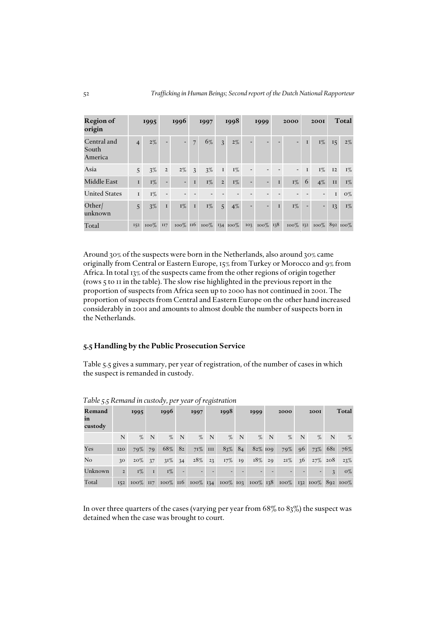| <b>Region of</b><br>origin      |                | 1995    |                          | 1996                     |                | 1997  |                | 1998                |                          | 1999         |              | 2000  |              | <b>2001</b>                     |              | Total |
|---------------------------------|----------------|---------|--------------------------|--------------------------|----------------|-------|----------------|---------------------|--------------------------|--------------|--------------|-------|--------------|---------------------------------|--------------|-------|
| Central and<br>South<br>America | $\overline{4}$ | $2\%$   |                          | $\overline{\phantom{0}}$ | $\overline{7}$ | 6%    | $\overline{3}$ | $2\%$               |                          |              |              |       | $\mathbf{I}$ | $I\%$                           | 15           | $2\%$ |
| Asia                            | 5              | $3\%$   | $\overline{2}$           | $2\%$                    | 3 <sup>7</sup> | $3\%$ | $\bf I$        | $I\%$               | $\overline{\phantom{0}}$ |              |              |       | $\mathbf{I}$ | $I\%$                           | I2           | $I\%$ |
| Middle East                     | $\mathbf{I}$   | $I\%$   | $\overline{\phantom{0}}$ | $\overline{\phantom{0}}$ | $\bf{I}$       | $I\%$ | $\overline{2}$ | $I\%$               | $\overline{\phantom{a}}$ |              | $\bf{I}$     | $I\%$ | 6            | $4\%$                           | II           | $I\%$ |
| <b>United States</b>            | $\mathbf I$    | $I\%$   | $\overline{\phantom{a}}$ |                          |                |       |                |                     |                          |              |              |       |              |                                 | $\mathbf{I}$ | $O\%$ |
| Other/<br>unknown               | $\overline{5}$ | $3\%$   | $\mathbf{I}$             | $I\%$                    | $\bf I$        | $I\%$ | 5              | $4\%$               | ÷.                       |              | $\mathbf{I}$ | $I\%$ |              | $\blacksquare$                  | 13           | $I\%$ |
| Total                           | I52            | $100\%$ | II7                      | $100\%$ II6              |                |       |                | $100\%$ 134 $100\%$ |                          | 103 100% 138 |              |       |              | $100\%$ 132 $100\%$ 892 $100\%$ |              |       |

Around 30% of the suspects were born in the Netherlands, also around 30% came originally from Central or Eastern Europe, 15% from Turkey or Morocco and 9% from Africa. In total 13% of the suspects came from the other regions of origin together (rows 5 to 11 in the table). The slow rise highlighted in the previous report in the proportion of suspects from Africa seen up to 2000 has not continued in 2001. The proportion of suspects from Central and Eastern Europe on the other hand increased considerably in 2001 and amounts to almost double the number of suspects born in the Netherlands.

# *5.5 Handling by the Public Prosecution Service*

Table 5.5 gives a summary, per year of registration, of the number of cases in which the suspect is remanded in custody.

| Remand<br>in<br>custody |                | 1995   | 1996        |        |     | 1997      |     | 1998      |             | 1999       |    | 2000                                                                    |     | <b>2001</b>          |               | Total |
|-------------------------|----------------|--------|-------------|--------|-----|-----------|-----|-----------|-------------|------------|----|-------------------------------------------------------------------------|-----|----------------------|---------------|-------|
|                         | N              | %      | $\mathbf N$ |        | % N |           | % N | $\%$      | $\mathbf N$ | $\%$       | N  | $\%$                                                                    | N   | %                    | N             | $\%$  |
| Yes                     | 120            | 79%    | 79          | 68%    | 82  | $71\%$    | III | 83%       | 84          | $82\%$ 109 |    | 79%                                                                     | -96 | 73% 681              |               | 76%   |
| No                      | $30^{\circ}$   | $20\%$ | 37          | $31\%$ | 34  | $28\%$ 23 |     | $17\%$ 19 |             | 18%        | 29 |                                                                         |     | $21\%$ 36 $27\%$ 208 |               | 23%   |
| Unknown                 | $\overline{2}$ | $I\%$  | $\mathbf I$ | $I\%$  |     |           |     |           |             |            |    |                                                                         |     |                      | $\mathcal{R}$ | $O\%$ |
| Total                   |                |        |             |        |     |           |     |           |             |            |    | 152 100% 117 100% 116 100% 134 100% 103 100% 138 100% 132 100% 892 100% |     |                      |               |       |

*Table 5.5 Remand in custody, per year of registration*

In over three quarters of the cases (varying per year from  $68\%$  to  $83\%$ ) the suspect was detained when the case was brought to court.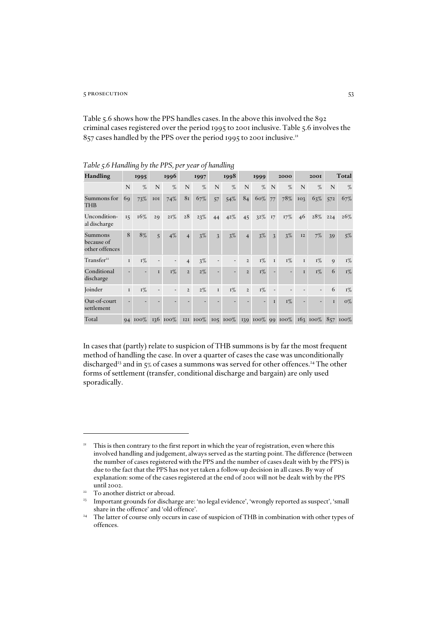### 53 prosecution 53

Table 5.6 shows how the PPS handles cases. In the above this involved the 892 criminal cases registered over the period 1995 to 2001 inclusive. Table 5.6 involves the 857 cases handled by the PPS over the period 1995 to 2001 inclusive.<sup>21</sup>

| Handling                                |         | 1995    |              | 1996                     |                | 1997          |                | 1998           |                | 1999           |                | 2000             |              | <b>200I</b>  |              | Total      |
|-----------------------------------------|---------|---------|--------------|--------------------------|----------------|---------------|----------------|----------------|----------------|----------------|----------------|------------------|--------------|--------------|--------------|------------|
|                                         | N       | %       | N            | %                        | N              | %             | N              | %              | N              | %              | N              | $\%$             | N            | %            | N            | %          |
| Summons for<br><b>THB</b>               | 69      | 73%     | IOI          | 74%                      | 81             | 67%           | 57             | 54%            | 84             | 60%            | 77             | 78%              | 103          | 63%          | 572          | 67%        |
| Uncondition-<br>al discharge            | 15      | 16%     | 29           | $21\%$                   | 28             | 23%           | 44             | 42%            | 45             | 32%            | 17             | 17%              | 46           | 28%          | 224          | $26\%$     |
| Summons<br>because of<br>other offences | 8       | 8%      | 5            | $4\%$                    | $\overline{4}$ | $3\%$         | $\mathfrak{Z}$ | $3\%$          | $\overline{4}$ | $3\%$          | $\mathfrak{Z}$ | $3\%$            | 12           | $7\%$        | 39           | $5\%$      |
| Transfer <sup>22</sup>                  | I       | $I\%$   |              | $\overline{\phantom{a}}$ | 4              | 3%            |                |                | $\overline{2}$ | $I\%$          | $\mathbf I$    | $I\%$            | $\mathbf I$  | $I\%$        | $\mathbf{Q}$ | $I\%$      |
| Conditional<br>discharge                |         |         | $\mathbf{I}$ | $I\%$                    | $\overline{2}$ | $2\%$         |                |                | $\overline{2}$ | $I\%$          |                |                  | $\mathbf{I}$ | $I\%$        | 6            | $I\%$      |
| Joinder                                 | $\bf I$ | $I\%$   |              |                          | $\overline{2}$ | $2\%$         | $\mathbf I$    | $I\%$          | $\overline{2}$ | $I\%$          |                |                  |              |              | 6            | $I\%$      |
| Out-of-court<br>settlement              |         |         |              |                          |                |               |                |                |                | $\overline{a}$ | $\mathbf{I}$   | $I\%$            | ٠            |              | $\mathbf{I}$ | $O\%$      |
| Total                                   |         | 94 100% |              | 136 100%                 |                | $12I$ $100\%$ |                | $105 \, 100\%$ |                |                |                | 139 100% 99 100% |              | $163, 100\%$ |              | $857100\%$ |

*Table 5.6 Handling by the PPS, per year of handling*

In cases that (partly) relate to suspicion of THB summons is by far the most frequent method of handling the case. In over a quarter of cases the case was unconditionally discharged<sup>23</sup> and in 5% of cases a summons was served for other offences.<sup>24</sup> The other forms of settlement (transfer, conditional discharge and bargain) are only used sporadically.

<sup>&</sup>lt;sup>21</sup> This is then contrary to the first report in which the year of registration, even where this involved handling and judgement, always served as the starting point. The difference (between the number of cases registered with the PPS and the number of cases dealt with by the PPS) is due to the fact that the PPS has not yet taken a follow-up decision in all cases. By way of explanation: some of the cases registered at the end of 2001 will not be dealt with by the PPS until 2002.

<sup>&</sup>lt;sup>22</sup> To another district or abroad.

<sup>&</sup>lt;sup>23</sup> Important grounds for discharge are: 'no legal evidence', 'wrongly reported as suspect', 'small share in the offence' and 'old offence'.

<sup>&</sup>lt;sup>24</sup> The latter of course only occurs in case of suspicion of THB in combination with other types of offences.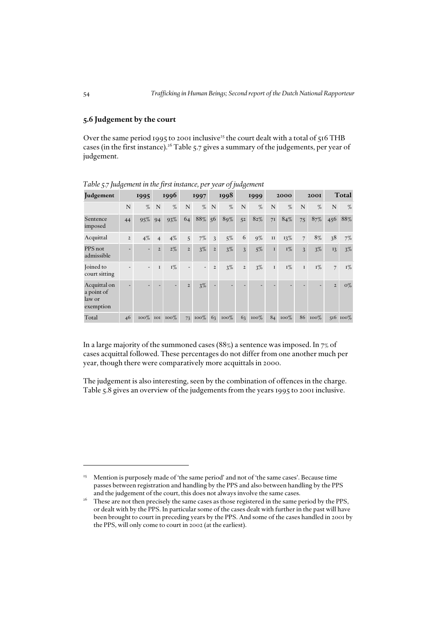# *5.6 Judgement by the court*

Over the same period 1995 to 2001 inclusive<sup>25</sup> the court dealt with a total of 516 THB cases (in the first instance).<sup>26</sup> Table 5.7 gives a summary of the judgements, per year of judgement.

|                                                   | $\boldsymbol{\omega}$<br>J |                          |                |                     | ∕ ⊥            |         | JJ             | $\omega$ |                |         |               |         |                |             |                |          |
|---------------------------------------------------|----------------------------|--------------------------|----------------|---------------------|----------------|---------|----------------|----------|----------------|---------|---------------|---------|----------------|-------------|----------------|----------|
| Judgement                                         |                            | 1995                     |                | 1996                |                | 1997    |                | 1998     |                | 1999    |               | 2000    |                | <b>200I</b> |                | Total    |
|                                                   | N                          | %                        | N              | %                   | N              | %       | $\mathbf N$    | %        | N              | $\%$    | N             | $\%$    | N              | %           | $\mathbf N$    | %        |
| Sentence<br>imposed                               | 44                         | 95%                      | 94             | 93%                 | 64             | 88%     | 56             | 89%      | 52             | $82\%$  | 7I            | 84%     | 75             | 87%         | 456            | 88%      |
| Acquittal                                         | $\overline{2}$             | $4\%$                    | $\overline{4}$ | 4%                  | 5              | $7\%$   | $\overline{3}$ | $5\%$    | 6              | $9\%$   | $\mathbf{II}$ | 13%     | $\overline{7}$ | 8%          | 38             | $7\%$    |
| PPS not<br>admissible                             |                            | ٠                        | $\overline{2}$ | $2\%$               | $\overline{2}$ | $3\%$   | $\overline{2}$ | $3\%$    | 3              | $5\%$   | $\mathbf{I}$  | $I\%$   | $\overline{3}$ | $3\%$       | 13             | $3\%$    |
| Joined to<br>court sitting                        |                            | $\overline{\phantom{0}}$ | $\mathbf I$    | $I\%$               | $\overline{a}$ |         | $\overline{2}$ | $3\%$    | $\overline{2}$ | $3\%$   | $\mathbf{I}$  | $I\%$   | $\mathbf{I}$   | $I\%$       | $\overline{7}$ | $I\%$    |
| Acquittal on<br>a point of<br>law or<br>exemption |                            |                          |                |                     | $\overline{2}$ | $3\%$   | $\overline{a}$ |          |                |         |               |         |                |             | $\overline{2}$ | $O\%$    |
| Total                                             | 46                         |                          |                | $100\%$ 101 $100\%$ | 73             | $100\%$ | 63             | $100\%$  | 63             | $100\%$ |               | 84 100% | 86             | $100\%$     |                | 516 100% |

*Table 5.7 Judgement in the first instance, per year of judgement*

In a large majority of the summoned cases (88%) a sentence was imposed. In 7% of cases acquittal followed. These percentages do not differ from one another much per year, though there were comparatively more acquittals in 2000.

The judgement is also interesting, seen by the combination of offences in the charge. Table 5.8 gives an overview of the judgements from the years 1995 to 2001 inclusive.

<sup>&</sup>lt;sup>25</sup> Mention is purposely made of 'the same period' and not of 'the same cases'. Because time passes between registration and handling by the PPS and also between handling by the PPS and the judgement of the court, this does not always involve the same cases.

<sup>&</sup>lt;sup>26</sup> These are not then precisely the same cases as those registered in the same period by the PPS, or dealt with by the PPS. In particular some of the cases dealt with further in the past will have been brought to court in preceding years by the PPS. And some of the cases handled in 2001 by the PPS, will only come to court in 2002 (at the earliest).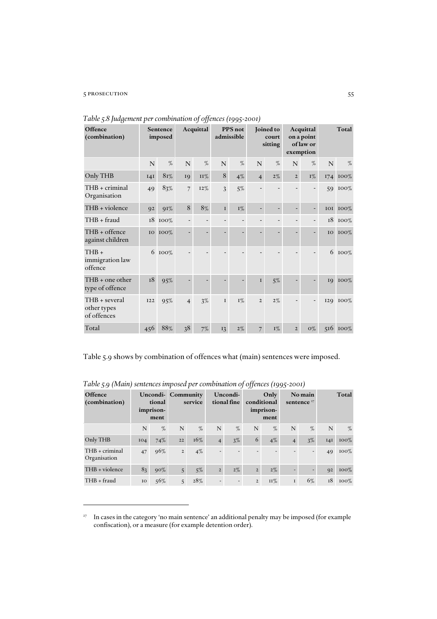# 55 prosecution 55

| Offence<br>(combination)                    | Sentence<br>imposed |         | Acquittal      |            | PPS not<br>admissible |       | Joined to<br>court<br>sitting |       | Acquittal<br>on a point<br>of law or<br>exemption |       | Total |                 |
|---------------------------------------------|---------------------|---------|----------------|------------|-----------------------|-------|-------------------------------|-------|---------------------------------------------------|-------|-------|-----------------|
|                                             | $\mathbf N$         | %       | $\mathbf N$    | %          | $\mathbf N$           | %     | N                             | $\%$  | N                                                 | $\%$  | N     | %               |
| Only THB                                    | I4I                 | 8r%     | 19             | <b>II%</b> | 8                     | $4\%$ | $\overline{4}$                | $2\%$ | $\overline{2}$                                    | $I\%$ | 174   | 100%            |
| THB + criminal<br>Organisation              | 49                  | 83%     | $\overline{7}$ | 12%        | 3                     | $5\%$ |                               |       |                                                   |       | 59    | $100\%$         |
| THB + violence                              | 92                  | 91%     | $8\,$          | 8%         | $\bf I$               | $I\%$ |                               |       |                                                   |       |       | <b>IOI IOO%</b> |
| THB + fraud                                 |                     | 18 100% |                |            |                       |       |                               |       |                                                   |       |       | 18 100%         |
| THB + offence<br>against children           | <b>IO</b>           | 100%    |                | -          |                       |       |                               |       |                                                   |       | IO    | 100%            |
| $THB +$<br>immigration law<br>offence       |                     | 6 100%  |                |            |                       |       |                               |       |                                                   |       | 6     | 100%            |
| THB + one other<br>type of offence          | $^{\rm I8}$         | 95%     |                |            |                       |       | $\mathbf{I}$                  | $5\%$ |                                                   |       | 19    | 100%            |
| THB + several<br>other types<br>of offences | 122                 | 95%     | $\overline{4}$ | 3%         | $\mathbf I$           | $I\%$ | $\overline{2}$                | $2\%$ |                                                   |       |       | 129 100%        |
| Total                                       | 456                 | 88%     | 38             | 7%         | 13                    | $2\%$ | $\overline{7}$                | $I\%$ | $\overline{2}$                                    | $O\%$ | 516   | $100\%$         |

*Table 5.8 Judgement per combination of offences (1995-2001)*

Table 5.9 shows by combination of offences what (main) sentences were imposed.

| Offence<br>(combination)         | tional<br>imprison-<br>ment |        | Uncondi-Community<br>service |       | Uncondi-<br>tional fine  |       | Only<br>conditional<br>imprison-<br>ment |        | No main<br>sentence $27$ |      | Total |         |
|----------------------------------|-----------------------------|--------|------------------------------|-------|--------------------------|-------|------------------------------------------|--------|--------------------------|------|-------|---------|
|                                  | N                           | $\%$   | N                            | %     | N                        | %     | N                                        | %      | N                        | $\%$ | N     | $\%$    |
| Only THB                         | IO4                         | 74%    | 22                           | 16%   | $\overline{4}$           | 3%    | 6                                        | $4\%$  | $\overline{4}$           | 3%   | I4I   | $100\%$ |
| $THB + criminal$<br>Organisation | 47                          | 96%    | $\mathbf 2$                  | $4\%$ | $\overline{\phantom{0}}$ |       | -                                        |        |                          | ٠    | 49    | $100\%$ |
| THB + violence                   | 83                          | $90\%$ | 5                            | $5\%$ | $\overline{2}$           | $2\%$ | $\overline{2}$                           | $2\%$  | ٠                        | ۰    | Q2    | $100\%$ |
| $THB + \text{fraud}$             | IO                          | 56%    | 5                            | 28%   |                          |       | $\overline{2}$                           | $II\%$ | $\bf I$                  | 6%   | 18    | $100\%$ |

*Table 5.9 (Main) sentences imposed per combination of offences (1995-2001)* 

<sup>27</sup> In cases in the category 'no main sentence' an additional penalty may be imposed (for example confiscation), or a measure (for example detention order).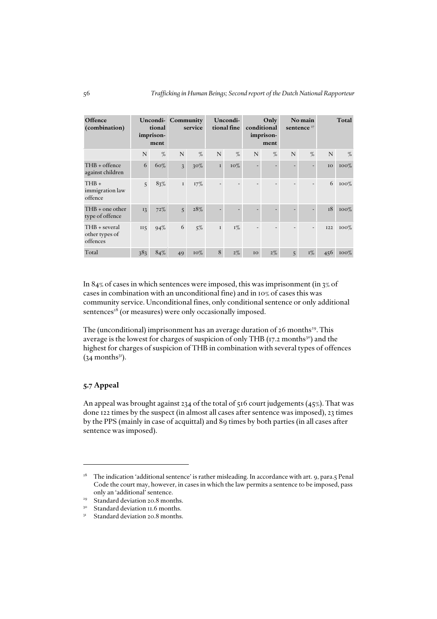| Offence<br>(combination)                    | tional<br>imprison-<br>ment |        | <b>Uncondi-</b> Community<br>service |        | Uncondi-<br>tional fine |       | Only<br>conditional<br>imprison-<br>ment |       | No main<br>sentence $27$ |       | Total      |         |
|---------------------------------------------|-----------------------------|--------|--------------------------------------|--------|-------------------------|-------|------------------------------------------|-------|--------------------------|-------|------------|---------|
|                                             | N                           | %      | N                                    | %      | N                       | %     | N                                        | $\%$  | N                        | $\%$  | N          | %       |
| THB + offence<br>against children           | 6                           | 60%    | $\overline{3}$                       | $30\%$ | $\mathbf I$             | 10%   |                                          | ۰     |                          |       | IO         | $100\%$ |
| $THB +$<br>immigration law<br>offence       | $\overline{5}$              | 83%    | $\mathbf I$                          | 17%    |                         |       |                                          |       |                          |       | 6          | $100\%$ |
| $THB +$ one other<br>type of offence        | 13                          | $72\%$ | 5                                    | 28%    |                         |       |                                          |       |                          |       | 18         | $100\%$ |
| THB + several<br>other types of<br>offences | II <sub>5</sub>             | 94%    | 6                                    | 5%     | $\mathbf I$             | $I\%$ |                                          |       |                          |       | <b>I22</b> | $100\%$ |
| Total                                       | 383                         | 84%    | 49                                   | 10%    | 8                       | $2\%$ | 10                                       | $2\%$ | $\overline{5}$           | $I\%$ | 456        | $100\%$ |

In 84% of cases in which sentences were imposed, this was imprisonment (in 3% of cases in combination with an unconditional fine) and in 10% of cases this was community service. Unconditional fines, only conditional sentence or only additional sentences<sup>28</sup> (or measures) were only occasionally imposed.

The (unconditional) imprisonment has an average duration of  $26$  months<sup>29</sup>. This average is the lowest for charges of suspicion of only THB (17.2 months<sup>30</sup>) and the highest for charges of suspicion of THB in combination with several types of offences  $(34$  months<sup>31</sup>).

# *5.7 Appeal*

An appeal was brought against 234 of the total of 516 court judgements  $(45\%)$ . That was done 122 times by the suspect (in almost all cases after sentence was imposed), 23 times by the PPS (mainly in case of acquittal) and 89 times by both parties (in all cases after sentence was imposed).

<sup>&</sup>lt;sup>28</sup> The indication 'additional sentence' is rather misleading. In accordance with art. 9, para.5 Penal Code the court may, however, in cases in which the law permits a sentence to be imposed, pass only an 'additional' sentence.

<sup>&</sup>lt;sup>29</sup> Standard deviation 20.8 months.<br><sup>30</sup> Standard deviation 11.6 months.

Standard deviation 11.6 months.

Standard deviation 20.8 months.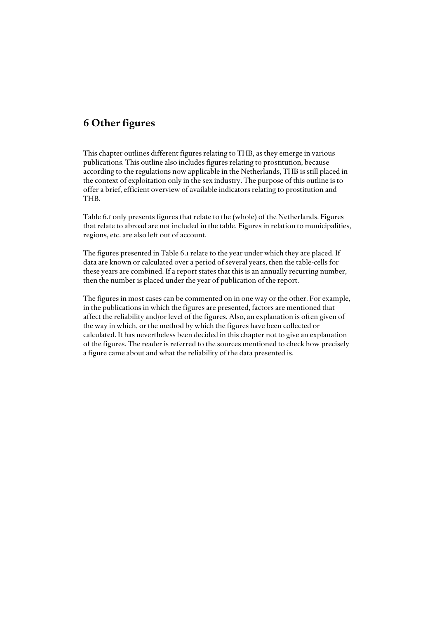# *6 Other figures*

This chapter outlines different figures relating to THB, as they emerge in various publications. This outline also includes figures relating to prostitution, because according to the regulations now applicable in the Netherlands, THB is still placed in the context of exploitation only in the sex industry. The purpose of this outline is to offer a brief, efficient overview of available indicators relating to prostitution and THB.

Table 6.1 only presents figures that relate to the (whole) of the Netherlands. Figures that relate to abroad are not included in the table. Figures in relation to municipalities, regions, etc. are also left out of account.

The figures presented in Table 6.1 relate to the year under which they are placed. If data are known or calculated over a period of several years, then the table-cells for these years are combined. If a report states that this is an annually recurring number, then the number is placed under the year of publication of the report.

The figures in most cases can be commented on in one way or the other. For example, in the publications in which the figures are presented, factors are mentioned that affect the reliability and/or level of the figures. Also, an explanation is often given of the way in which, or the method by which the figures have been collected or calculated. It has nevertheless been decided in this chapter not to give an explanation of the figures. The reader is referred to the sources mentioned to check how precisely a figure came about and what the reliability of the data presented is.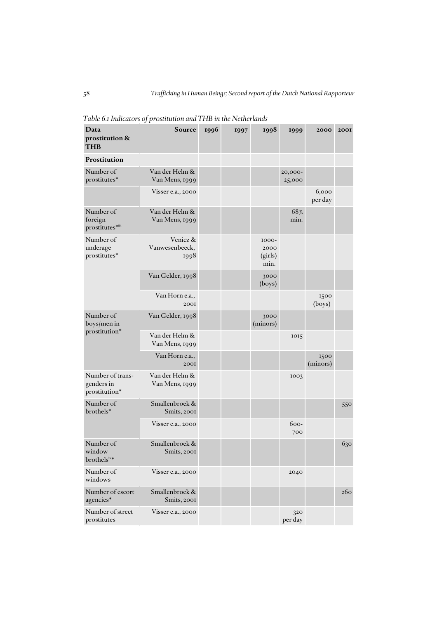| Data<br>prostitution &<br><b>THB</b>            | JΙ<br>Source                       | 1996 | 1997 | 1998                             | 1999              | 2000             | <b>200I</b> |
|-------------------------------------------------|------------------------------------|------|------|----------------------------------|-------------------|------------------|-------------|
| Prostitution                                    |                                    |      |      |                                  |                   |                  |             |
| Number of<br>prostitutes*                       | Van der Helm &<br>Van Mens, 1999   |      |      |                                  | 20,000-<br>25,000 |                  |             |
|                                                 | Visser e.a., 2000                  |      |      |                                  |                   | 6,000<br>per day |             |
| Number of<br>foreign<br>prostitutes*iii         | Van der Helm &<br>Van Mens, 1999   |      |      |                                  | 68%<br>min.       |                  |             |
| Number of<br>underage<br>prostitutes*           | Venicz &<br>Vanwesenbeeck,<br>1998 |      |      | 1000-<br>2000<br>(girls)<br>min. |                   |                  |             |
|                                                 | Van Gelder, 1998                   |      |      | 3000<br>(boys)                   |                   |                  |             |
|                                                 | Van Horn e.a.,<br>2001             |      |      |                                  |                   | 1500<br>(boys)   |             |
| Number of<br>boys/men in                        | Van Gelder, 1998                   |      |      | 3000<br>(minors)                 |                   |                  |             |
| prostitution*                                   | Van der Helm &<br>Van Mens, 1999   |      |      |                                  | 1015              |                  |             |
|                                                 | Van Horn e.a.,<br>2001             |      |      |                                  |                   | 1500<br>(minors) |             |
| Number of trans-<br>genders in<br>prostitution* | Van der Helm &<br>Van Mens, 1999   |      |      |                                  | 1003              |                  |             |
| Number of<br>brothels*                          | Smallenbroek &<br>Smits, 2001      |      |      |                                  |                   |                  | 550         |
|                                                 | Visser e.a., 2000                  |      |      |                                  | 600-<br>700       |                  |             |
| Number of<br>window<br>brothelsiv*              | Smallenbroek &<br>Smits, 2001      |      |      |                                  |                   |                  | 630         |
| Number of<br>windows                            | Visser e.a., 2000                  |      |      |                                  | 2040              |                  |             |
| Number of escort<br>agencies*                   | Smallenbroek &<br>Smits, 2001      |      |      |                                  |                   |                  | 260         |
| Number of street<br>prostitutes                 | Visser e.a., 2000                  |      |      |                                  | 320<br>per day    |                  |             |

*Table 6.1 Indicators of prostitution and THB in the Netherlands*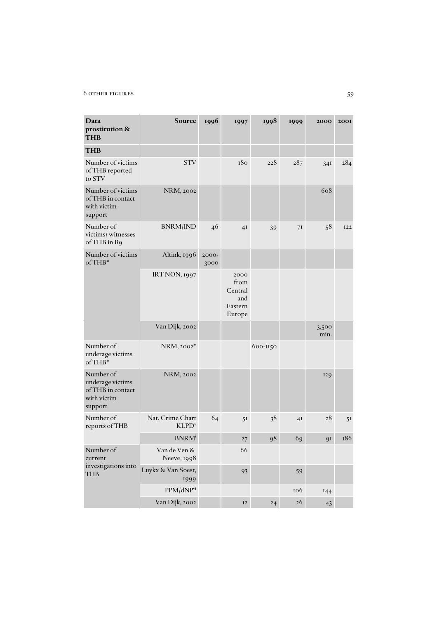# 6 other figures 59

| Data<br>prostitution &<br><b>THB</b>                                         | Source                                       | 1996          | 1997                                                | 1998     | 1999           | 2000          | <b>200I</b> |
|------------------------------------------------------------------------------|----------------------------------------------|---------------|-----------------------------------------------------|----------|----------------|---------------|-------------|
| <b>THB</b>                                                                   |                                              |               |                                                     |          |                |               |             |
| Number of victims<br>of THB reported<br>to STV                               | <b>STV</b>                                   |               | 180                                                 | 228      | 287            | 34I           | 284         |
| Number of victims<br>of THB in contact<br>with victim<br>support             | NRM, 2002                                    |               |                                                     |          |                | 608           |             |
| Number of<br>victims/ witnesses<br>of THB in B9                              | <b>BNRM/IND</b>                              | 46            | 4I                                                  | 39       | 7I             | 58            | <b>I22</b>  |
| Number of victims<br>$of THB*$                                               | Altink, 1996                                 | 2000-<br>3000 |                                                     |          |                |               |             |
|                                                                              | <b>IRT NON, 1997</b>                         |               | 2000<br>from<br>Central<br>and<br>Eastern<br>Europe |          |                |               |             |
|                                                                              | Van Dijk, 2002                               |               |                                                     |          |                | 3,500<br>min. |             |
| Number of<br>underage victims<br>$of THB*$                                   | NRM, 2002*                                   |               |                                                     | 600-1150 |                |               |             |
| Number of<br>underage victims<br>of THB in contact<br>with victim<br>support | NRM, 2002                                    |               |                                                     |          |                | 129           |             |
| Number of<br>reports of THB                                                  | Nat. Crime Chart<br><b>KLPD</b> <sup>v</sup> | 64            | 51                                                  | 38       | 4 <sub>I</sub> | 28            | 51          |
|                                                                              | <b>BNRM</b> <sup>i</sup>                     |               | 27                                                  | 98       | 69             | 91            | 186         |
| Number of<br>current                                                         | Van de Ven &<br>Neeve, 1998                  |               | 66                                                  |          |                |               |             |
| investigations into<br><b>THB</b>                                            | Luykx & Van Soest,<br>1999                   |               | 93                                                  |          | 59             |               |             |
|                                                                              | PPM/dNPvi                                    |               |                                                     |          | 106            | 144           |             |
|                                                                              | Van Dijk, 2002                               |               | $\mathbf{I2}$                                       | 24       | 26             | 43            |             |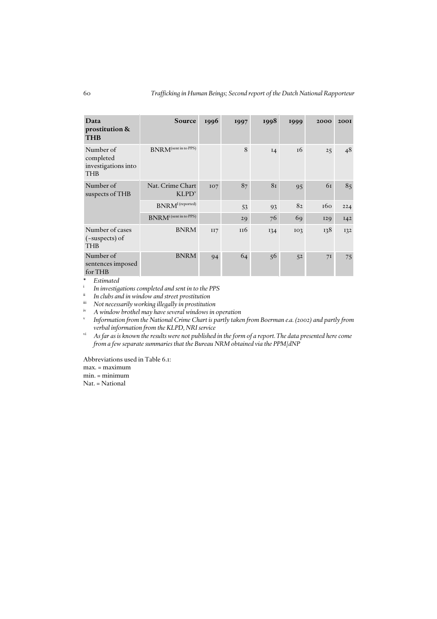| Data<br>prostitution &<br><b>THB</b>                        | Source                                                              | 1996 | 1997 | 1998 | 1999            | 2000 | <b>200I</b> |
|-------------------------------------------------------------|---------------------------------------------------------------------|------|------|------|-----------------|------|-------------|
| Number of<br>completed<br>investigations into<br><b>THB</b> | <b>BNRM</b> <sup>(sent in to PPS)</sup>                             |      | 8    | I4   | <sup>16</sup>   | 25   | 48          |
| Number of<br>suspects of THB                                | Nat. Crime Chart<br>KLPD <sup>v</sup>                               | 107  | 87   | 81   | 95              | 61   | 85          |
|                                                             | $\ensuremath{\mathbf{BNRM}}\xspace^{\text{I} \, \text{(reported)}}$ |      | 53   | 93   | 82              | 160  | 224         |
|                                                             | $BNRM^i$ (sent in to PPS)                                           |      | 29   | 76   | 69              | 129  | I42         |
| Number of cases<br>$(-\text{subpects})$ of<br><b>THB</b>    | <b>BNRM</b>                                                         | II7  | 116  | 134  | IO <sub>3</sub> | 138  | 132         |
| Number of<br>sentences imposed<br>for THB                   | <b>BNRM</b>                                                         | 94   | 64   | 56   | 52              | 7I   | 75          |

\* *Estimated*

<sup>*i</sup> In investigations completed and sent in to the PPS*<br><sup>*ii*</sup> In clubs and in window and street prostitution</sup>

In clubs and in window and street prostitution

iii *Not necessarily working illegally in prostitution*

iv *A window brothel may have several windows in operation*

*Information from the National Crime Chart is partly taken from Boerman e.a. (2002) and partly from verbal information from the KLPD, NRI service*

vi *As far as is known the results were not published in the form of a report. The data presented here come from a few separate summaries that the Bureau NRM obtained via the PPM/dNP*

Abbreviations used in Table 6.1:

max. = maximum

min. = minimum

Nat. = National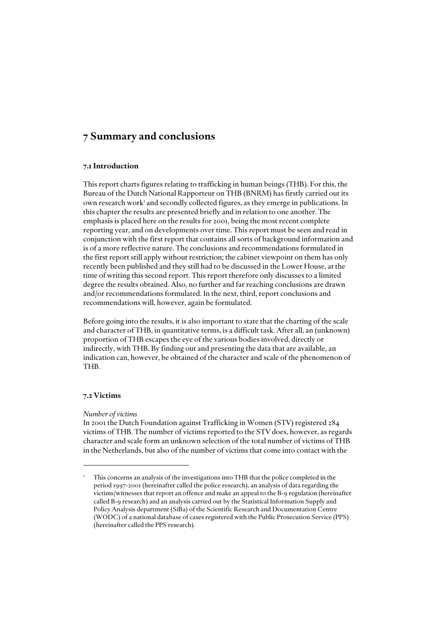# *7 Summary and conclusions*

# *7.1 Introduction*

This report charts figures relating to trafficking in human beings (THB). For this, the Bureau of the Dutch National Rapporteur on THB (BNRM) has firstly carried out its own research work<sup>1</sup> and secondly collected figures, as they emerge in publications. In this chapter the results are presented briefly and in relation to one another. The emphasis is placed here on the results for 2001, being the most recent complete reporting year, and on developments over time. This report must be seen and read in conjunction with the first report that contains all sorts of background information and is of a more reflective nature. The conclusions and recommendations formulated in the first report still apply without restriction; the cabinet viewpoint on them has only recently been published and they still had to be discussed in the Lower House, at the time of writing this second report. This report therefore only discusses to a limited degree the results obtained. Also, no further and far reaching conclusions are drawn and/or recommendations formulated. In the next, third, report conclusions and recommendations will, however, again be formulated.

Before going into the results, it is also important to state that the charting of the scale and character of THB, in quantitative terms, is a difficult task. After all, an (unknown) proportion of THB escapes the eye of the various bodies involved, directly or indirectly, with THB. By finding out and presenting the data that are available, an indication can, however, be obtained of the character and scale of the phenomenon of THB.

# *7.2 Victims*

### *Number of victims*

In 2001 the Dutch Foundation against Trafficking in Women (STV) registered 284 victims of THB. The number of victims reported to the STV does, however, as regards character and scale form an unknown selection of the total number of victims of THB in the Netherlands, but also of the number of victims that come into contact with the

<sup>1</sup> This concerns an analysis of the investigations into THB that the police completed in the period 1997-2001 (hereinafter called the police research), an analysis of data regarding the victims/witnesses that report an offence and make an appeal to the B-9 regulation (hereinafter called B-9 research) and an analysis carried out by the Statistical Information Supply and Policy Analysis department (SiBa) of the Scientific Research and Documentation Centre (WODC) of a national database of cases registered with the Public Prosecution Service (PPS) (hereinafter called the PPS research).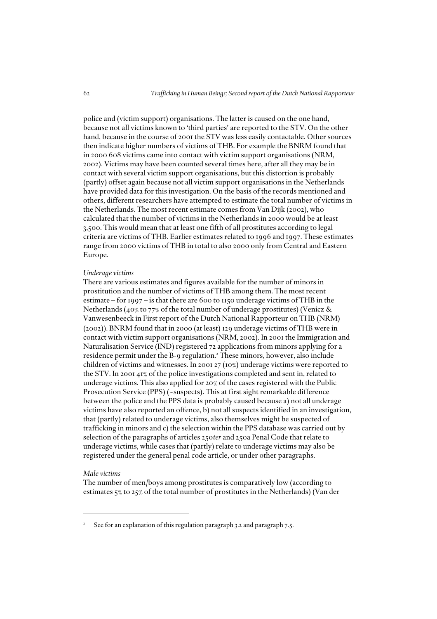police and (victim support) organisations. The latter is caused on the one hand, because not all victims known to 'third parties' are reported to the STV. On the other hand, because in the course of 2001 the STV was less easily contactable. Other sources then indicate higher numbers of victims of THB. For example the BNRM found that in 2000 608 victims came into contact with victim support organisations (NRM, 2002). Victims may have been counted several times here, after all they may be in contact with several victim support organisations, but this distortion is probably (partly) offset again because not all victim support organisations in the Netherlands have provided data for this investigation. On the basis of the records mentioned and others, different researchers have attempted to estimate the total number of victims in the Netherlands. The most recent estimate comes from Van Dijk (2002), who calculated that the number of victims in the Netherlands in 2000 would be at least 3,500. This would mean that at least one fifth of all prostitutes according to legal criteria are victims of THB. Earlier estimates related to 1996 and 1997. These estimates range from 2000 victims of THB in total to also 2000 only from Central and Eastern Europe.

#### *Underage victims*

There are various estimates and figures available for the number of minors in prostitution and the number of victims of THB among them. The most recent estimate – for 1997 – is that there are 600 to 1150 underage victims of THB in the Netherlands (40% to 77% of the total number of underage prostitutes) (Venicz & Vanwesenbeeck in First report of the Dutch National Rapporteur on THB (NRM) (2002)). BNRM found that in 2000 (at least) 129 underage victims of THB were in contact with victim support organisations (NRM, 2002). In 2001 the Immigration and Naturalisation Service (IND) registered 72 applications from minors applying for a residence permit under the B-9 regulation.<sup>2</sup> These minors, however, also include children of victims and witnesses. In 2001 27 (10%) underage victims were reported to the STV. In 2001 41% of the police investigations completed and sent in, related to underage victims. This also applied for 20% of the cases registered with the Public Prosecution Service (PPS) (~suspects). This at first sight remarkable difference between the police and the PPS data is probably caused because a) not all underage victims have also reported an offence, b) not all suspects identified in an investigation, that (partly) related to underage victims, also themselves might be suspected of trafficking in minors and c) the selection within the PPS database was carried out by selection of the paragraphs of articles 250*ter* and 250a Penal Code that relate to underage victims, while cases that (partly) relate to underage victims may also be registered under the general penal code article, or under other paragraphs.

### *Male victims*

The number of men/boys among prostitutes is comparatively low (according to estimates 5% to 25% of the total number of prostitutes in the Netherlands) (Van der

<sup>2</sup> See for an explanation of this regulation paragraph 3.2 and paragraph 7.5.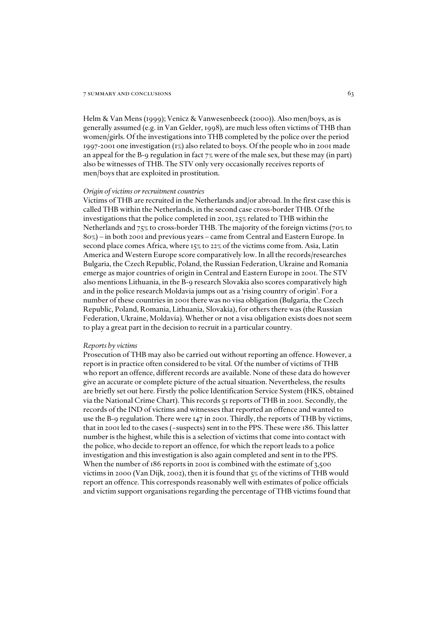Helm & Van Mens (1999); Venicz & Vanwesenbeeck (2000)). Also men/boys, as is generally assumed (e.g. in Van Gelder, 1998), are much less often victims of THB than women/girls. Of the investigations into THB completed by the police over the period 1997-2001 one investigation (1%) also related to boys. Of the people who in 2001 made an appeal for the B-9 regulation in fact 7% were of the male sex, but these may (in part) also be witnesses of THB. The STV only very occasionally receives reports of men/boys that are exploited in prostitution.

#### *Origin of victims or recruitment countries*

Victims of THB are recruited in the Netherlands and/or abroad. In the first case this is called THB within the Netherlands, in the second case cross-border THB. Of the investigations that the police completed in 2001, 25% related to THB within the Netherlands and 75% to cross-border THB. The majority of the foreign victims (70% to 80%) – in both 2001 and previous years – came from Central and Eastern Europe. In second place comes Africa, where 15% to 22% of the victims come from. Asia, Latin America and Western Europe score comparatively low. In all the records/researches Bulgaria, the Czech Republic, Poland, the Russian Federation, Ukraine and Romania emerge as major countries of origin in Central and Eastern Europe in 2001. The STV also mentions Lithuania, in the B-9 research Slovakia also scores comparatively high and in the police research Moldavia jumps out as a 'rising country of origin'. For a number of these countries in 2001 there was no visa obligation (Bulgaria, the Czech Republic, Poland, Romania, Lithuania, Slovakia), for others there was (the Russian Federation, Ukraine, Moldavia). Whether or not a visa obligation exists does not seem to play a great part in the decision to recruit in a particular country.

#### *Reports by victims*

Prosecution of THB may also be carried out without reporting an offence. However, a report is in practice often considered to be vital. Of the number of victims of THB who report an offence, different records are available. None of these data do however give an accurate or complete picture of the actual situation. Nevertheless, the results are briefly set out here. Firstly the police Identification Service System (HKS, obtained via the National Crime Chart). This records 51 reports of THB in 2001. Secondly, the records of the IND of victims and witnesses that reported an offence and wanted to use the B-9 regulation. There were 147 in 2001. Thirdly, the reports of THB by victims, that in 2001 led to the cases (~suspects) sent in to the PPS. These were 186. This latter number is the highest, while this is a selection of victims that come into contact with the police, who decide to report an offence, for which the report leads to a police investigation and this investigation is also again completed and sent in to the PPS. When the number of 186 reports in 2001 is combined with the estimate of 3,500 victims in 2000 (Van Dijk, 2002), then it is found that 5% of the victims of THB would report an offence. This corresponds reasonably well with estimates of police officials and victim support organisations regarding the percentage of THB victims found that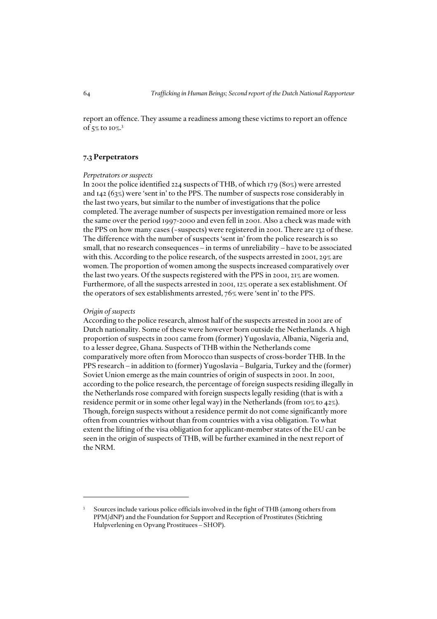report an offence. They assume a readiness among these victims to report an offence of 5% to 10%. 3

# *7.3 Perpetrators*

#### *Perpetrators or suspects*

In 2001 the police identified 224 suspects of THB, of which 179 (80%) were arrested and 142 (63%) were 'sent in' to the PPS. The number of suspects rose considerably in the last two years, but similar to the number of investigations that the police completed. The average number of suspects per investigation remained more or less the same over the period 1997-2000 and even fell in 2001. Also a check was made with the PPS on how many cases (~suspects) were registered in 2001. There are 132 of these. The difference with the number of suspects 'sent in' from the police research is so small, that no research consequences – in terms of unreliability – have to be associated with this. According to the police research, of the suspects arrested in 2001, 29% are women. The proportion of women among the suspects increased comparatively over the last two years. Of the suspects registered with the PPS in 2001, 21% are women. Furthermore, of all the suspects arrested in 2001, 12% operate a sex establishment. Of the operators of sex establishments arrested, 76% were 'sent in' to the PPS.

### *Origin of suspects*

According to the police research, almost half of the suspects arrested in 2001 are of Dutch nationality. Some of these were however born outside the Netherlands. A high proportion of suspects in 2001 came from (former) Yugoslavia, Albania, Nigeria and, to a lesser degree, Ghana. Suspects of THB within the Netherlands come comparatively more often from Morocco than suspects of cross-border THB. In the PPS research – in addition to (former) Yugoslavia – Bulgaria, Turkey and the (former) Soviet Union emerge as the main countries of origin of suspects in 2001. In 2001, according to the police research, the percentage of foreign suspects residing illegally in the Netherlands rose compared with foreign suspects legally residing (that is with a residence permit or in some other legal way) in the Netherlands (from  $10\%$  to  $42\%$ ). Though, foreign suspects without a residence permit do not come significantly more often from countries without than from countries with a visa obligation. To what extent the lifting of the visa obligation for applicant-member states of the EU can be seen in the origin of suspects of THB, will be further examined in the next report of the NRM.

<sup>3</sup> Sources include various police officials involved in the fight of THB (among others from PPM/dNP) and the Foundation for Support and Reception of Prostitutes (Stichting Hulpverlening en Opvang Prostituees – SHOP).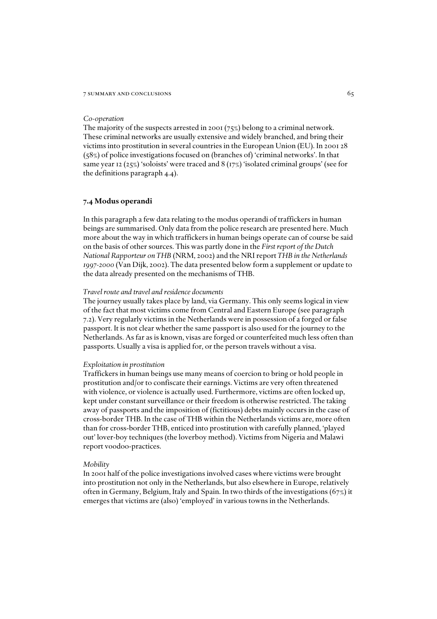#### *Co-operation*

The majority of the suspects arrested in 2001 (75%) belong to a criminal network. These criminal networks are usually extensive and widely branched, and bring their victims into prostitution in several countries in the European Union (EU). In 2001 28 (58%) of police investigations focused on (branches of) 'criminal networks'. In that same year 12 (25%) 'soloists' were traced and 8 (17%) 'isolated criminal groups' (see for the definitions paragraph 4.4).

### *7.4 Modus operandi*

In this paragraph a few data relating to the modus operandi of traffickers in human beings are summarised. Only data from the police research are presented here. Much more about the way in which traffickers in human beings operate can of course be said on the basis of other sources. This was partly done in the *First report of the Dutch National Rapporteur on THB* (NRM, 2002) and the NRI report *THB in the Netherlands 1997-2000* (Van Dijk, 2002). The data presented below form a supplement or update to the data already presented on the mechanisms of THB.

#### *Travel route and travel and residence documents*

The journey usually takes place by land, via Germany. This only seems logical in view of the fact that most victims come from Central and Eastern Europe (see paragraph 7.2). Very regularly victims in the Netherlands were in possession of a forged or false passport. It is not clear whether the same passport is also used for the journey to the Netherlands. As far as is known, visas are forged or counterfeited much less often than passports. Usually a visa is applied for, or the person travels without a visa.

#### *Exploitation in prostitution*

Traffickers in human beings use many means of coercion to bring or hold people in prostitution and/or to confiscate their earnings. Victims are very often threatened with violence, or violence is actually used. Furthermore, victims are often locked up, kept under constant surveillance or their freedom is otherwise restricted. The taking away of passports and the imposition of (fictitious) debts mainly occurs in the case of cross-border THB. In the case of THB within the Netherlands victims are, more often than for cross-border THB, enticed into prostitution with carefully planned, 'played out' lover-boy techniques (the loverboy method). Victims from Nigeria and Malawi report voodoo-practices.

#### *Mobility*

In 2001 half of the police investigations involved cases where victims were brought into prostitution not only in the Netherlands, but also elsewhere in Europe, relatively often in Germany, Belgium, Italy and Spain. In two thirds of the investigations (67%) it emerges that victims are (also) 'employed' in various towns in the Netherlands.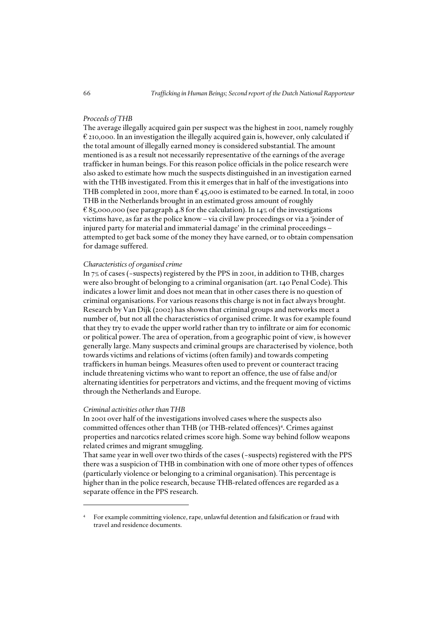### *Proceeds of THB*

The average illegally acquired gain per suspect was the highest in 2001, namely roughly € 210,000. In an investigation the illegally acquired gain is, however, only calculated if the total amount of illegally earned money is considered substantial. The amount mentioned is as a result not necessarily representative of the earnings of the average trafficker in human beings. For this reason police officials in the police research were also asked to estimate how much the suspects distinguished in an investigation earned with the THB investigated. From this it emerges that in half of the investigations into THB completed in 2001, more than  $\epsilon$  45,000 is estimated to be earned. In total, in 2000 THB in the Netherlands brought in an estimated gross amount of roughly  $E$ 85,000,000 (see paragraph 4.8 for the calculation). In 14% of the investigations victims have, as far as the police know – via civil law proceedings or via a 'joinder of injured party for material and immaterial damage' in the criminal proceedings – attempted to get back some of the money they have earned, or to obtain compensation for damage suffered.

### *Characteristics of organised crime*

In 7% of cases (~suspects) registered by the PPS in 2001, in addition to THB, charges were also brought of belonging to a criminal organisation (art. 140 Penal Code). This indicates a lower limit and does not mean that in other cases there is no question of criminal organisations. For various reasons this charge is not in fact always brought. Research by Van Dijk (2002) has shown that criminal groups and networks meet a number of, but not all the characteristics of organised crime. It was for example found that they try to evade the upper world rather than try to infiltrate or aim for economic or political power. The area of operation, from a geographic point of view, is however generally large. Many suspects and criminal groups are characterised by violence, both towards victims and relations of victims (often family) and towards competing traffickers in human beings. Measures often used to prevent or counteract tracing include threatening victims who want to report an offence, the use of false and/or alternating identities for perpetrators and victims, and the frequent moving of victims through the Netherlands and Europe.

#### *Criminal activities other than THB*

In 2001 over half of the investigations involved cases where the suspects also committed offences other than THB (or THB-related offences)<sup>4</sup>. Crimes against properties and narcotics related crimes score high. Some way behind follow weapons related crimes and migrant smuggling.

That same year in well over two thirds of the cases (~suspects) registered with the PPS there was a suspicion of THB in combination with one of more other types of offences (particularly violence or belonging to a criminal organisation). This percentage is higher than in the police research, because THB-related offences are regarded as a separate offence in the PPS research.

<sup>4</sup> For example committing violence, rape, unlawful detention and falsification or fraud with travel and residence documents.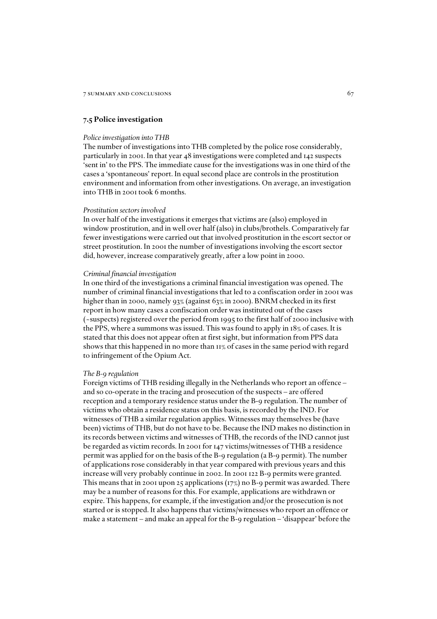#### *7.5 Police investigation*

#### *Police investigation into THB*

The number of investigations into THB completed by the police rose considerably, particularly in 2001. In that year 48 investigations were completed and 142 suspects 'sent in' to the PPS. The immediate cause for the investigations was in one third of the cases a 'spontaneous' report. In equal second place are controls in the prostitution environment and information from other investigations. On average, an investigation into THB in 2001 took 6 months.

#### *Prostitution sectors involved*

In over half of the investigations it emerges that victims are (also) employed in window prostitution, and in well over half (also) in clubs/brothels. Comparatively far fewer investigations were carried out that involved prostitution in the escort sector or street prostitution. In 2001 the number of investigations involving the escort sector did, however, increase comparatively greatly, after a low point in 2000.

#### *Criminal financial investigation*

In one third of the investigations a criminal financial investigation was opened. The number of criminal financial investigations that led to a confiscation order in 2001 was higher than in 2000, namely 93% (against 63% in 2000). BNRM checked in its first report in how many cases a confiscation order was instituted out of the cases (~suspects) registered over the period from 1995 to the first half of 2000 inclusive with the PPS, where a summons was issued. This was found to apply in 18% of cases. It is stated that this does not appear often at first sight, but information from PPS data shows that this happened in no more than 11% of cases in the same period with regard to infringement of the Opium Act.

#### *The B-9 regulation*

Foreign victims of THB residing illegally in the Netherlands who report an offence – and so co-operate in the tracing and prosecution of the suspects – are offered reception and a temporary residence status under the B-9 regulation. The number of victims who obtain a residence status on this basis, is recorded by the IND. For witnesses of THB a similar regulation applies. Witnesses may themselves be (have been) victims of THB, but do not have to be. Because the IND makes no distinction in its records between victims and witnesses of THB, the records of the IND cannot just be regarded as victim records. In 2001 for 147 victims/witnesses of THB a residence permit was applied for on the basis of the B-9 regulation (a B-9 permit). The number of applications rose considerably in that year compared with previous years and this increase will very probably continue in 2002. In 2001 122 B-9 permits were granted. This means that in 2001 upon 25 applications  $(17%)$  no B-9 permit was awarded. There may be a number of reasons for this. For example, applications are withdrawn or expire. This happens, for example, if the investigation and/or the prosecution is not started or is stopped. It also happens that victims/witnesses who report an offence or make a statement – and make an appeal for the B-9 regulation – 'disappear' before the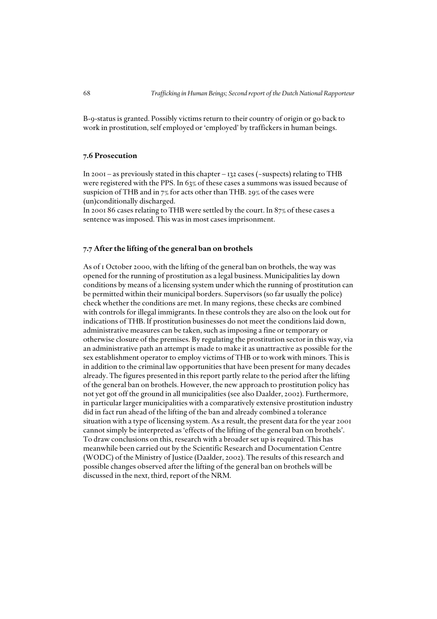B-9-status is granted. Possibly victims return to their country of origin or go back to work in prostitution, self employed or 'employed' by traffickers in human beings.

#### *7.6 Prosecution*

In 2001 – as previously stated in this chapter –  $132$  cases (~suspects) relating to THB were registered with the PPS. In 63% of these cases a summons was issued because of suspicion of THB and in 7% for acts other than THB. 29% of the cases were (un)conditionally discharged.

In 2001 86 cases relating to THB were settled by the court. In 87% of these cases a sentence was imposed. This was in most cases imprisonment.

#### *7.7 After the lifting of the general ban on brothels*

As of 1 October 2000, with the lifting of the general ban on brothels, the way was opened for the running of prostitution as a legal business. Municipalities lay down conditions by means of a licensing system under which the running of prostitution can be permitted within their municipal borders. Supervisors (so far usually the police) check whether the conditions are met. In many regions, these checks are combined with controls for illegal immigrants. In these controls they are also on the look out for indications of THB. If prostitution businesses do not meet the conditions laid down, administrative measures can be taken, such as imposing a fine or temporary or otherwise closure of the premises. By regulating the prostitution sector in this way, via an administrative path an attempt is made to make it as unattractive as possible for the sex establishment operator to employ victims of THB or to work with minors. This is in addition to the criminal law opportunities that have been present for many decades already. The figures presented in this report partly relate to the period after the lifting of the general ban on brothels. However, the new approach to prostitution policy has not yet got off the ground in all municipalities (see also Daalder, 2002). Furthermore, in particular larger municipalities with a comparatively extensive prostitution industry did in fact run ahead of the lifting of the ban and already combined a tolerance situation with a type of licensing system. As a result, the present data for the year 2001 cannot simply be interpreted as 'effects of the lifting of the general ban on brothels'. To draw conclusions on this, research with a broader set up is required. This has meanwhile been carried out by the Scientific Research and Documentation Centre (WODC) of the Ministry of Justice (Daalder, 2002). The results of this research and possible changes observed after the lifting of the general ban on brothels will be discussed in the next, third, report of the NRM.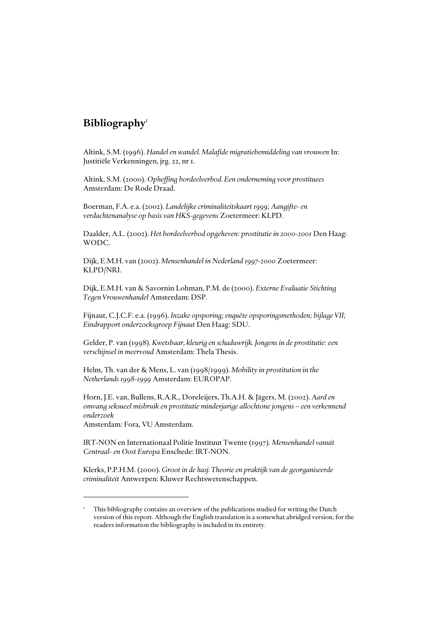## *Bibliography*<sup>1</sup>

Altink, S.M. (1996). *Handel en wandel. Malafide migratiebemiddeling van vrouwen* In: Justitiële Verkenningen, jrg. 22, nr 1.

Altink, S.M. (2000). *Opheffing bordeelverbod. Een onderneming voor prostituees* Amsterdam: De Rode Draad.

Boerman, F.A. e.a. (2002). *Landelijke criminaliteitskaart 1999; Aangifte- en verdachtenanalyse op basis van HKS-gegevens* Zoetermeer: KLPD.

Daalder, A.L. (2002). *Het bordeelverbod opgeheven: prostitutie in 2000-2001* Den Haag: WODC.

Dijk, E.M.H. van (2002). *Mensenhandel in Nederland 1997-2000* Zoetermeer: KLPD/NRI.

Dijk, E.M.H. van & Savornin Lohman, P.M. de (2000). *Externe Evaluatie Stichting Tegen Vrouwenhandel* Amsterdam: DSP.

Fijnaut, C.J.C.F. e.a. (1996). *Inzake opsporing; enquête opsporingsmethoden; bijlage VII; Eindrapport onderzoeksgroep Fijnaut* Den Haag: SDU.

Gelder, P. van (1998). *Kwetsbaar, kleurig en schaduwrijk. Jongens in de prostitutie: een verschijnsel in meervoud* Amsterdam: Thela Thesis.

Helm, Th. van der & Mens, L. van (1998/1999). *Mobility in prostitution in the Netherlands 1998-1999* Amsterdam: EUROPAP.

Horn, J.E. van, Bullens, R.A.R., Doreleijers, Th.A.H. & Jägers, M. (2002). *Aard en omvang seksueel misbruik en prostitutie minderjarige allochtone jongens – een verkennend onderzoek* 

Amsterdam: Fora, VU Amsterdam.

IRT-NON en Internationaal Politie Instituut Twente (1997). *Mensenhandel vanuit Centraal- en Oost Europa* Enschede: IRT-NON.

Klerks, P.P.H.M. (2000). *Groot in de hasj. Theorie en praktijk van de georganiseerde criminaliteit* Antwerpen: Kluwer Rechtswetenschappen.

<sup>1</sup> This bibliography contains an overview of the publications studied for writing the Dutch version of this report. Although the English translation is a somewhat abridged version, for the readers information the bibliography is included in its entirety.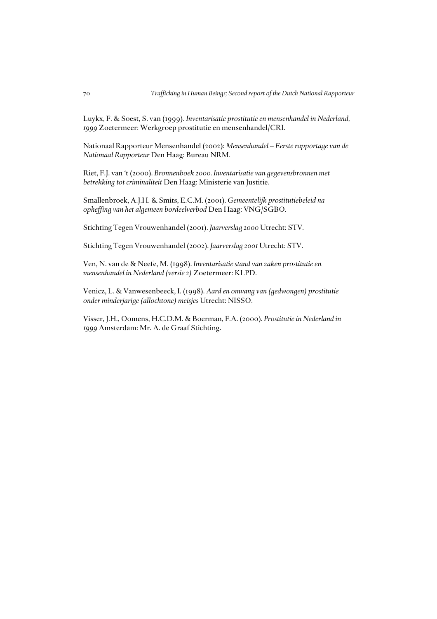Luykx, F. & Soest, S. van (1999). *Inventarisatie prostitutie en mensenhandel in Nederland, 1999* Zoetermeer: Werkgroep prostitutie en mensenhandel/CRI.

Nationaal Rapporteur Mensenhandel (2002): *Mensenhandel – Eerste rapportage van de Nationaal Rapporteur* Den Haag: Bureau NRM.

Riet, F.J. van 't (2000). *Bronnenboek 2000. Inventarisatie van gegevensbronnen met betrekking tot criminaliteit* Den Haag: Ministerie van Justitie.

Smallenbroek, A.J.H. & Smits, E.C.M. (2001). *Gemeentelijk prostitutiebeleid na opheffing van het algemeen bordeelverbod* Den Haag: VNG/SGBO.

Stichting Tegen Vrouwenhandel (2001). *Jaarverslag 2000* Utrecht: STV.

Stichting Tegen Vrouwenhandel (2002). *Jaarverslag 2001* Utrecht: STV.

Ven, N. van de & Neefe, M. (1998). *Inventarisatie stand van zaken prostitutie en mensenhandel in Nederland (versie 2)* Zoetermeer: KLPD.

Venicz, L. & Vanwesenbeeck, I. (1998). *Aard en omvang van (gedwongen) prostitutie onder minderjarige (allochtone) meisjes* Utrecht: NISSO.

Visser, J.H., Oomens, H.C.D.M. & Boerman, F.A. (2000). *Prostitutie in Nederland in 1999* Amsterdam: Mr. A. de Graaf Stichting.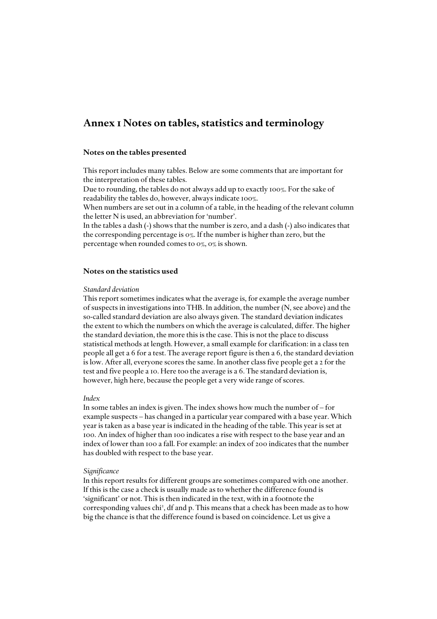## *Annex 1 Notes on tables, statistics and terminology*

#### *Notes on the tables presented*

This report includes many tables. Below are some comments that are important for the interpretation of these tables.

Due to rounding, the tables do not always add up to exactly 100%. For the sake of readability the tables do, however, always indicate 100%.

When numbers are set out in a column of a table, in the heading of the relevant column the letter N is used, an abbreviation for 'number'.

In the tables a dash (-) shows that the number is zero, and a dash (-) also indicates that the corresponding percentage is 0%. If the number is higher than zero, but the percentage when rounded comes to 0%, 0% is shown.

#### *Notes on the statistics used*

#### *Standard deviation*

This report sometimes indicates what the average is, for example the average number of suspects in investigations into THB. In addition, the number (N, see above) and the so-called standard deviation are also always given. The standard deviation indicates the extent to which the numbers on which the average is calculated, differ. The higher the standard deviation, the more this is the case. This is not the place to discuss statistical methods at length. However, a small example for clarification: in a class ten people all get a 6 for a test. The average report figure is then a 6, the standard deviation is low. After all, everyone scores the same. In another class five people get a 2 for the test and five people a 10. Here too the average is a 6. The standard deviation is, however, high here, because the people get a very wide range of scores.

#### *Index*

In some tables an index is given. The index shows how much the number of – for example suspects – has changed in a particular year compared with a base year. Which year is taken as a base year is indicated in the heading of the table. This year is set at 100. An index of higher than 100 indicates a rise with respect to the base year and an index of lower than 100 a fall. For example: an index of 200 indicates that the number has doubled with respect to the base year.

#### *Significance*

In this report results for different groups are sometimes compared with one another. If this is the case a check is usually made as to whether the difference found is 'significant' or not. This is then indicated in the text, with in a footnote the corresponding values chi<sup>2</sup>, df and p. This means that a check has been made as to how big the chance is that the difference found is based on coincidence. Let us give a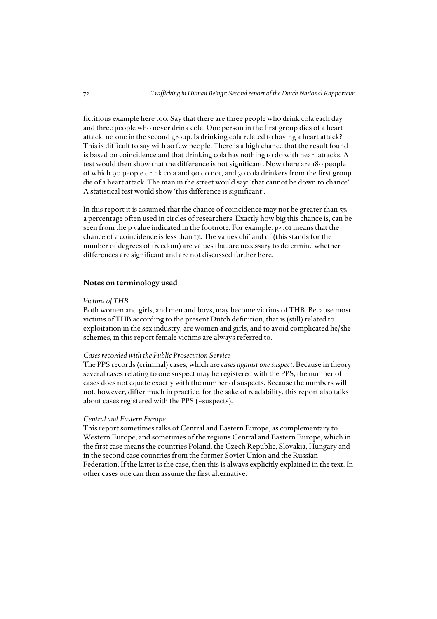fictitious example here too. Say that there are three people who drink cola each day and three people who never drink cola. One person in the first group dies of a heart attack, no one in the second group. Is drinking cola related to having a heart attack? This is difficult to say with so few people. There is a high chance that the result found is based on coincidence and that drinking cola has nothing to do with heart attacks. A test would then show that the difference is not significant. Now there are 180 people of which 90 people drink cola and 90 do not, and 30 cola drinkers from the first group die of a heart attack. The man in the street would say: 'that cannot be down to chance'. A statistical test would show 'this difference is significant'.

In this report it is assumed that the chance of coincidence may not be greater than  $5\%$  – a percentage often used in circles of researchers. Exactly how big this chance is, can be seen from the p value indicated in the footnote. For example: p<.01 means that the chance of a coincidence is less than 1%. The values chi<sup>2</sup> and df (this stands for the number of degrees of freedom) are values that are necessary to determine whether differences are significant and are not discussed further here.

#### *Notes on terminology used*

#### *Victims of THB*

Both women and girls, and men and boys, may become victims of THB. Because most victims of THB according to the present Dutch definition, that is (still) related to exploitation in the sex industry, are women and girls, and to avoid complicated he/she schemes, in this report female victims are always referred to.

#### *Cases recorded with the Public Prosecution Service*

The PPS records (criminal) cases, which are *cases against one suspect*. Because in theory several cases relating to one suspect may be registered with the PPS, the number of cases does not equate exactly with the number of suspects. Because the numbers will not, however, differ much in practice, for the sake of readability, this report also talks about cases registered with the PPS (~suspects).

#### *Central and Eastern Europe*

This report sometimes talks of Central and Eastern Europe, as complementary to Western Europe, and sometimes of the regions Central and Eastern Europe, which in the first case means the countries Poland, the Czech Republic, Slovakia, Hungary and in the second case countries from the former Soviet Union and the Russian Federation. If the latter is the case, then this is always explicitly explained in the text. In other cases one can then assume the first alternative.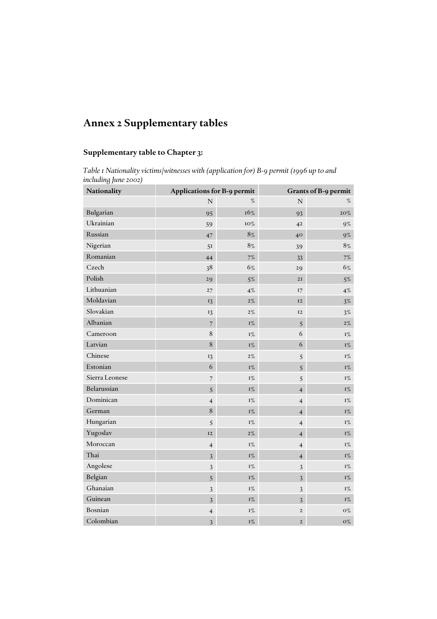# *Annex 2 Supplementary tables*

### *Supplementary table to Chapter 3:*

*Table 1 Nationality victims/witnesses with (application for) B-9 permit (1996 up to and including June 2002)*

| Nationality    | Applications for B-9 permit |                | <b>Grants of B-9 permit</b> |                           |  |  |
|----------------|-----------------------------|----------------|-----------------------------|---------------------------|--|--|
|                | $\mathbf N$                 | %              | $\mathbf N$                 | $\%$                      |  |  |
| Bulgarian      | 95                          | $16\%$         | 93                          | $20\%$                    |  |  |
| Ukrainian      | 59                          | 10%            | 4 <sup>2</sup>              | $9\%$                     |  |  |
| Russian        | 47                          | 8%             | $40^{\circ}$                | $9\%$                     |  |  |
| Nigerian       | 51                          | 8%             | 39                          | 8%                        |  |  |
| Romanian       | 44                          | $7\%$          | 33                          | $7\%$                     |  |  |
| Czech          | 38                          | 6%             | 29                          | 6%                        |  |  |
| Polish         | 29                          | $5\%$          | 2I                          | $5\%$                     |  |  |
| Lithuanian     | 27                          | 4%             | 17                          | $4\%$                     |  |  |
| Moldavian      | 13                          | $2\%$          | 12                          | $3\%$                     |  |  |
| Slovakian      | 13                          | $2\%$          | 12                          | $3\%$                     |  |  |
| Albanian       | $\overline{7}$              | $1\%$          | 5                           | $2\%$                     |  |  |
| Cameroon       | 8                           | $I\%$          | 6                           | $I\%$                     |  |  |
| Latvian        | $\,$ 8 $\,$                 | $\mathrm{I}\%$ | 6                           | $I\%$                     |  |  |
| Chinese        | 13                          | $2\%$          | 5                           | $I\%$                     |  |  |
| Estonian       | 6                           | $1\%$          | 5                           | $I\%$                     |  |  |
| Sierra Leonese | $\overline{7}$              | $1\%$          | 5                           | $\Gamma_{\rm /o}^{\rm o}$ |  |  |
| Belarussian    | 5                           | $\mathrm{I}\%$ | $\overline{4}$              | $\mathbf{I}\%$            |  |  |
| Dominican      | $\overline{4}$              | $1\%$          | $\overline{4}$              | $\Gamma_{\rm /o}^{\rm o}$ |  |  |
| German         | 8                           | $I\%$          | $\overline{4}$              | $I\%$                     |  |  |
| Hungarian      | $\sqrt{5}$                  | $1\%$          | $\overline{4}$              | $I\%$                     |  |  |
| Yugoslav       | 12                          | $2\%$          | $\overline{4}$              | $I\%$                     |  |  |
| Moroccan       | $\overline{4}$              | $I\%$          | $\overline{4}$              | $I\%$                     |  |  |
| Thai           | $\mathfrak{Z}$              | $1\%$          | $\overline{\mathbf{4}}$     | $I\%$                     |  |  |
| Angolese       | $\mathfrak{Z}$              | $1\%$          | $\sqrt{3}$                  | $\Gamma_{\rm /o}^{\rm o}$ |  |  |
| Belgian        | 5                           | $1\%$          | $\mathfrak{Z}$              | $\mathrm{I}\%$            |  |  |
| Ghanaian       | 3                           | $1\%$          | 3                           | $\Gamma_{\rm /o}^{\rm o}$ |  |  |
| Guinean        | 3                           | $I\%$          | 3                           | $I\%$                     |  |  |
| Bosnian        | $\overline{4}$              | $1\%$          | $\mathbf{2}$                | ${\rm O}\%$               |  |  |
| Colombian      | 3                           | $I\%$          | $\overline{2}$              | $O\%$                     |  |  |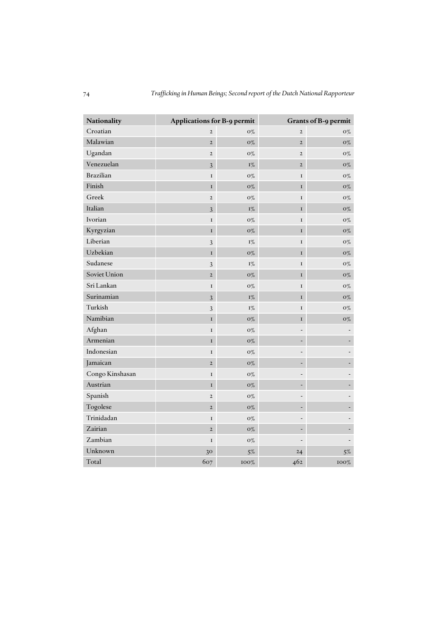| Nationality      | Applications for B-9 permit |             | Grants of B-9 permit |             |  |  |
|------------------|-----------------------------|-------------|----------------------|-------------|--|--|
| Croatian         | $\overline{2}$              | $O\%$       | $\overline{2}$       | $0\%$       |  |  |
| Malawian         | $\overline{2}$              | $O\%$       | $\overline{2}$       | $O\%$       |  |  |
| Ugandan          | $\overline{2}$              | ${\rm O}\%$ | $\overline{2}$       | ${\rm O}\%$ |  |  |
| Venezuelan       | 3                           | $I\%$       | $\overline{2}$       | $\rm O\%$   |  |  |
| <b>Brazilian</b> | $\bf I$                     | $O\%$       | $\mathbf I$          | ${\rm O}\%$ |  |  |
| Finish           | I                           | $O\%$       | $\mathbf I$          | $O\%$       |  |  |
| Greek            | $\overline{2}$              | $O\%$       | $\mathbf I$          | ${\rm O}\%$ |  |  |
| Italian          | $\overline{3}$              | $I\%$       | $\mathbf I$          | ${\rm O}\%$ |  |  |
| Ivorian          | $\mathbf I$                 | $O\%$       | $\mathbf I$          | $O\%$       |  |  |
| Kyrgyzian        | $\mathbf I$                 | $O\%$       | $\mathbf I$          | $\rm O\%$   |  |  |
| Liberian         | $\overline{3}$              | $\Gamma\%$  | $\mathbf I$          | ${\rm O}\%$ |  |  |
| Uzbekian         | I                           | $O\%$       | $\mathbf I$          | $O\%$       |  |  |
| Sudanese         | $\mathfrak{Z}$              | $I\%$       | $\mathbf I$          | $O\%$       |  |  |
| Soviet Union     | $\overline{2}$              | $O\%$       | $\mathbf I$          | ${\rm O}\%$ |  |  |
| Sri Lankan       | $\bf I$                     | $O\%$       | I                    | ${\rm O}\%$ |  |  |
| Surinamian       | 3                           | $I\%$       | $\mathbf{I}$         | $\rm O\%$   |  |  |
| Turkish          | 3                           | $I\%$       | $\mathbf I$          | $O\%$       |  |  |
| Namibian         | $\mathbf I$                 | ${\rm O}\%$ | $\bf I$              | ${\rm O}\%$ |  |  |
| Afghan           | $\mathbf I$                 | ${\rm O}\%$ |                      |             |  |  |
| Armenian         | $\mathbf I$                 | ${\rm O}\%$ |                      |             |  |  |
| Indonesian       | I                           | ${\rm O}\%$ |                      |             |  |  |
| Jamaican         | $\overline{2}$              | $O\%$       |                      |             |  |  |
| Congo Kinshasan  | $\mathbf I$                 | $O\%$       |                      |             |  |  |
| Austrian         | $\mathbf I$                 | ${\rm O}\%$ |                      |             |  |  |
| Spanish          | $\overline{2}$              | $O\%$       |                      |             |  |  |
| Togolese         | $\overline{2}$              | $\rm O\%$   |                      |             |  |  |
| Trinidadan       | $\bf I$                     | $O\%$       |                      |             |  |  |
| Zairian          | $\overline{2}$              | $O\%$       |                      |             |  |  |
| Zambian          | I                           | ${\rm O}\%$ |                      |             |  |  |
| Unknown          | 30                          | $5\%$       | 24                   | $5\%$       |  |  |
| Total            | 607                         | 100%        | 462                  | $100\%$     |  |  |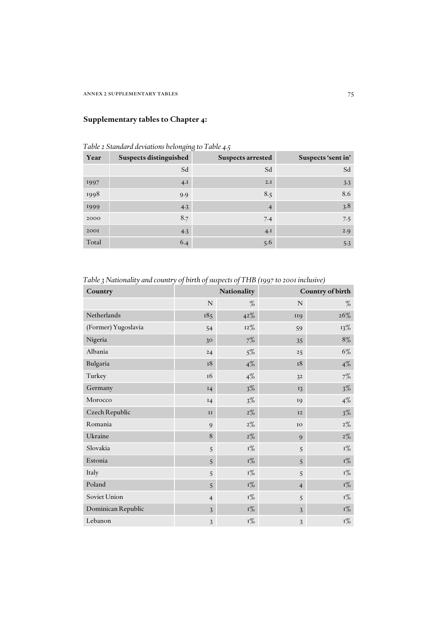## *Supplementary tables to Chapter 4:*

| Table 2 Standard deviations belonging to Table 4.5 |  |  |  |  |  |  |  |  |  |  |  |  |  |  |
|----------------------------------------------------|--|--|--|--|--|--|--|--|--|--|--|--|--|--|
|----------------------------------------------------|--|--|--|--|--|--|--|--|--|--|--|--|--|--|

| Year  | <b>Suspects distinguished</b> | <b>Suspects arrested</b> | Suspects 'sent in' |
|-------|-------------------------------|--------------------------|--------------------|
|       | Sd                            | Sd                       | Sd                 |
| 1997  | 4.1                           | 2.I                      | 3.3                |
| 1998  | 9.9                           | 8.5                      | 8.6                |
| 1999  | 4.3                           | $\overline{4}$           | 3.8                |
| 2000  | 8.7                           | 7.4                      | 7.5                |
| 2001  | 4.3                           | 4.1                      | 2.9                |
| Total | 6.4                           | 5.6                      | 5.3                |

*Table 3 Nationality and country of birth of suspects of THB (1997 to 2001 inclusive)*

| Country             | Country of birth<br>Nationality |                |                |                |
|---------------------|---------------------------------|----------------|----------------|----------------|
|                     | $\mathbb N$                     | $\%$           | $\mathbf N$    | $\%$           |
| Netherlands         | 185                             | 42%            | <b>II9</b>     | 26%            |
| (Former) Yugoslavia | 54                              | $12\%$         | 59             | 13%            |
| Nigeria             | 30                              | $7\%$          | 35             | $8\%$          |
| Albania             | 24                              | $5\%$          | 25             | 6%             |
| Bulgaria            | 18                              | $4\%$          | 18             | $4\%$          |
| Turkey              | 16                              | $4\%$          | 32             | 7%             |
| Germany             | I4                              | $3\%$          | 13             | $3\%$          |
| Morocco             | 14                              | $3\%$          | 19             | $4\%$          |
| Czech Republic      | II                              | $2\%$          | I2             | $3\%$          |
| Romania             | 9                               | $2\%$          | IO             | $2\%$          |
| Ukraine             | 8                               | $2\%$          | 9              | $2\%$          |
| Slovakia            | 5                               | $I\%$          | 5              | $\mathrm{I}\%$ |
| Estonia             | 5                               | $I\%$          | 5              | $I\%$          |
| Italy               | 5                               | $I\%$          | 5              | $\mathrm{I}\%$ |
| Poland              | 5                               | $I\%$          | $\overline{4}$ | $I\%$          |
| Soviet Union        | $\overline{4}$                  | $\mathrm{I}\%$ | 5              | $\mathrm{I}\%$ |
| Dominican Republic  | 3                               | $I\%$          | 3              | $I\%$          |
| Lebanon             | 3                               | $I\%$          | 3              | $\mathrm{I}\%$ |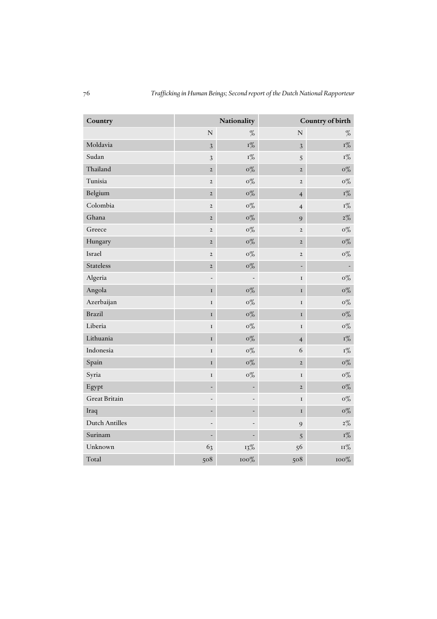| Country               |                          | Nationality              |                          | Country of birth         |  |  |
|-----------------------|--------------------------|--------------------------|--------------------------|--------------------------|--|--|
|                       | $\overline{N}$           | $\%$                     | $\overline{N}$           | $\%$                     |  |  |
| Moldavia              | $\overline{3}$           | $I\%$                    | $\overline{3}$           | $I\%$                    |  |  |
| Sudan                 | $\mathfrak{Z}$           | $\mathrm{I}\%$           | 5                        | $I\%$                    |  |  |
| Thailand              | $\overline{2}$           | $o\%$                    | $\overline{2}$           | $\rm o\%$                |  |  |
| Tunisia               | $\overline{2}$           | $o\%$                    | $\overline{2}$           | $o\%$                    |  |  |
| Belgium               | $\mathbf 2$              | $\rm o\%$                | $\overline{\mathbf{4}}$  | $\mathrm{I}\%$           |  |  |
| Colombia              | $\overline{2}$           | $\rm o\%$                | $\overline{4}$           | $\mathrm{I}\%$           |  |  |
| Ghana                 | $\mathbf 2$              | $o\%$                    | 9                        | $2\%$                    |  |  |
| Greece                | $\mathbf 2$              | $\rm o\%$                | $\mathbf 2$              | $o\%$                    |  |  |
| Hungary               | $\mathbf{2}$             | $\rm o\%$                | $\overline{2}$           | $o\%$                    |  |  |
| Israel                | $\overline{2}$           | $0\%$                    | $\overline{2}$           | $o\%$                    |  |  |
| <b>Stateless</b>      | $\mathbf{2}$             | $\rm o\%$                | $\overline{\phantom{0}}$ | $\overline{\phantom{a}}$ |  |  |
| Algeria               | $\overline{\phantom{0}}$ |                          | $\mathbf I$              | $o\%$                    |  |  |
| Angola                | $\mathbf I$              | $o\%$                    | $\mathbf I$              | $o\%$                    |  |  |
| Azerbaijan            | $\mathbf I$              | $o\%$                    | $\mathbf I$              | $o\%$                    |  |  |
| <b>Brazil</b>         | $\mathbf I$              | $\rm o\%$                | $\mathbf I$              | $o\%$                    |  |  |
| Liberia               | $\mathbf I$              | $o\%$                    | $\mathbf I$              | $o\%$                    |  |  |
| Lithuania             | $\mathbf I$              | $o\%$                    | $\overline{\mathbf{4}}$  | $\mathrm{I}\%$           |  |  |
| Indonesia             | $\bf I$                  | $0\%$                    | 6                        | $\rm I\%$                |  |  |
| Spain                 | $\mathbf I$              | $o\%$                    | $\overline{2}$           | $o\%$                    |  |  |
| Syria                 | $\mathbf I$              | $o\%$                    | $\mathbf I$              | $o\%$                    |  |  |
| Egypt                 | -                        |                          | $\mathbf{2}$             | $\rm o\%$                |  |  |
| <b>Great Britain</b>  |                          |                          | $\mathbf I$              | $o\%$                    |  |  |
| Iraq                  |                          |                          | $\bf I$                  | $o\%$                    |  |  |
| <b>Dutch Antilles</b> |                          |                          | $\overline{9}$           | $2\%$                    |  |  |
| Surinam               | ÷                        | $\overline{\phantom{a}}$ | 5                        | $\mathrm{I}\%$           |  |  |
| Unknown               | 63                       | 13%                      | 56                       | $11\%$                   |  |  |
| Total                 | 508                      | 100%                     | 508                      | $100\%$                  |  |  |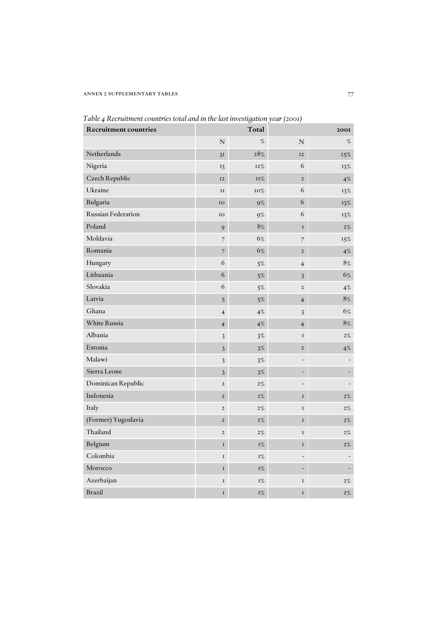### annex 2 supplementary tables 77

| <b>Recruitment countries</b> | Total                    |            | <b>200I</b>              |        |  |
|------------------------------|--------------------------|------------|--------------------------|--------|--|
|                              | $\overline{N}$           | $\%$       | $\overline{\rm N}$       | $\%$   |  |
| Netherlands                  | 3 <sub>I</sub>           | $28\%$     | <b>I2</b>                | $25\%$ |  |
| Nigeria                      | 13                       | 12%        | 6                        | 13%    |  |
| Czech Republic               | <b>I2</b>                | <b>11%</b> | $\overline{2}$           | $4\%$  |  |
| Ukraine                      | $\mathbf{I}\,\mathbf{I}$ | 10%        | 6                        | $13\%$ |  |
| Bulgaria                     | IO                       | $9\%$      | 6                        | $13\%$ |  |
| Russian Federation           | IO                       | $9\%$      | 6                        | 13%    |  |
| Poland                       | 9                        | $8\%$      | $\mathbf I$              | $2\%$  |  |
| Moldavia                     | $\overline{7}$           | 6%         | 7                        | 15%    |  |
| Romania                      | 7                        | 6%         | $\overline{2}$           | $4\%$  |  |
| Hungary                      | 6                        | $5\%$      | 4                        | $8\%$  |  |
| Lithuania                    | 6                        | $5\%$      | 3                        | 6%     |  |
| Slovakia                     | 6                        | $5\%$      | $\mathbf 2$              | $4\%$  |  |
| Latvia                       | 5                        | $5\%$      | $\overline{\mathcal{A}}$ | 8%     |  |
| Ghana                        | $\overline{4}$           | $4\%$      | 3                        | $6\%$  |  |
| White Russia                 | $\overline{4}$           | $4\%$      | $\overline{\mathcal{A}}$ | $8\%$  |  |
| Albania                      | 3                        | $3\%$      | $\bf I$                  | $2\%$  |  |
| Estonia                      | 3                        | $3\%$      | $\mathbf 2$              | $4\%$  |  |
| Malawi                       | $\mathfrak{Z}$           | $3\%$      |                          |        |  |
| Sierra Leone                 | 3                        | $3\%$      | $\overline{a}$           |        |  |
| Dominican Republic           | $\mathbf 2$              | $2\%$      |                          |        |  |
| Indonesia                    | $\overline{2}$           | $2\%$      | I                        | $2\%$  |  |
| Italy                        | $\overline{2}$           | $2\%$      | $\mathbf I$              | 2%     |  |
| (Former) Yugoslavia          | $\overline{2}$           | $2\%$      | $\mathbf I$              | 2%     |  |
| Thailand                     | $\overline{2}$           | $2\%$      | I                        | $2\%$  |  |
| Belgium                      | $\bf I$                  | $I\%$      | $\mathbf I$              | $2\%$  |  |
| Colombia                     | $\bf I$                  | $I\%$      |                          |        |  |
| Morocco                      | $\bf I$                  | $I\%$      |                          |        |  |
| Azerbaijan                   | $\bf I$                  | $I\%$      | I                        | $2\%$  |  |
| <b>Brazil</b>                | $\mathbf I$              | 1%         | I                        | $2\%$  |  |

*Table 4 Recruitment countries total and in the last investigation year (2001)*